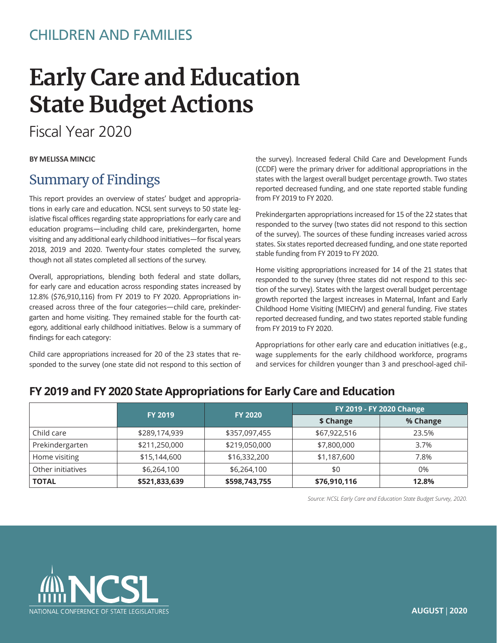## CHILDREN AND FAMILIES

# **Early Care and Education State Budget Actions**

Fiscal Year 2020

#### **BY MELISSA MINCIC**

### Summary of Findings

This report provides an overview of states' budget and appropriations in early care and education. NCSL sent surveys to 50 state legislative fiscal offices regarding state appropriations for early care and education programs—including child care, prekindergarten, home visiting and any additional early childhood initiatives—for fiscal years 2018, 2019 and 2020. Twenty-four states completed the survey, though not all states completed all sections of the survey.

Overall, appropriations, blending both federal and state dollars, for early care and education across responding states increased by 12.8% (\$76,910,116) from FY 2019 to FY 2020. Appropriations increased across three of the four categories—child care, prekindergarten and home visiting. They remained stable for the fourth category, additional early childhood initiatives. Below is a summary of findings for each category:

Child care appropriations increased for 20 of the 23 states that responded to the survey (one state did not respond to this section of the survey). Increased federal Child Care and Development Funds (CCDF) were the primary driver for additional appropriations in the states with the largest overall budget percentage growth. Two states reported decreased funding, and one state reported stable funding from FY 2019 to FY 2020.

Prekindergarten appropriations increased for 15 of the 22 states that responded to the survey (two states did not respond to this section of the survey). The sources of these funding increases varied across states. Six states reported decreased funding, and one state reported stable funding from FY 2019 to FY 2020.

Home visiting appropriations increased for 14 of the 21 states that responded to the survey (three states did not respond to this section of the survey). States with the largest overall budget percentage growth reported the largest increases in Maternal, Infant and Early Childhood Home Visiting (MIECHV) and general funding. Five states reported decreased funding, and two states reported stable funding from FY 2019 to FY 2020.

Appropriations for other early care and education initiatives (e.g., wage supplements for the early childhood workforce, programs and services for children younger than 3 and preschool-aged chil-

### **FY 2019 and FY 2020 State Appropriations for Early Care and Education**

|                   |               | FY 2019 - FY 2020 Change         |              |          |
|-------------------|---------------|----------------------------------|--------------|----------|
|                   |               | <b>FY 2019</b><br><b>FY 2020</b> | \$ Change    | % Change |
| Child care        | \$289,174,939 | \$357,097,455                    | \$67,922,516 | 23.5%    |
| Prekindergarten   | \$211,250,000 | \$219,050,000                    | \$7,800,000  | 3.7%     |
| Home visiting     | \$15,144,600  | \$16,332,200                     | \$1,187,600  | 7.8%     |
| Other initiatives | \$6,264,100   | \$6,264,100                      | \$0          | 0%       |
| <b>TOTAL</b>      | \$521,833,639 | \$598,743,755                    | \$76,910,116 | 12.8%    |

*Source: NCSL Early Care and Education State Budget Survey, 2020.*

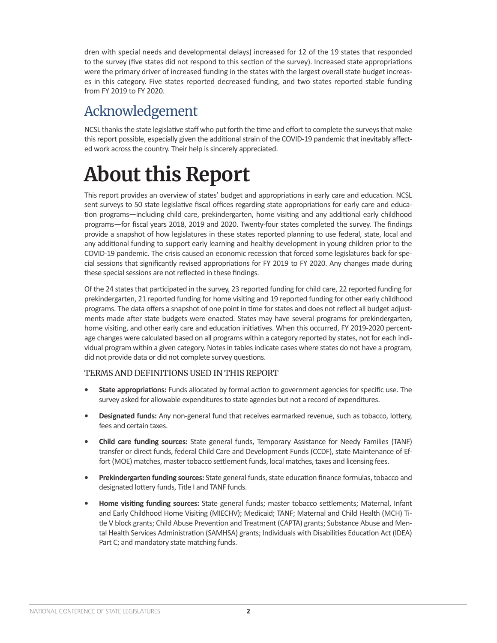dren with special needs and developmental delays) increased for 12 of the 19 states that responded to the survey (five states did not respond to this section of the survey). Increased state appropriations were the primary driver of increased funding in the states with the largest overall state budget increases in this category. Five states reported decreased funding, and two states reported stable funding from FY 2019 to FY 2020.

# Acknowledgement

NCSL thanks the state legislative staff who put forth the time and effort to complete the surveys that make this report possible, especially given the additional strain of the COVID-19 pandemic that inevitably affected work across the country. Their help is sincerely appreciated.

# **About this Report**

This report provides an overview of states' budget and appropriations in early care and education. NCSL sent surveys to 50 state legislative fiscal offices regarding state appropriations for early care and education programs—including child care, prekindergarten, home visiting and any additional early childhood programs—for fiscal years 2018, 2019 and 2020. Twenty-four states completed the survey. The findings provide a snapshot of how legislatures in these states reported planning to use federal, state, local and any additional funding to support early learning and healthy development in young children prior to the COVID-19 pandemic. The crisis caused an economic recession that forced some legislatures back for special sessions that significantly revised appropriations for FY 2019 to FY 2020. Any changes made during these special sessions are not reflected in these findings.

Of the 24 states that participated in the survey, 23 reported funding for child care, 22 reported funding for prekindergarten, 21 reported funding for home visiting and 19 reported funding for other early childhood programs. The data offers a snapshot of one point in time for states and does not reflect all budget adjustments made after state budgets were enacted. States may have several programs for prekindergarten, home visiting, and other early care and education initiatives. When this occurred, FY 2019-2020 percentage changes were calculated based on all programs within a category reported by states, not for each individual program within a given category. Notes in tables indicate cases where states do not have a program, did not provide data or did not complete survey questions.

#### TERMS AND DEFINITIONS USED IN THIS REPORT

- **• State appropriations:** Funds allocated by formal action to government agencies for specific use. The survey asked for allowable expenditures to state agencies but not a record of expenditures.
- **• Designated funds:** Any non-general fund that receives earmarked revenue, such as tobacco, lottery, fees and certain taxes.
- **• Child care funding sources:** State general funds, Temporary Assistance for Needy Families (TANF) transfer or direct funds, federal Child Care and Development Funds (CCDF), state Maintenance of Effort (MOE) matches, master tobacco settlement funds, local matches, taxes and licensing fees.
- **• Prekindergarten funding sources:** State general funds, state education finance formulas, tobacco and designated lottery funds, Title I and TANF funds.
- **• Home visiting funding sources:** State general funds; master tobacco settlements; Maternal, Infant and Early Childhood Home Visiting (MIECHV); Medicaid; TANF; Maternal and Child Health (MCH) Title V block grants; Child Abuse Prevention and Treatment (CAPTA) grants; Substance Abuse and Mental Health Services Administration (SAMHSA) grants; Individuals with Disabilities Education Act (IDEA) Part C; and mandatory state matching funds.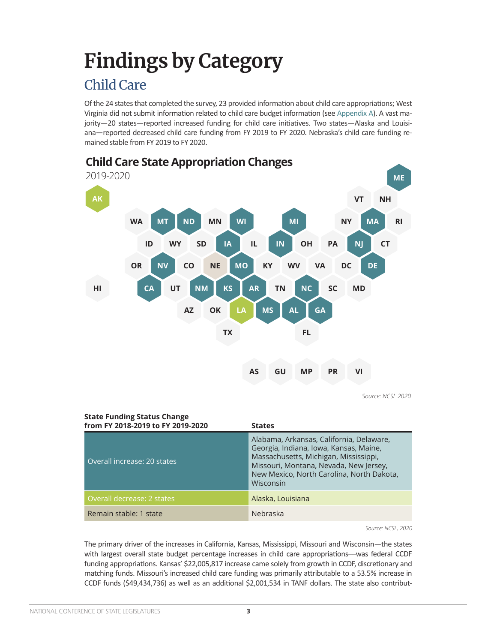# <span id="page-2-0"></span>**Findings by Category**

# Child Care

Of the 24 states that completed the survey, 23 provided information about child care appropriations; West Virginia did not submit information related to child care budget information (see [Appendix A\)](#page-11-0). A vast majority—20 states—reported increased funding for child care initiatives. Two states—Alaska and Louisiana—reported decreased child care funding from FY 2019 to FY 2020. Nebraska's child care funding remained stable from FY 2019 to FY 2020.



*Source: NCSL 2020* 

| <b>State Funding Status Change</b><br>from FY 2018-2019 to FY 2019-2020 | <b>States</b>                                                                                                                                                                                                                   |
|-------------------------------------------------------------------------|---------------------------------------------------------------------------------------------------------------------------------------------------------------------------------------------------------------------------------|
| Overall increase: 20 states                                             | Alabama, Arkansas, California, Delaware,<br>Georgia, Indiana, Iowa, Kansas, Maine,<br>Massachusetts, Michigan, Mississippi,<br>Missouri, Montana, Nevada, New Jersey,<br>New Mexico, North Carolina, North Dakota,<br>Wisconsin |
| Overall decrease: 2 states                                              | Alaska, Louisiana                                                                                                                                                                                                               |
| Remain stable: 1 state                                                  | Nebraska                                                                                                                                                                                                                        |

*Source: NCSL, 2020*

The primary driver of the increases in California, Kansas, Mississippi, Missouri and Wisconsin—the states with largest overall state budget percentage increases in child care appropriations—was federal CCDF funding appropriations. Kansas' \$22,005,817 increase came solely from growth in CCDF, discretionary and matching funds. Missouri's increased child care funding was primarily attributable to a 53.5% increase in CCDF funds (\$49,434,736) as well as an additional \$2,001,534 in TANF dollars. The state also contribut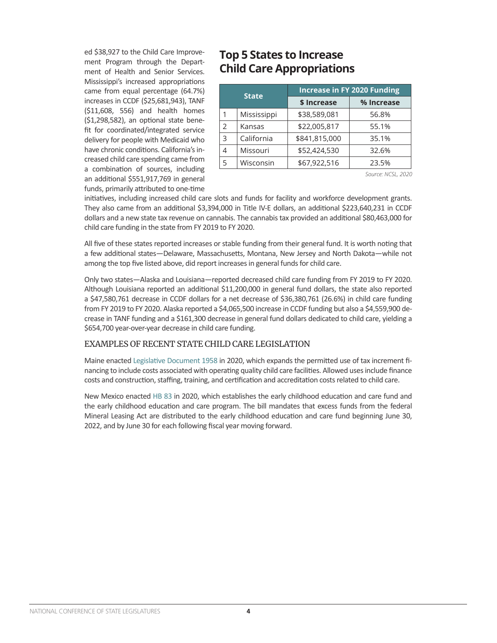ed \$38,927 to the Child Care Improvement Program through the Department of Health and Senior Services. Mississippi's increased appropriations came from equal percentage (64.7%) increases in CCDF (\$25,681,943), TANF (\$11,608, 556) and health homes (\$1,298,582), an optional state benefit for coordinated/integrated service delivery for people with Medicaid who have chronic conditions. California's increased child care spending came from a combination of sources, including an additional \$551,917,769 in general funds, primarily attributed to one-time

### **Top 5 States to Increase Child Care Appropriations**

|             | <b>Increase in FY 2020 Funding</b> |            |  |  |
|-------------|------------------------------------|------------|--|--|
|             | \$ Increase                        | % Increase |  |  |
| Mississippi | \$38,589,081                       | 56.8%      |  |  |
| Kansas      | \$22,005,817                       | 55.1%      |  |  |
| California  | \$841,815,000                      | 35.1%      |  |  |
| Missouri    | \$52,424,530                       | 32.6%      |  |  |
| Wisconsin   | \$67,922,516                       | 23.5%      |  |  |
|             | <b>State</b>                       |            |  |  |

*Source: NCSL, 2020*

initiatives, including increased child care slots and funds for facility and workforce development grants. They also came from an additional \$3,394,000 in Title IV-E dollars, an additional \$223,640,231 in CCDF dollars and a new state tax revenue on cannabis. The cannabis tax provided an additional \$80,463,000 for child care funding in the state from FY 2019 to FY 2020.

All five of these states reported increases or stable funding from their general fund. It is worth noting that a few additional states—Delaware, Massachusetts, Montana, New Jersey and North Dakota—while not among the top five listed above, did report increases in general funds for child care.

Only two states—Alaska and Louisiana—reported decreased child care funding from FY 2019 to FY 2020. Although Louisiana reported an additional \$11,200,000 in general fund dollars, the state also reported a \$47,580,761 decrease in CCDF dollars for a net decrease of \$36,380,761 (26.6%) in child care funding from FY 2019 to FY 2020. Alaska reported a \$4,065,500 increase in CCDF funding but also a \$4,559,900 decrease in TANF funding and a \$161,300 decrease in general fund dollars dedicated to child care, yielding a \$654,700 year-over-year decrease in child care funding.

#### EXAMPLES OF RECENT STATE CHILD CARE LEGISLATION

Maine enacted [Legislative Document 1958](http://legislature.maine.gov/LawMakerWeb/summary.asp?ID=280075872) in 2020, which expands the permitted use of tax increment financing to include costs associated with operating quality child care facilities. Allowed uses include finance costs and construction, staffing, training, and certification and accreditation costs related to child care.

New Mexico enacted [HB 83](https://www.nmlegis.gov/Legislation/Legislation?chamber=H&legType=B&legNo=83&year=20) in 2020, which establishes the early childhood education and care fund and the early childhood education and care program. The bill mandates that excess funds from the federal Mineral Leasing Act are distributed to the early childhood education and care fund beginning June 30, 2022, and by June 30 for each following fiscal year moving forward.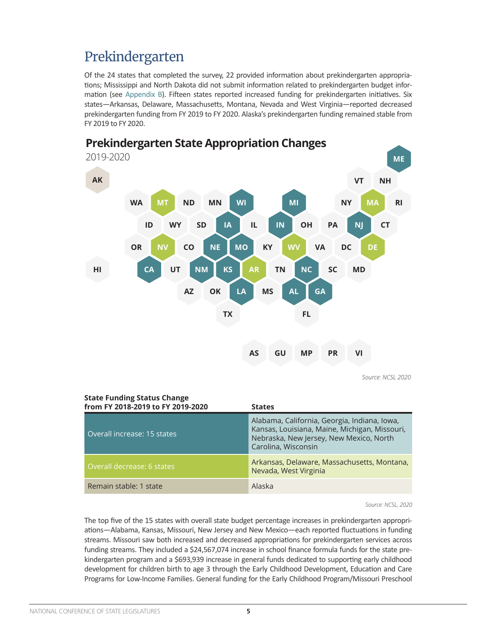# <span id="page-4-0"></span>Prekindergarten

Of the 24 states that completed the survey, 22 provided information about prekindergarten appropriations; Mississippi and North Dakota did not submit information related to prekindergarten budget information (see [Appendix B\)](#page-15-0). Fifteen states reported increased funding for prekindergarten initiatives. Six states—Arkansas, Delaware, Massachusetts, Montana, Nevada and West Virginia—reported decreased prekindergarten funding from FY 2019 to FY 2020. Alaska's prekindergarten funding remained stable from FY 2019 to FY 2020.



**Prekindergarten State Appropriation Changes**

*Source: NCSL 2020* 

### **State Funding Status Change**

| from FY 2018-2019 to FY 2019-2020 | <b>States</b>                                                                                                                                                   |
|-----------------------------------|-----------------------------------------------------------------------------------------------------------------------------------------------------------------|
| Overall increase: 15 states       | Alabama, California, Georgia, Indiana, Iowa,<br>Kansas, Louisiana, Maine, Michigan, Missouri,<br>Nebraska, New Jersey, New Mexico, North<br>Carolina, Wisconsin |
| Overall decrease: 6 states        | Arkansas, Delaware, Massachusetts, Montana,<br>Nevada, West Virginia                                                                                            |
| Remain stable: 1 state            | Alaska                                                                                                                                                          |

*Source: NCSL, 2020*

The top five of the 15 states with overall state budget percentage increases in prekindergarten appropriations—Alabama, Kansas, Missouri, New Jersey and New Mexico—each reported fluctuations in funding streams. Missouri saw both increased and decreased appropriations for prekindergarten services across funding streams. They included a \$24,567,074 increase in school finance formula funds for the state prekindergarten program and a \$693,939 increase in general funds dedicated to supporting early childhood development for children birth to age 3 through the Early Childhood Development, Education and Care Programs for Low-Income Families. General funding for the Early Childhood Program/Missouri Preschool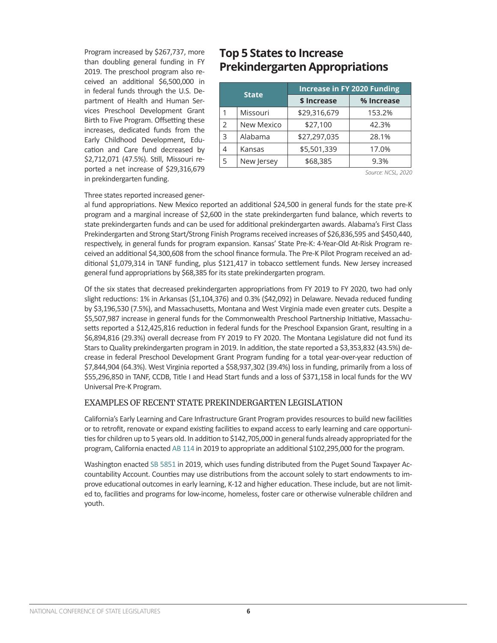Program increased by \$267,737, more than doubling general funding in FY 2019. The preschool program also received an additional \$6,500,000 in in federal funds through the U.S. Department of Health and Human Services Preschool Development Grant Birth to Five Program. Offsetting these increases, dedicated funds from the Early Childhood Development, Education and Care fund decreased by \$2,712,071 (47.5%). Still, Missouri reported a net increase of \$29,316,679 in prekindergarten funding.

### **Top 5 States to Increase Prekindergarten Appropriations**

| <b>State</b> |            | <b>Increase in FY 2020 Funding</b> |            |  |  |
|--------------|------------|------------------------------------|------------|--|--|
|              |            | \$ Increase                        | % Increase |  |  |
|              | Missouri   | \$29,316,679                       | 153.2%     |  |  |
| 2            | New Mexico | \$27,100                           | 42.3%      |  |  |
| 3            | Alabama    | \$27,297,035                       | 28.1%      |  |  |
|              | Kansas     | \$5,501,339                        | 17.0%      |  |  |
| 5            | New Jersey | \$68,385                           | 9.3%       |  |  |

*Source: NCSL, 2020*

#### Three states reported increased gener-

al fund appropriations. New Mexico reported an additional \$24,500 in general funds for the state pre-K program and a marginal increase of \$2,600 in the state prekindergarten fund balance, which reverts to state prekindergarten funds and can be used for additional prekindergarten awards. Alabama's First Class Prekindergarten and Strong Start/Strong Finish Programs received increases of \$26,836,595 and \$450,440, respectively, in general funds for program expansion. Kansas' State Pre-K: 4-Year-Old At-Risk Program received an additional \$4,300,608 from the school finance formula. The Pre-K Pilot Program received an additional \$1,079,314 in TANF funding, plus \$121,417 in tobacco settlement funds. New Jersey increased general fund appropriations by \$68,385 for its state prekindergarten program.

Of the six states that decreased prekindergarten appropriations from FY 2019 to FY 2020, two had only slight reductions: 1% in Arkansas (\$1,104,376) and 0.3% (\$42,092) in Delaware. Nevada reduced funding by \$3,196,530 (7.5%), and Massachusetts, Montana and West Virginia made even greater cuts. Despite a \$5,507,987 increase in general funds for the Commonwealth Preschool Partnership Initiative, Massachusetts reported a \$12,425,816 reduction in federal funds for the Preschool Expansion Grant, resulting in a \$6,894,816 (29.3%) overall decrease from FY 2019 to FY 2020. The Montana Legislature did not fund its Stars to Quality prekindergarten program in 2019. In addition, the state reported a \$3,353,832 (43.5%) decrease in federal Preschool Development Grant Program funding for a total year-over-year reduction of \$7,844,904 (64.3%). West Virginia reported a \$58,937,302 (39.4%) loss in funding, primarily from a loss of \$55,296,850 in TANF, CCDB, Title I and Head Start funds and a loss of \$371,158 in local funds for the WV Universal Pre-K Program.

#### EXAMPLES OF RECENT STATE PREKINDERGARTEN LEGISLATION

California's Early Learning and Care Infrastructure Grant Program provides resources to build new facilities or to retrofit, renovate or expand existing facilities to expand access to early learning and care opportunities for children up to 5 years old. In addition to \$142,705,000 in general funds already appropriated for the program, California enacted [AB 114](https://leginfo.legislature.ca.gov/faces/billNavClient.xhtml?bill_id=201920200AB114) in 2019 to appropriate an additional \$102,295,000 for the program.

Washington enacted [SB 5851](https://app.leg.wa.gov/billsummary?BillNumber=5851&Year=2019) in 2019, which uses funding distributed from the Puget Sound Taxpayer Accountability Account. Counties may use distributions from the account solely to start endowments to improve educational outcomes in early learning, K-12 and higher education. These include, but are not limited to, facilities and programs for low-income, homeless, foster care or otherwise vulnerable children and youth.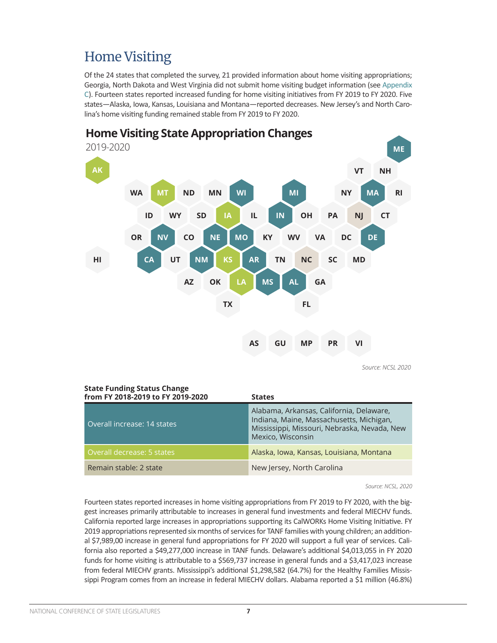# <span id="page-6-0"></span>Home Visiting

Of the 24 states that completed the survey, 21 provided information about home visiting appropriations; Georgia, North Dakota and West Virginia did not submit home visiting budget information (see [Appendix](#page-22-0)  [C](#page-22-0)). Fourteen states reported increased funding for home visiting initiatives from FY 2019 to FY 2020. Five states—Alaska, Iowa, Kansas, Louisiana and Montana—reported decreases. New Jersey's and North Carolina's home visiting funding remained stable from FY 2019 to FY 2020.



## **Home Visiting State Appropriation Changes**

*Source: NCSL 2020* 

| <b>State Funding Status Change</b><br>from FY 2018-2019 to FY 2019-2020 | <b>States</b>                                                                                                                                             |
|-------------------------------------------------------------------------|-----------------------------------------------------------------------------------------------------------------------------------------------------------|
| Overall increase: 14 states                                             | Alabama, Arkansas, California, Delaware,<br>Indiana, Maine, Massachusetts, Michigan,<br>Mississippi, Missouri, Nebraska, Nevada, New<br>Mexico, Wisconsin |
| Overall decrease: 5 states                                              | Alaska, Iowa, Kansas, Louisiana, Montana                                                                                                                  |
| Remain stable: 2 state                                                  | New Jersey, North Carolina                                                                                                                                |

*Source: NCSL, 2020*

Fourteen states reported increases in home visiting appropriations from FY 2019 to FY 2020, with the biggest increases primarily attributable to increases in general fund investments and federal MIECHV funds. California reported large increases in appropriations supporting its CalWORKs Home Visiting Initiative. FY 2019 appropriations represented six months of services for TANF families with young children; an additional \$7,989,00 increase in general fund appropriations for FY 2020 will support a full year of services. California also reported a \$49,277,000 increase in TANF funds. Delaware's additional \$4,013,055 in FY 2020 funds for home visiting is attributable to a \$569,737 increase in general funds and a \$3,417,023 increase from federal MIECHV grants. Mississippi's additional \$1,298,582 (64.7%) for the Healthy Families Mississippi Program comes from an increase in federal MIECHV dollars. Alabama reported a \$1 million (46.8%)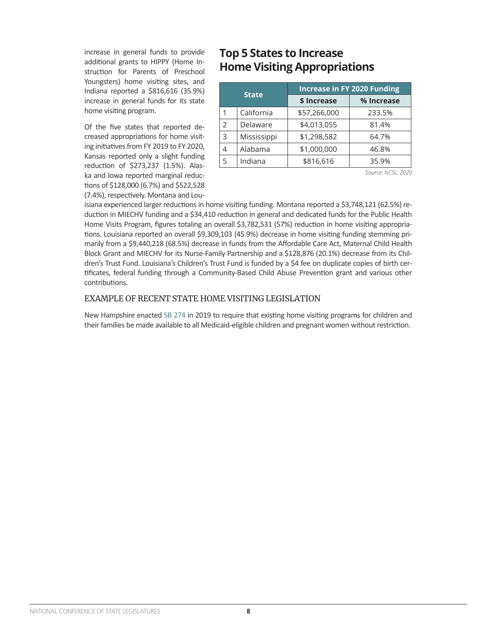increase in general funds to provide additional grants to HIPPY (Home Instruction for Parents of Preschool Youngsters) home visiting sites, and Indiana reported a \$816,616 (35.9%) increase in general funds for its state home visiting program.

Of the five states that reported decreased appropriations for home visiting initiatives from FY 2019 to FY 2020, Kansas reported only a slight funding reduction of \$273,237 (1.5%). Alaska and Iowa reported marginal reductions of \$128,000 (6.7%) and \$522,528 (7.4%), respectively. Montana and Lou-

### **Top 5 States to Increase Home Visiting Appropriations**

| <b>State</b>  |             | <b>Increase in FY 2020 Funding</b> |            |  |  |
|---------------|-------------|------------------------------------|------------|--|--|
|               |             | \$ Increase                        | % Increase |  |  |
| 1             | California  | \$57,266,000                       | 233.5%     |  |  |
| $\mathcal{P}$ | Delaware    | \$4,013,055                        | 81.4%      |  |  |
| 3             | Mississippi | \$1,298,582                        | 64.7%      |  |  |
| 4             | Alabama     | \$1,000,000                        | 46.8%      |  |  |
| 5             | Indiana     | \$816,616                          | 35.9%      |  |  |

*Source: NCSL, 2020*

isiana experienced larger reductions in home visiting funding. Montana reported a \$3,748,121 (62.5%) reduction in MIECHV funding and a \$34,410 reduction in general and dedicated funds for the Public Health Home Visits Program, figures totaling an overall \$3,782,531 (57%) reduction in home visiting appropriations. Louisiana reported an overall \$9,309,103 (45.9%) decrease in home visiting funding stemming primarily from a \$9,440,218 (68.5%) decrease in funds from the Affordable Care Act, Maternal Child Health Block Grant and MIECHV for its Nurse-Family Partnership and a \$128,876 (20.1%) decrease from its Children's Trust Fund. Louisiana's Children's Trust Fund is funded by a \$4 fee on duplicate copies of birth certificates, federal funding through a Community-Based Child Abuse Prevention grant and various other contributions.

#### EXAMPLE OF RECENT STATE HOME VISITING LEGISLATION

New Hampshire enacted [SB 274](http://www.gencourt.state.nh.us/bill_status/bill_status.aspx?lsr=1022&sy=2019) in 2019 to require that existing home visiting programs for children and their families be made available to all Medicaid-eligible children and pregnant women without restriction.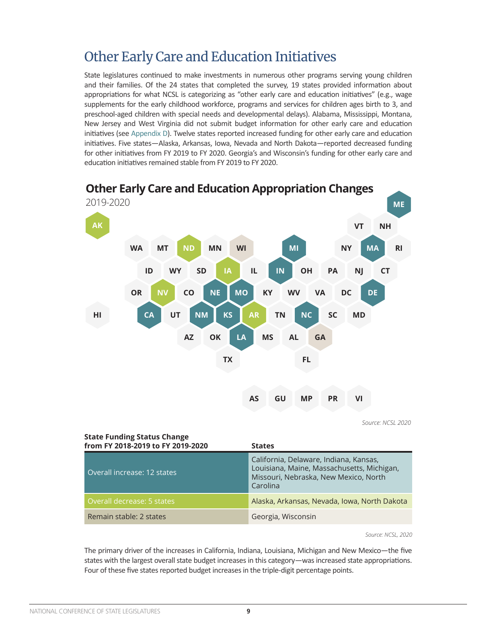## <span id="page-8-0"></span>Other Early Care and Education Initiatives

State legislatures continued to make investments in numerous other programs serving young children and their families. Of the 24 states that completed the survey, 19 states provided information about appropriations for what NCSL is categorizing as "other early care and education initiatives" (e.g., wage supplements for the early childhood workforce, programs and services for children ages birth to 3, and preschool-aged children with special needs and developmental delays). Alabama, Mississippi, Montana, New Jersey and West Virginia did not submit budget information for other early care and education initiatives (see [Appendix D](#page-26-0)). Twelve states reported increased funding for other early care and education initiatives. Five states—Alaska, Arkansas, Iowa, Nevada and North Dakota—reported decreased funding for other initiatives from FY 2019 to FY 2020. Georgia's and Wisconsin's funding for other early care and education initiatives remained stable from FY 2019 to FY 2020.



| <b>State Funding Status Change</b><br>from FY 2018-2019 to FY 2019-2020 | <b>States</b>                                                                                                                             |
|-------------------------------------------------------------------------|-------------------------------------------------------------------------------------------------------------------------------------------|
| Overall increase: 12 states                                             | California, Delaware, Indiana, Kansas,<br>Louisiana, Maine, Massachusetts, Michigan,<br>Missouri, Nebraska, New Mexico, North<br>Carolina |
| Overall decrease: 5 states                                              | Alaska, Arkansas, Nevada, Iowa, North Dakota                                                                                              |
| Remain stable: 2 states                                                 | Georgia, Wisconsin                                                                                                                        |

*Source: NCSL, 2020*

The primary driver of the increases in California, Indiana, Louisiana, Michigan and New Mexico—the five states with the largest overall state budget increases in this category—was increased state appropriations. Four of these five states reported budget increases in the triple-digit percentage points.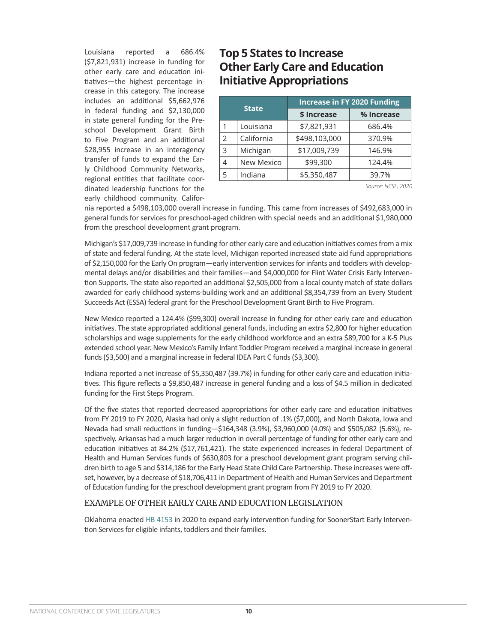Louisiana reported a 686.4% (\$7,821,931) increase in funding for other early care and education initiatives—the highest percentage increase in this category. The increase includes an additional \$5,662,976 in federal funding and \$2,130,000 in state general funding for the Preschool Development Grant Birth to Five Program and an additional \$28,955 increase in an interagency transfer of funds to expand the Early Childhood Community Networks, regional entities that facilitate coordinated leadership functions for the early childhood community. Califor-

### **Top 5 States to Increase Other Early Care and Education Initiative Appropriations**

| <b>State</b> |            | <b>Increase in FY 2020 Funding</b> |            |  |  |
|--------------|------------|------------------------------------|------------|--|--|
|              |            | \$ Increase                        | % Increase |  |  |
| 1            | Louisiana  | \$7,821,931                        | 686.4%     |  |  |
| 2            | California | \$498,103,000                      | 370.9%     |  |  |
| 3            | Michigan   | \$17,009,739                       | 146.9%     |  |  |
| 4            | New Mexico | \$99,300                           | 124.4%     |  |  |
| 5            | Indiana    | \$5,350,487                        | 39.7%      |  |  |

*Source: NCSL, 2020*

nia reported a \$498,103,000 overall increase in funding. This came from increases of \$492,683,000 in general funds for services for preschool-aged children with special needs and an additional \$1,980,000 from the preschool development grant program.

Michigan's \$17,009,739 increase in funding for other early care and education initiatives comes from a mix of state and federal funding. At the state level, Michigan reported increased state aid fund appropriations of \$2,150,000 for the Early On program—early intervention services for infants and toddlers with developmental delays and/or disabilities and their families—and \$4,000,000 for Flint Water Crisis Early Intervention Supports. The state also reported an additional \$2,505,000 from a local county match of state dollars awarded for early childhood systems-building work and an additional \$8,354,739 from an Every Student Succeeds Act (ESSA) federal grant for the Preschool Development Grant Birth to Five Program.

New Mexico reported a 124.4% (\$99,300) overall increase in funding for other early care and education initiatives. The state appropriated additional general funds, including an extra \$2,800 for higher education scholarships and wage supplements for the early childhood workforce and an extra \$89,700 for a K-5 Plus extended school year. New Mexico's Family Infant Toddler Program received a marginal increase in general funds (\$3,500) and a marginal increase in federal IDEA Part C funds (\$3,300).

Indiana reported a net increase of \$5,350,487 (39.7%) in funding for other early care and education initiatives. This figure reflects a \$9,850,487 increase in general funding and a loss of \$4.5 million in dedicated funding for the First Steps Program.

Of the five states that reported decreased appropriations for other early care and education initiatives from FY 2019 to FY 2020, Alaska had only a slight reduction of .1% (\$7,000), and North Dakota, Iowa and Nevada had small reductions in funding—\$164,348 (3.9%), \$3,960,000 (4.0%) and \$505,082 (5.6%), respectively. Arkansas had a much larger reduction in overall percentage of funding for other early care and education initiatives at 84.2% (\$17,761,421). The state experienced increases in federal Department of Health and Human Services funds of \$630,803 for a preschool development grant program serving children birth to age 5 and \$314,186 for the Early Head State Child Care Partnership. These increases were offset, however, by a decrease of \$18,706,411 in Department of Health and Human Services and Department of Education funding for the preschool development grant program from FY 2019 to FY 2020.

#### EXAMPLE OF OTHER EARLY CARE AND EDUCATION LEGISLATION

Oklahoma enacted [HB 4153](http://www.oklegislature.gov/BillInfo.aspx?Bill=HB4153&Session=2000) in 2020 to expand early intervention funding for SoonerStart Early Intervention Services for eligible infants, toddlers and their families.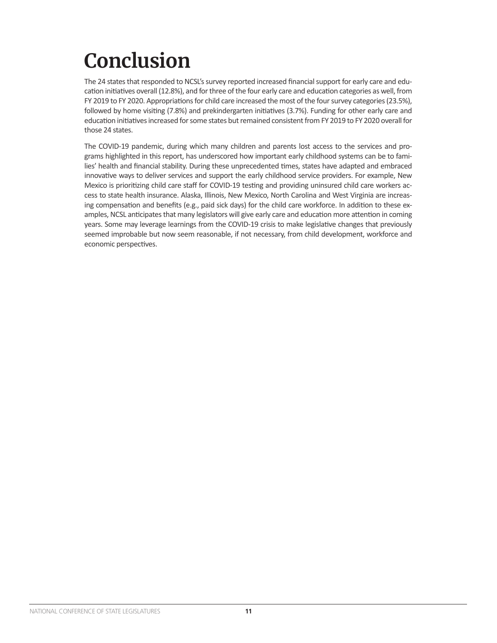# **Conclusion**

The 24 states that responded to NCSL's survey reported increased financial support for early care and education initiatives overall (12.8%), and for three of the four early care and education categories as well, from FY 2019 to FY 2020. Appropriations for child care increased the most of the four survey categories (23.5%), followed by home visiting (7.8%) and prekindergarten initiatives (3.7%). Funding for other early care and education initiatives increased for some states but remained consistent from FY 2019 to FY 2020 overall for those 24 states.

The COVID-19 pandemic, during which many children and parents lost access to the services and programs highlighted in this report, has underscored how important early childhood systems can be to families' health and financial stability. During these unprecedented times, states have adapted and embraced innovative ways to deliver services and support the early childhood service providers. For example, New Mexico is prioritizing child care staff for COVID-19 testing and providing uninsured child care workers access to state health insurance. Alaska, Illinois, New Mexico, North Carolina and West Virginia are increasing compensation and benefits (e.g., paid sick days) for the child care workforce. In addition to these examples, NCSL anticipates that many legislators will give early care and education more attention in coming years. Some may leverage learnings from the COVID-19 crisis to make legislative changes that previously seemed improbable but now seem reasonable, if not necessary, from child development, workforce and economic perspectives.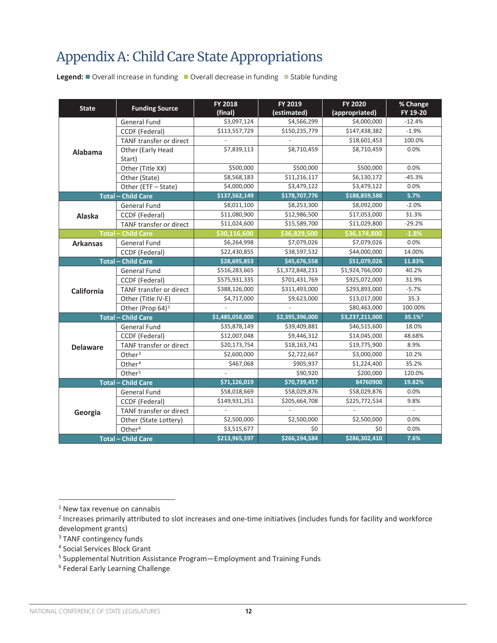# <span id="page-11-0"></span>Appendix A: Child Care State Appropriations

**Legend:**  $\blacksquare$  Overall increase in funding  $\blacksquare$  Overall decrease in funding  $\blacksquare$  Stable funding

| <b>State</b>    | <b>Funding Source</b>        | FY 2018<br>(final) | FY 2019<br>(estimated) | FY 2020<br>(appropriated) | % Change<br>FY 19-20        |
|-----------------|------------------------------|--------------------|------------------------|---------------------------|-----------------------------|
|                 | <b>General Fund</b>          | \$3,097,124        | \$4,566,299            | \$4,000,000               | $-12.4%$                    |
|                 | CCDF (Federal)               | \$113,557,729      | \$150,235,779          | \$147,438,382             | $-1.9%$                     |
|                 | TANF transfer or direct      |                    |                        | \$18,601,453              | 100.0%                      |
| Alabama         | Other (Early Head            | \$7,839,113        | \$8,710,459            | \$8.710.459               | 0.0%                        |
|                 | Start)                       |                    |                        |                           |                             |
|                 | Other (Title XX)             | \$500,000          | \$500,000              | \$500,000                 | 0.0%                        |
|                 | Other (State)                | \$8,568,183        | \$11,216,117           | \$6,130,172               | $-45.3%$                    |
|                 | Other (ETF - State)          | \$4,000,000        | \$3,479,122            | \$3,479,122               | 0.0%                        |
|                 | <b>Total - Child Care</b>    | \$137,562,149      | \$178,707,776          | \$188,859,588             | 5.7%                        |
|                 | General Fund                 | \$8,011,100        | \$8,253,300            | \$8,092,000               | $-2.0%$                     |
| Alaska          | CCDF (Federal)               | \$11,080,900       | \$12,986,500           | \$17,053,000              | 31.3%                       |
|                 | TANF transfer or direct      | \$11,024,600       | \$15,589,700           | \$11,029,800              | $-29.2%$                    |
|                 | <b>Total - Child Care</b>    | \$30,116,600       | \$36,829,500           | \$36,174,800              | $-1.8%$                     |
| <b>Arkansas</b> | <b>General Fund</b>          | \$6,264,998        | \$7,079,026            | \$7,079,026               | 0.0%                        |
|                 | CCDF (Federal)               | \$22,430,855       | \$38,597,532           | \$44,000,000              | 14.00%                      |
|                 | <b>Total - Child Care</b>    | \$28,695,853       | \$45,676,558           | \$51,079,026              | 11.83%                      |
|                 | <b>General Fund</b>          | \$516,283,665      | \$1,372,848,231        | \$1,924,766,000           | 40.2%                       |
|                 | CCDF (Federal)               | \$575,931,335      | \$701,431,769          | \$925,072,000             | 31.9%                       |
| California      | TANF transfer or direct      | \$388,126,000      | \$311,493,000          | \$293,893,000             | $-5.7%$                     |
|                 | Other (Title IV-E)           | \$4,717,000        | \$9,623,000            | \$13,017,000              | 35.3                        |
|                 | Other (Prop 64) <sup>1</sup> |                    |                        | \$80,463,000              | 100.00%                     |
|                 | <b>Total - Child Care</b>    | \$1,485,058,000    | \$2,395,396,000        | \$3,237,211,000           | 35.1% <sup>2</sup>          |
|                 | <b>General Fund</b>          | \$35,878,149       | \$39,409,881           | \$46,515,600              | 18.0%                       |
|                 | CCDF (Federal)               | \$12,007,048       | \$9,446,312            | \$14,045,000              | 48.68%                      |
| <b>Delaware</b> | TANF transfer or direct      | \$20,173,754       | \$18,163,741           | \$19,775,900              | 8.9%                        |
|                 | Other $3$                    | \$2,600,000        | \$2,722,667            | \$3,000,000               | 10.2%                       |
|                 | Other <sup>4</sup>           | \$467,068          | \$905,937              | \$1,224,400               | 35.2%                       |
|                 | Other <sup>5</sup>           |                    | \$90,920               | \$200,000                 | 120.0%                      |
|                 | <b>Total - Child Care</b>    | \$71,126,019       | \$70,739,457           | 84760900                  | 19.82%                      |
|                 | <b>General Fund</b>          | \$58,018,669       | \$58,029,876           | \$58,029,876              | 0.0%                        |
|                 | CCDF (Federal)               | \$149,931,251      | \$205,664,708          | \$225,772,534             | 9.8%                        |
| Georgia         | TANF transfer or direct      |                    |                        |                           | $\mathcal{L}^{\mathcal{A}}$ |
|                 | Other (State Lottery)        | \$2,500,000        | \$2,500,000            | \$2,500,000               | 0.0%                        |
|                 | Other <sup>6</sup>           | \$3,515,677        | \$0                    | \$0                       | 0.0%                        |
|                 | <b>Total - Child Care</b>    | \$213,965,597      | \$266,194,584          | \$286,302,410             | 7.6%                        |

<sup>&</sup>lt;sup>1</sup> New tax revenue on cannabis

<sup>&</sup>lt;sup>2</sup> Increases primarily attributed to slot increases and one-time initiatives (includes funds for facility and workforce development grants)

<sup>&</sup>lt;sup>3</sup> TANF contingency funds

<sup>4</sup> Social Services Block Grant

<sup>5</sup> Supplemental Nutrition Assistance Program—Employment and Training Funds

<sup>6</sup> Federal Early Learning Challenge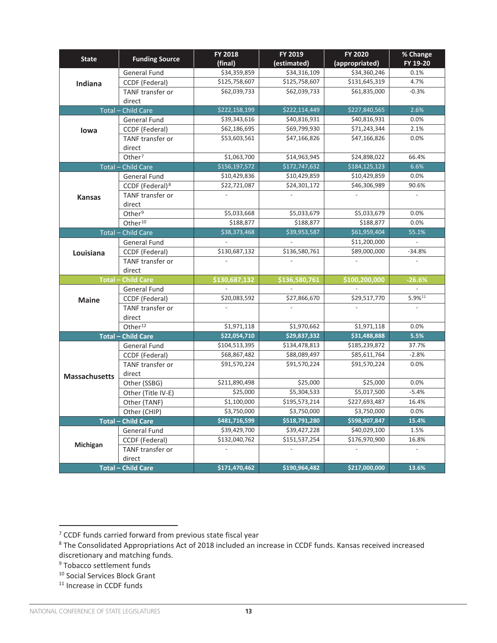| <b>State</b>         | <b>Funding Source</b>       | <b>FY 2018</b><br>(final) | FY 2019<br>(estimated) | FY 2020<br>(appropriated) | % Change<br>FY 19-20 |
|----------------------|-----------------------------|---------------------------|------------------------|---------------------------|----------------------|
|                      | General Fund                | \$34,359,859              | \$34,316,109           | \$34,360,246              | 0.1%                 |
| Indiana              | CCDF (Federal)              | \$125,758,607             | \$125,758,607          | \$131,645,319             | 4.7%                 |
|                      | <b>TANF transfer or</b>     | \$62,039,733              | \$62,039,733           | \$61,835,000              | $-0.3%$              |
|                      | direct                      |                           |                        |                           |                      |
|                      | <b>Total - Child Care</b>   | \$222,158,199             | \$222,114,449          | \$227,840,565             | 2.6%                 |
|                      | <b>General Fund</b>         | \$39,343,616              | \$40,816,931           | \$40,816,931              | 0.0%                 |
| lowa                 | CCDF (Federal)              | \$62,186,695              | \$69,799,930           | \$71,243,344              | 2.1%                 |
|                      | TANF transfer or            | \$53,603,561              | \$47,166,826           | \$47,166,826              | 0.0%                 |
|                      | direct                      |                           |                        |                           |                      |
|                      | Other <sup>7</sup>          | \$1,063,700               | \$14,963,945           | \$24,898,022              | 66.4%                |
| $Total -$            | <b>Child Care</b>           | \$156,197,572             | \$172,747,632          | \$184,125,123             | 6.6%                 |
|                      | <b>General Fund</b>         | \$10,429,836              | \$10,429,859           | \$10,429,859              | 0.0%                 |
|                      | CCDF (Federal) <sup>8</sup> | \$22,721,087              | \$24,301,172           | \$46,306,989              | 90.6%                |
| <b>Kansas</b>        | TANF transfer or            |                           |                        |                           |                      |
|                      | direct                      |                           |                        |                           |                      |
|                      | Other <sup>9</sup>          | \$5,033,668               | \$5,033,679            | \$5,033,679               | 0.0%                 |
|                      | Other <sup>10</sup>         | \$188,877                 | \$188,877              | \$188,877                 | 0.0%                 |
|                      | <b>Total - Child Care</b>   | \$38,373,468              | \$39,953,587           | \$61,959,404              | 55.1%                |
|                      | <b>General Fund</b>         |                           |                        | \$11,200,000              |                      |
| Louisiana            | CCDF (Federal)              | \$130,687,132             | \$136,580,761          | \$89,000,000              | $-34.8%$             |
|                      | <b>TANF transfer or</b>     |                           |                        |                           |                      |
|                      | direct                      |                           |                        |                           |                      |
|                      | <b>Total - Child Care</b>   | \$130,687,132             | \$136,580,761          | \$100,200,000             | $-26.6%$             |
|                      | <b>General Fund</b>         |                           |                        |                           |                      |
| <b>Maine</b>         | CCDF (Federal)              | \$20,083,592              | \$27,866,670           | \$29,517,770              | 5.9%11               |
|                      | TANF transfer or            |                           |                        |                           |                      |
|                      | direct                      |                           |                        |                           |                      |
|                      | Other <sup>12</sup>         | \$1,971,118               | \$1,970,662            | \$1,971,118               | 0.0%                 |
|                      | <b>Total - Child Care</b>   | \$22,054,710              | \$29,837,332           | \$31,488,888              | 5.5%                 |
|                      | General Fund                | \$104,513,395             | \$134,478,813          | \$185,239,872             | 37.7%                |
|                      | CCDF (Federal)              | \$68,867,482              | \$88,089,497           | \$85,611,764              | $-2.8%$              |
|                      | <b>TANF transfer or</b>     | \$91,570,224              | \$91,570,224           | \$91,570,224              | 0.0%                 |
| <b>Massachusetts</b> | direct                      |                           |                        |                           |                      |
|                      | Other (SSBG)                | \$211,890,498             | \$25,000               | \$25,000                  | 0.0%                 |
|                      | Other (Title IV-E)          | \$25,000                  | \$5,304,533            | \$5,017,500               | $-5.4%$              |
|                      | Other (TANF)                | \$1,100,000               | \$195,573,214          | \$227,693,487             | 16.4%                |
|                      | Other (CHIP)                | $\overline{$3,750,000}$   | \$3,750,000            | \$3,750,000               | 0.0%                 |
|                      | <b>Total - Child Care</b>   | \$481,716,599             | \$518,791,280          | \$598,907,847             | 15.4%                |
|                      | General Fund                | \$39,429,700              | \$39,427,228           | \$40,029,100              | 1.5%                 |
| Michigan             | CCDF (Federal)              | \$132,040,762             | \$151,537,254          | \$176,970,900             | 16.8%                |
|                      | TANF transfer or            |                           |                        |                           |                      |
|                      | direct                      |                           |                        |                           |                      |
|                      | <b>Total - Child Care</b>   | \$171,470,462             | \$190,964,482          | \$217,000,000             | 13.6%                |

<sup>7</sup> CCDF funds carried forward from previous state fiscal year

<sup>8</sup> The Consolidated Appropriations Act of 2018 included an increase in CCDF funds. Kansas received increased discretionary and matching funds.

<sup>9</sup> Tobacco settlement funds

<sup>10</sup> Social Services Block Grant

<sup>&</sup>lt;sup>11</sup> Increase in CCDF funds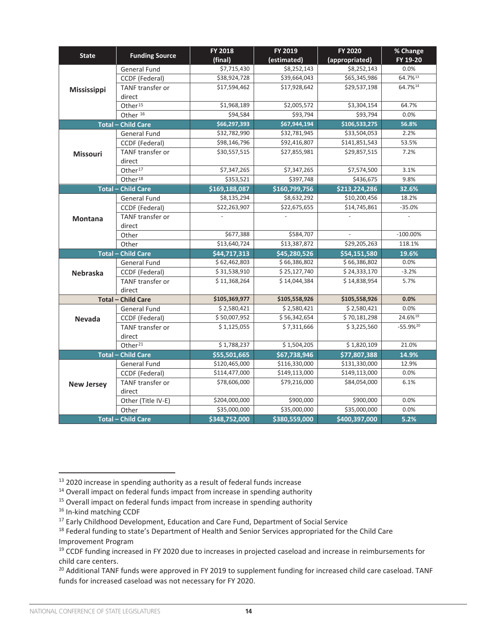| <b>State</b>       | <b>Funding Source</b>     | FY 2018       | FY 2019       | FY 2020        | % Change      |
|--------------------|---------------------------|---------------|---------------|----------------|---------------|
|                    |                           | (final)       | (estimated)   | (appropriated) | FY 19-20      |
|                    | General Fund              | \$7,715,430   | \$8,252,143   | \$8,252,143    | 0.0%          |
|                    | CCDF (Federal)            | \$38,924,728  | \$39,664,043  | \$65,345,986   | 64.7%13       |
| <b>Mississippi</b> | <b>TANF</b> transfer or   | \$17,594,462  | \$17,928,642  | \$29,537,198   | 64.7%14       |
|                    | direct                    |               |               |                |               |
|                    | Other <sup>15</sup>       | \$1,968,189   | \$2,005,572   | \$3,304,154    | 64.7%         |
|                    | Other <sup>16</sup>       | \$94,584      | \$93,794      | \$93,794       | 0.0%          |
|                    | <b>Total - Child Care</b> | \$66,297,393  | \$67,944,194  | \$106,533,275  | 56.8%         |
|                    | General Fund              | \$32,782,990  | \$32,781,945  | \$33,504,053   | 2.2%          |
|                    | CCDF (Federal)            | \$98,146,796  | \$92,416,807  | \$141,851,543  | 53.5%         |
| <b>Missouri</b>    | TANF transfer or          | \$30,557,515  | \$27,855,981  | \$29,857,515   | 7.2%          |
|                    | direct                    |               |               |                |               |
|                    | Other <sup>17</sup>       | \$7,347,265   | \$7,347,265   | \$7,574,500    | 3.1%          |
|                    | Other <sup>18</sup>       | \$353,521     | \$397,748     | \$436,675      | 9.8%          |
|                    | <b>Total - Child Care</b> | \$169,188,087 | \$160,799,756 | \$213,224,286  | 32.6%         |
|                    | <b>General Fund</b>       | \$8,135,294   | \$8,632,292   | \$10,200,456   | 18.2%         |
|                    | CCDF (Federal)            | \$22,263,907  | \$22,675,655  | \$14,745,861   | $-35.0%$      |
| <b>Montana</b>     | TANF transfer or          |               |               |                |               |
|                    | direct                    |               |               |                |               |
|                    | Other                     | \$677,388     | \$584,707     | $\mathcal{L}$  | $-100.00\%$   |
|                    | Other                     | \$13,640,724  | \$13,387,872  | \$29,205,263   | 118.1%        |
|                    | <b>Total - Child Care</b> | \$44,717,313  | \$45,280,526  | \$54,151,580   | 19.6%         |
|                    | General Fund              | \$62,462,803  | \$66,386,802  | \$66,386,802   | 0.0%          |
| <b>Nebraska</b>    | CCDF (Federal)            | \$31,538,910  | \$25,127,740  | \$24,333,170   | $-3.2%$       |
|                    | TANF transfer or          | \$11,368,264  | \$14,044,384  | \$14,838,954   | 5.7%          |
|                    | direct                    |               |               |                |               |
|                    | <b>Total - Child Care</b> | \$105,369,977 | \$105,558,926 | \$105,558,926  | 0.0%          |
|                    | <b>General Fund</b>       | \$2,580,421   | \$2,580,421   | \$2,580,421    | 0.0%          |
| <b>Nevada</b>      | CCDF (Federal)            | \$50,007,952  | \$56,342,654  | \$70,181,298   | 24.6%19       |
|                    | TANF transfer or          | \$1,125,055   | \$7,311,666   | \$3,225,560    | $-55.9%^{20}$ |
|                    | direct                    |               |               |                |               |
|                    | Other <sup>21</sup>       | \$1,788,237   | \$1,504,205   | \$1,820,109    | 21.0%         |
|                    | <b>Total - Child Care</b> | \$55,501,665  | \$67,738,946  | \$77,807,388   | 14.9%         |
|                    | General Fund              | \$120,465,000 | \$116,330,000 | \$131,330,000  | 12.9%         |
|                    | CCDF (Federal)            | \$114,477,000 | \$149,113,000 | \$149,113,000  | 0.0%          |
| <b>New Jersey</b>  | TANF transfer or          | \$78,606,000  | \$79,216,000  | \$84,054,000   | 6.1%          |
|                    | direct                    |               |               |                |               |
|                    | Other (Title IV-E)        | \$204,000,000 | \$900,000     | \$900,000      | 0.0%          |
|                    | Other                     | \$35,000,000  | \$35,000,000  | \$35,000,000   | 0.0%          |
|                    | <b>Total - Child Care</b> | \$348.752.000 | \$380,559,000 | \$400,397,000  | 5.2%          |

<sup>&</sup>lt;sup>13</sup> 2020 increase in spending authority as a result of federal funds increase

<sup>&</sup>lt;sup>14</sup> Overall impact on federal funds impact from increase in spending authority

<sup>&</sup>lt;sup>15</sup> Overall impact on federal funds impact from increase in spending authority

<sup>&</sup>lt;sup>16</sup> In-kind matching CCDF

<sup>&</sup>lt;sup>17</sup> Early Childhood Development, Education and Care Fund, Department of Social Service

<sup>&</sup>lt;sup>18</sup> Federal funding to state's Department of Health and Senior Services appropriated for the Child Care Improvement Program

<sup>&</sup>lt;sup>19</sup> CCDF funding increased in FY 2020 due to increases in projected caseload and increase in reimbursements for child care centers.

<sup>&</sup>lt;sup>20</sup> Additional TANF funds were approved in FY 2019 to supplement funding for increased child care caseload. TANF funds for increased caseload was not necessary for FY 2020.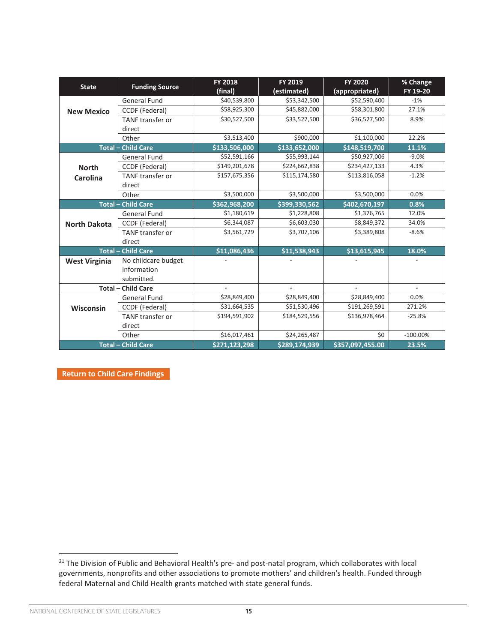| <b>State</b>         | <b>Funding Source</b>     | <b>FY 2018</b><br>(final) | FY 2019<br>(estimated) | <b>FY 2020</b><br>(appropriated) | % Change<br>FY 19-20 |
|----------------------|---------------------------|---------------------------|------------------------|----------------------------------|----------------------|
|                      | <b>General Fund</b>       | \$40,539,800              | \$53,342,500           | \$52,590,400                     | $-1%$                |
| <b>New Mexico</b>    | <b>CCDF</b> (Federal)     | \$58,925,300              | \$45,882,000           | \$58,301,800                     | 27.1%                |
|                      | TANF transfer or          | \$30,527,500              | \$33,527,500           | \$36,527,500                     | 8.9%                 |
|                      | direct                    |                           |                        |                                  |                      |
|                      | Other                     | \$3,513,400               | \$900,000              | \$1,100,000                      | 22.2%                |
|                      | <b>Total - Child Care</b> | \$133,506,000             | \$133,652,000          | \$148,519,700                    | 11.1%                |
|                      | <b>General Fund</b>       | \$52,591,166              | \$55,993,144           | \$50,927,006                     | $-9.0%$              |
| <b>North</b>         | <b>CCDF</b> (Federal)     | \$149,201,678             | \$224,662,838          | \$234,427,133                    | 4.3%                 |
| <b>Carolina</b>      | <b>TANF</b> transfer or   | \$157,675,356             | \$115,174,580          | \$113,816,058                    | $-1.2%$              |
|                      | direct                    |                           |                        |                                  |                      |
|                      | Other                     | \$3,500,000               | \$3,500,000            | \$3,500,000                      | 0.0%                 |
|                      | <b>Total - Child Care</b> | \$362,968,200             | \$399,330,562          | \$402,670,197                    | 0.8%                 |
|                      | <b>General Fund</b>       | \$1,180,619               | \$1,228,808            | \$1,376,765                      | 12.0%                |
| <b>North Dakota</b>  | CCDF (Federal)            | \$6,344,087               | \$6,603,030            | \$8,849,372                      | 34.0%                |
|                      | TANF transfer or          | \$3,561,729               | \$3,707,106            | \$3,389,808                      | $-8.6%$              |
|                      | direct                    |                           |                        |                                  |                      |
|                      | <b>Total - Child Care</b> | \$11,086,436              | \$11,538,943           | \$13,615,945                     | 18.0%                |
| <b>West Virginia</b> | No childcare budget       |                           |                        |                                  |                      |
|                      | information               |                           |                        |                                  |                      |
|                      | submitted.                |                           |                        |                                  |                      |
|                      | <b>Total - Child Care</b> |                           |                        |                                  | $\blacksquare$       |
|                      | <b>General Fund</b>       | \$28,849,400              | \$28,849,400           | \$28,849,400                     | 0.0%                 |
| <b>Wisconsin</b>     | CCDF (Federal)            | \$31,664,535              | \$51,530,496           | \$191,269,591                    | 271.2%               |
|                      | TANF transfer or          | \$194,591,902             | \$184,529,556          | \$136,978,464                    | $-25.8%$             |
|                      | direct                    |                           |                        |                                  |                      |
|                      | Other                     | \$16,017,461              | \$24,265,487           | \$0                              | $-100.00\%$          |
|                      | <b>Total - Child Care</b> | \$271,123,298             | \$289,174,939          | \$357,097,455.00                 | 23.5%                |

**Appendix Color Key** [Return to Child Care Findings](#page-2-0) **in Funding and A** 

<sup>&</sup>lt;sup>21</sup> The Division of Public and Behavioral Health's pre- and post-natal program, which collaborates with local governments, nonprofits and other associations to promote mothers' and children's health. Funded through federal Maternal and Child Health grants matched with state general funds.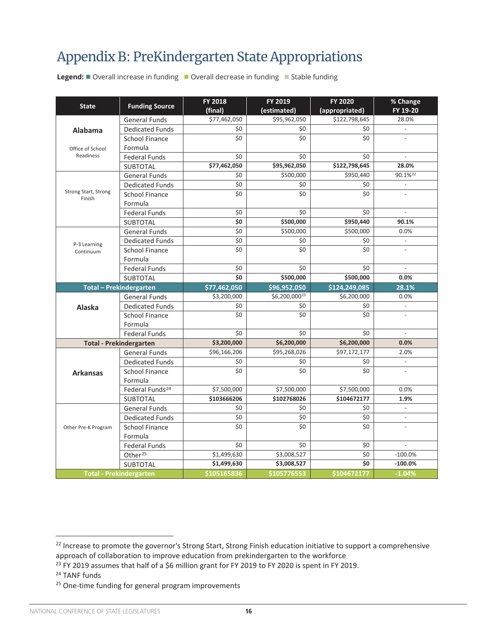### <span id="page-15-0"></span>Appendix B: PreKindergarten State Appropriations **Appendix B: Prekindergarten State Appropriations**

**Legend:** ■ Overall increase in funding ■ Overall decrease in funding ■ Stable funding

| <b>State</b>                   | <b>Funding Source</b>          | <b>FY 2018</b><br>(final) | FY 2019<br>(estimated) | <b>FY 2020</b><br>(appropriated) | % Change<br>FY 19-20     |
|--------------------------------|--------------------------------|---------------------------|------------------------|----------------------------------|--------------------------|
|                                | <b>General Funds</b>           | \$77,462,050              | \$95,962,050           | \$122,798,645                    | 28.0%                    |
| <b>Alabama</b>                 | <b>Dedicated Funds</b>         | \$0                       | \$0                    | \$0                              | $\frac{1}{2}$            |
|                                | <b>School Finance</b>          | \$0                       | \$0                    | \$0                              |                          |
| Office of School               | Formula                        |                           |                        |                                  |                          |
| Readiness                      | <b>Federal Funds</b>           | \$0                       | \$0                    | \$0                              | $\overline{\phantom{a}}$ |
|                                | <b>SUBTOTAL</b>                | \$77,462,050              | \$95,962,050           | \$122,798,645                    | 28.0%                    |
|                                | <b>General Funds</b>           | \$0                       | \$500,000              | \$950,440                        | 90.1% <sup>22</sup>      |
|                                | <b>Dedicated Funds</b>         | \$0                       | \$0                    | \$0                              |                          |
| Strong Start, Strong<br>Finish | <b>School Finance</b>          | \$0                       | \$0                    | \$0                              | $\overline{a}$           |
|                                | Formula                        |                           |                        |                                  |                          |
|                                | <b>Federal Funds</b>           | \$0                       | \$0                    | \$0                              | $\overline{\phantom{a}}$ |
|                                | <b>SUBTOTAL</b>                | \$0                       | \$500,000              | \$950,440                        | 90.1%                    |
|                                | <b>General Funds</b>           | $\overline{\xi_0}$        | \$500,000              | \$500,000                        | 0.0%                     |
| P-3 Learning                   | <b>Dedicated Funds</b>         | \$0                       | \$0                    | \$0                              | $\overline{\phantom{a}}$ |
| Continuum                      | <b>School Finance</b>          | \$0                       | \$0                    | \$0                              |                          |
|                                | Formula                        |                           |                        |                                  |                          |
|                                | <b>Federal Funds</b>           | \$0                       | \$0                    | \$0                              |                          |
|                                | <b>SUBTOTAL</b>                | \$0                       | \$500,000              | \$500,000                        | 0.0%                     |
|                                | <b>Total - Prekindergarten</b> | \$77,462,050              | \$96,952,050           | \$124,249,085                    | 28.1%                    |
|                                | <b>General Funds</b>           | \$3,200,000               | \$6,200,00023          | \$6,200,000                      | 0.0%                     |
| Alaska                         | <b>Dedicated Funds</b>         | \$0                       | \$0                    | \$0                              | $\overline{\phantom{a}}$ |
|                                | <b>School Finance</b>          | \$0                       | \$0                    | \$0                              |                          |
|                                | Formula                        |                           |                        |                                  |                          |
|                                | <b>Federal Funds</b>           | \$0                       | \$0                    | \$0                              | $\frac{1}{2}$            |
|                                | <b>Total - Prekindergarten</b> | \$3,200,000               | \$6,200,000            | \$6,200,000                      | 0.0%                     |
|                                | <b>General Funds</b>           | \$96,166,206              | \$95,268,026           | \$97,172,177                     | 2.0%                     |
|                                | <b>Dedicated Funds</b>         | \$0                       | \$0                    | \$0                              | $\blacksquare$           |
| <b>Arkansas</b>                | <b>School Finance</b>          | $\overline{\$0}$          | \$0                    | \$0                              |                          |
|                                | Formula                        |                           |                        |                                  |                          |
|                                | Federal Funds <sup>24</sup>    | \$7,500,000               | \$7,500,000            | \$7,500,000                      | 0.0%                     |
|                                | <b>SUBTOTAL</b>                | \$103666206               | \$102768026            | \$104672177                      | 1.9%                     |
|                                | <b>General Funds</b>           | \$0                       | \$0                    | \$0                              | $\overline{\phantom{a}}$ |
|                                | <b>Dedicated Funds</b>         | $\overline{\xi_0}$        | \$0                    | $\overline{\xi_0}$               |                          |
| Other Pre-K Program            | <b>School Finance</b>          | \$0                       | \$0                    | \$0                              |                          |
|                                | Formula                        |                           |                        |                                  |                          |
|                                | <b>Federal Funds</b>           | \$0                       | \$0                    | \$0                              | $\overline{a}$           |
|                                | Other <sup>25</sup>            | \$1,499,630               | \$3,008,527            | $\overline{\xi_0}$               | $-100.0%$                |
|                                | <b>SUBTOTAL</b>                | \$1,499,630               | \$3,008,527            | \$0                              | $-100.0%$                |
|                                | <b>Total - Prekindergarten</b> | \$105165836               | \$105776553            | \$104672177                      | $-1.04%$                 |

<sup>22</sup> Increase to promote the governor's Strong Start, Strong Finish education initiative to support a comprehensive approach of collaboration to improve education from prekindergarten to the workforce <sup>22</sup> Increase to promote the governor's Strong Start, Strong Finish education initiative to support a comprehensive

<sup>&</sup>lt;sup>23</sup> FY 2019 assumes that half of a \$6 million grant for FY 2019 to FY 2020 is spent in FY 2019.<br><sup>24</sup> TANE for the F

<sup>24</sup> TANF funds

<sup>&</sup>lt;sup>23</sup> FY 2019 assumes that half of a 6 million grant for FY 2019 to FY 2019 to FY 2019 is spent in FY 2019.<br><sup>25</sup> million grant for FY 2019 to FY 2019. <sup>25</sup> One-time funding for general program improvements <sup>25</sup> One-time funding for general program improvements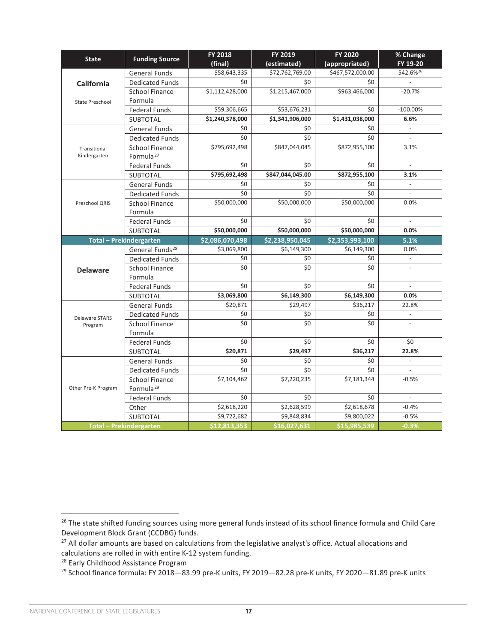|                                              |                                                                                                                                                                                                                                                                                                                                                                                                                                                                                                                                                                                                                                                                                                                                                                                                                                                                                                                                                                                                                                                                                                                                                                                                                                         | <b>FY 2018</b>  | FY 2019         | <b>FY 2020</b>             | % Change                 |
|----------------------------------------------|-----------------------------------------------------------------------------------------------------------------------------------------------------------------------------------------------------------------------------------------------------------------------------------------------------------------------------------------------------------------------------------------------------------------------------------------------------------------------------------------------------------------------------------------------------------------------------------------------------------------------------------------------------------------------------------------------------------------------------------------------------------------------------------------------------------------------------------------------------------------------------------------------------------------------------------------------------------------------------------------------------------------------------------------------------------------------------------------------------------------------------------------------------------------------------------------------------------------------------------------|-----------------|-----------------|----------------------------|--------------------------|
| <b>State</b>                                 |                                                                                                                                                                                                                                                                                                                                                                                                                                                                                                                                                                                                                                                                                                                                                                                                                                                                                                                                                                                                                                                                                                                                                                                                                                         | (final)         | (estimated)     | (appropriated)             | FY 19-20                 |
|                                              | <b>General Funds</b>                                                                                                                                                                                                                                                                                                                                                                                                                                                                                                                                                                                                                                                                                                                                                                                                                                                                                                                                                                                                                                                                                                                                                                                                                    | \$58,643,335    | \$72,762,769.00 | \$467,572,000.00           | 542.6%26                 |
| <b>California</b>                            | <b>Dedicated Funds</b>                                                                                                                                                                                                                                                                                                                                                                                                                                                                                                                                                                                                                                                                                                                                                                                                                                                                                                                                                                                                                                                                                                                                                                                                                  | \$0             | \$0             | \$0                        | $\frac{1}{2}$            |
|                                              | <b>School Finance</b>                                                                                                                                                                                                                                                                                                                                                                                                                                                                                                                                                                                                                                                                                                                                                                                                                                                                                                                                                                                                                                                                                                                                                                                                                   | \$1,112,428,000 | \$1,215,467,000 | \$963,466,000              | $-20.7%$                 |
| State Preschool                              | Formula                                                                                                                                                                                                                                                                                                                                                                                                                                                                                                                                                                                                                                                                                                                                                                                                                                                                                                                                                                                                                                                                                                                                                                                                                                 |                 |                 |                            |                          |
|                                              | <b>Federal Funds</b>                                                                                                                                                                                                                                                                                                                                                                                                                                                                                                                                                                                                                                                                                                                                                                                                                                                                                                                                                                                                                                                                                                                                                                                                                    | \$59,306,665    | \$53,676,231    | \$0                        | $-100.00\%$              |
|                                              | <b>SUBTOTAL</b>                                                                                                                                                                                                                                                                                                                                                                                                                                                                                                                                                                                                                                                                                                                                                                                                                                                                                                                                                                                                                                                                                                                                                                                                                         | \$1,240,378,000 | \$1,341,906,000 | \$1,431,038,000            | 6.6%                     |
|                                              | <b>General Funds</b>                                                                                                                                                                                                                                                                                                                                                                                                                                                                                                                                                                                                                                                                                                                                                                                                                                                                                                                                                                                                                                                                                                                                                                                                                    | \$0             | \$0             | \$0                        |                          |
|                                              | <b>Dedicated Funds</b>                                                                                                                                                                                                                                                                                                                                                                                                                                                                                                                                                                                                                                                                                                                                                                                                                                                                                                                                                                                                                                                                                                                                                                                                                  | \$0             | \$0             | \$0                        | $\overline{\phantom{a}}$ |
| Transitional                                 | <b>School Finance</b>                                                                                                                                                                                                                                                                                                                                                                                                                                                                                                                                                                                                                                                                                                                                                                                                                                                                                                                                                                                                                                                                                                                                                                                                                   | \$795,692,498   | \$847,044,045   | \$872,955,100              | 3.1%                     |
| Kindergarten                                 | Formula <sup>27</sup>                                                                                                                                                                                                                                                                                                                                                                                                                                                                                                                                                                                                                                                                                                                                                                                                                                                                                                                                                                                                                                                                                                                                                                                                                   |                 |                 |                            |                          |
|                                              | <b>Federal Funds</b>                                                                                                                                                                                                                                                                                                                                                                                                                                                                                                                                                                                                                                                                                                                                                                                                                                                                                                                                                                                                                                                                                                                                                                                                                    | \$0             | \$0             | \$0                        |                          |
|                                              | <b>Funding Source</b><br>\$795,692,498<br>\$847,044,045.00<br><b>SUBTOTAL</b><br><b>General Funds</b><br>\$0<br>\$0<br>\$0<br>\$0<br><b>Dedicated Funds</b><br>\$50,000,000<br>\$50,000,000<br><b>School Finance</b><br>Formula<br>\$0<br>\$0<br><b>Federal Funds</b><br>\$50,000,000<br>\$50,000,000<br><b>SUBTOTAL</b><br>\$2,086,070,498<br>\$2,238,950,045<br><b>Total - Prekindergarten</b><br>General Funds <sup>28</sup><br>\$3,069,800<br>\$6,149,300<br><b>Dedicated Funds</b><br>\$0<br>\$0<br>\$0<br>\$0<br><b>School Finance</b><br>Formula<br>\$0<br>\$0<br><b>Federal Funds</b><br>\$3,069,800<br>\$6,149,300<br><b>SUBTOTAL</b><br>\$20,871<br>\$29,497<br><b>General Funds</b><br>\$0<br>\$0<br><b>Dedicated Funds</b><br>\$0<br>\$0<br><b>School Finance</b><br>Formula<br>\$0<br>\$0<br><b>Federal Funds</b><br>\$20,871<br>\$29,497<br><b>SUBTOTAL</b><br>\$0<br>\$0<br><b>General Funds</b><br>\$0<br>\$0<br><b>Dedicated Funds</b><br>\$7,104,462<br>\$7,220,235<br><b>School Finance</b><br>Formula <sup>29</sup><br>\$0<br>\$0<br><b>Federal Funds</b><br>\$2,618,220<br>\$2,628,599<br>Other<br>\$9,722,682<br>\$9,848,834<br><b>SUBTOTAL</b><br>\$12,813,353<br>\$16.027.631<br><b>Total - Prekindergarten</b> | \$872,955,100   | 3.1%            |                            |                          |
|                                              |                                                                                                                                                                                                                                                                                                                                                                                                                                                                                                                                                                                                                                                                                                                                                                                                                                                                                                                                                                                                                                                                                                                                                                                                                                         |                 |                 | \$0                        | $\overline{\phantom{a}}$ |
| Preschool ORIS                               |                                                                                                                                                                                                                                                                                                                                                                                                                                                                                                                                                                                                                                                                                                                                                                                                                                                                                                                                                                                                                                                                                                                                                                                                                                         |                 |                 | \$0                        | $\frac{1}{2}$            |
|                                              |                                                                                                                                                                                                                                                                                                                                                                                                                                                                                                                                                                                                                                                                                                                                                                                                                                                                                                                                                                                                                                                                                                                                                                                                                                         |                 |                 | \$50,000,000               | 0.0%                     |
|                                              |                                                                                                                                                                                                                                                                                                                                                                                                                                                                                                                                                                                                                                                                                                                                                                                                                                                                                                                                                                                                                                                                                                                                                                                                                                         |                 |                 |                            |                          |
|                                              |                                                                                                                                                                                                                                                                                                                                                                                                                                                                                                                                                                                                                                                                                                                                                                                                                                                                                                                                                                                                                                                                                                                                                                                                                                         |                 |                 | \$0                        | $\overline{a}$           |
|                                              |                                                                                                                                                                                                                                                                                                                                                                                                                                                                                                                                                                                                                                                                                                                                                                                                                                                                                                                                                                                                                                                                                                                                                                                                                                         |                 |                 | \$50,000,000               | 0.0%                     |
|                                              |                                                                                                                                                                                                                                                                                                                                                                                                                                                                                                                                                                                                                                                                                                                                                                                                                                                                                                                                                                                                                                                                                                                                                                                                                                         |                 |                 | \$2,353,993,100            | 5.1%                     |
|                                              |                                                                                                                                                                                                                                                                                                                                                                                                                                                                                                                                                                                                                                                                                                                                                                                                                                                                                                                                                                                                                                                                                                                                                                                                                                         |                 |                 | \$6,149,300                | 0.0%                     |
|                                              |                                                                                                                                                                                                                                                                                                                                                                                                                                                                                                                                                                                                                                                                                                                                                                                                                                                                                                                                                                                                                                                                                                                                                                                                                                         |                 |                 | \$0                        | $\blacksquare$           |
| <b>Delaware</b>                              |                                                                                                                                                                                                                                                                                                                                                                                                                                                                                                                                                                                                                                                                                                                                                                                                                                                                                                                                                                                                                                                                                                                                                                                                                                         |                 |                 | \$0                        |                          |
|                                              |                                                                                                                                                                                                                                                                                                                                                                                                                                                                                                                                                                                                                                                                                                                                                                                                                                                                                                                                                                                                                                                                                                                                                                                                                                         |                 |                 |                            |                          |
|                                              |                                                                                                                                                                                                                                                                                                                                                                                                                                                                                                                                                                                                                                                                                                                                                                                                                                                                                                                                                                                                                                                                                                                                                                                                                                         |                 |                 | \$0                        | $\bar{\phantom{a}}$      |
|                                              |                                                                                                                                                                                                                                                                                                                                                                                                                                                                                                                                                                                                                                                                                                                                                                                                                                                                                                                                                                                                                                                                                                                                                                                                                                         |                 |                 | \$6,149,300                | 0.0%                     |
|                                              |                                                                                                                                                                                                                                                                                                                                                                                                                                                                                                                                                                                                                                                                                                                                                                                                                                                                                                                                                                                                                                                                                                                                                                                                                                         |                 |                 | \$36,217                   | 22.8%                    |
|                                              |                                                                                                                                                                                                                                                                                                                                                                                                                                                                                                                                                                                                                                                                                                                                                                                                                                                                                                                                                                                                                                                                                                                                                                                                                                         |                 |                 | \$0                        | $\overline{\phantom{a}}$ |
| Program                                      |                                                                                                                                                                                                                                                                                                                                                                                                                                                                                                                                                                                                                                                                                                                                                                                                                                                                                                                                                                                                                                                                                                                                                                                                                                         |                 |                 | $\overline{\overline{50}}$ |                          |
|                                              |                                                                                                                                                                                                                                                                                                                                                                                                                                                                                                                                                                                                                                                                                                                                                                                                                                                                                                                                                                                                                                                                                                                                                                                                                                         |                 |                 |                            |                          |
| <b>Delaware STARS</b><br>Other Pre-K Program |                                                                                                                                                                                                                                                                                                                                                                                                                                                                                                                                                                                                                                                                                                                                                                                                                                                                                                                                                                                                                                                                                                                                                                                                                                         |                 |                 | \$0                        | \$0                      |
|                                              |                                                                                                                                                                                                                                                                                                                                                                                                                                                                                                                                                                                                                                                                                                                                                                                                                                                                                                                                                                                                                                                                                                                                                                                                                                         |                 |                 | \$36,217                   | 22.8%                    |
|                                              |                                                                                                                                                                                                                                                                                                                                                                                                                                                                                                                                                                                                                                                                                                                                                                                                                                                                                                                                                                                                                                                                                                                                                                                                                                         |                 |                 | \$0                        | $\overline{\phantom{a}}$ |
|                                              |                                                                                                                                                                                                                                                                                                                                                                                                                                                                                                                                                                                                                                                                                                                                                                                                                                                                                                                                                                                                                                                                                                                                                                                                                                         |                 |                 | \$0                        |                          |
|                                              |                                                                                                                                                                                                                                                                                                                                                                                                                                                                                                                                                                                                                                                                                                                                                                                                                                                                                                                                                                                                                                                                                                                                                                                                                                         |                 |                 | \$7,181,344                | $-0.5%$                  |
|                                              |                                                                                                                                                                                                                                                                                                                                                                                                                                                                                                                                                                                                                                                                                                                                                                                                                                                                                                                                                                                                                                                                                                                                                                                                                                         |                 |                 |                            |                          |
|                                              |                                                                                                                                                                                                                                                                                                                                                                                                                                                                                                                                                                                                                                                                                                                                                                                                                                                                                                                                                                                                                                                                                                                                                                                                                                         |                 |                 | \$0                        | $\overline{\phantom{a}}$ |
|                                              |                                                                                                                                                                                                                                                                                                                                                                                                                                                                                                                                                                                                                                                                                                                                                                                                                                                                                                                                                                                                                                                                                                                                                                                                                                         |                 |                 | \$2,618,678                | $-0.4%$                  |
|                                              |                                                                                                                                                                                                                                                                                                                                                                                                                                                                                                                                                                                                                                                                                                                                                                                                                                                                                                                                                                                                                                                                                                                                                                                                                                         |                 |                 | \$9,800,022                | $-0.5%$                  |
|                                              |                                                                                                                                                                                                                                                                                                                                                                                                                                                                                                                                                                                                                                                                                                                                                                                                                                                                                                                                                                                                                                                                                                                                                                                                                                         |                 |                 | \$15,985,539               | $-0.3%$                  |

<sup>&</sup>lt;sup>26</sup> The state shifted funding sources using more general funds instead of its school finance formula and Child Care Development Block Grant (CCDBG) funds.

<sup>&</sup>lt;sup>27</sup> All dollar amounts are based on calculations from the legislative analyst's office. Actual allocations and calculations are rolled in with entire K-12 system funding.

<sup>&</sup>lt;sup>28</sup> Early Childhood Assistance Program

<sup>29</sup> School finance formula: FY 2018—83.99 pre-K units, FY 2019—82.28 pre-K units, FY 2020—81.89 pre-K units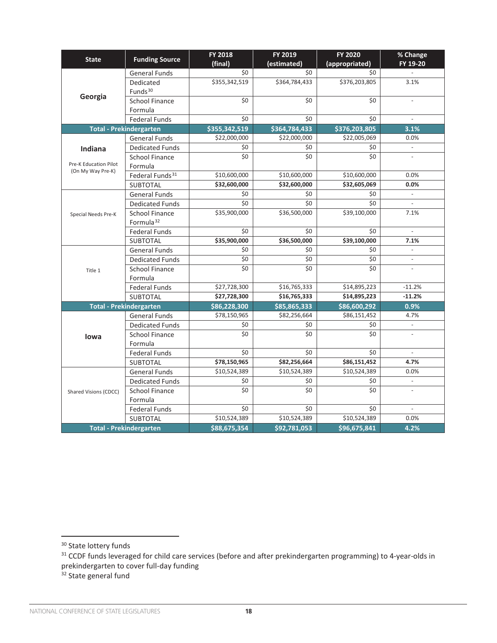| <b>State</b>                 | <b>Funding Source</b>                          | <b>FY 2018</b><br>(final) | FY 2019<br>(estimated) | <b>FY 2020</b><br>(appropriated) | % Change<br>FY 19-20         |
|------------------------------|------------------------------------------------|---------------------------|------------------------|----------------------------------|------------------------------|
|                              | <b>General Funds</b>                           | \$0                       | \$0                    | \$0                              |                              |
|                              | Dedicated<br>Funds <sup>30</sup>               | \$355,342,519             | \$364,784,433          | \$376,203,805                    | 3.1%                         |
| Georgia                      | <b>School Finance</b><br>Formula               | \$0                       | \$0                    | \$0                              | $\overline{a}$               |
|                              | <b>Federal Funds</b>                           | \$0                       | \$0                    | \$0                              |                              |
|                              | <b>Total - Prekindergarten</b>                 | \$355,342,519             | \$364,784,433          | \$376,203,805                    | 3.1%                         |
|                              | <b>General Funds</b>                           | \$22,000,000              | \$22,000,000           | \$22,005,069                     | 0.0%                         |
| Indiana                      | <b>Dedicated Funds</b>                         | \$0                       | \$0                    | \$0                              | $\overline{\phantom{a}}$     |
|                              | <b>School Finance</b>                          | \$0                       | \$0                    | \$0                              |                              |
| <b>Pre-K Education Pilot</b> | Formula                                        |                           |                        |                                  |                              |
| (On My Way Pre-K)            | Federal Funds <sup>31</sup>                    | \$10,600,000              | \$10,600,000           | \$10,600,000                     | 0.0%                         |
|                              | <b>SUBTOTAL</b>                                | \$32,600,000              | \$32,600,000           | \$32,605,069                     | 0.0%                         |
|                              | <b>General Funds</b>                           | \$0                       | \$0                    | \$0                              | $\overline{\phantom{a}}$     |
|                              | <b>Dedicated Funds</b>                         | \$0                       | \$0                    | \$0                              | $\overline{a}$               |
| Special Needs Pre-K          | <b>School Finance</b><br>Formula <sup>32</sup> | \$35,900,000              | \$36,500,000           | \$39,100,000                     | 7.1%                         |
|                              | <b>Federal Funds</b>                           | \$0                       | \$0                    | \$0                              | $\overline{a}$               |
|                              | <b>SUBTOTAL</b>                                | \$35,900,000              | \$36,500,000           | \$39,100,000                     | 7.1%                         |
|                              | <b>General Funds</b>                           | \$0                       | \$0                    | \$0                              | $\overline{\phantom{m}}$     |
|                              | <b>Dedicated Funds</b>                         | \$0                       | \$0                    | \$0                              | $\overline{\phantom{a}}$     |
| Title 1                      | <b>School Finance</b>                          | \$0                       | \$0                    | \$0                              |                              |
|                              | Formula                                        |                           |                        |                                  |                              |
|                              | <b>Federal Funds</b>                           | \$27,728,300              | \$16,765,333           | \$14,895,223                     | $-11.2%$                     |
|                              | <b>SUBTOTAL</b>                                | \$27,728,300              | \$16,765,333           | \$14,895,223                     | $-11.2%$                     |
|                              | <b>Total - Prekindergarten</b>                 | \$86,228,300              | \$85,865,333           | \$86,600,292                     | 0.9%                         |
|                              | <b>General Funds</b>                           | \$78,150,965              | \$82,256,664           | \$86,151,452                     | 4.7%                         |
|                              | <b>Dedicated Funds</b>                         | \$0                       | \$0                    | \$0                              |                              |
| lowa                         | <b>School Finance</b>                          | \$0                       | \$0                    | \$0                              |                              |
|                              | Formula                                        |                           |                        |                                  |                              |
|                              | <b>Federal Funds</b>                           | \$0                       | \$0                    | \$0                              | $\overline{a}$               |
|                              | <b>SUBTOTAL</b>                                | \$78,150,965              | \$82,256,664           | \$86,151,452                     | 4.7%                         |
|                              | <b>General Funds</b>                           | \$10,524,389              | \$10,524,389           | \$10,524,389                     | 0.0%                         |
|                              | <b>Dedicated Funds</b>                         | \$0                       | \$0                    | \$0                              | $\overline{\phantom{a}}$     |
| Shared Visions (CDCC)        | <b>School Finance</b>                          | \$0                       | \$0                    | \$0                              |                              |
|                              | Formula                                        |                           |                        |                                  |                              |
|                              | <b>Federal Funds</b>                           | \$0                       | \$0                    | \$0                              | $\qquad \qquad \blacksquare$ |
|                              | <b>SUBTOTAL</b>                                | \$10,524,389              | \$10,524,389           | \$10,524,389                     | 0.0%                         |
|                              | <b>Total - Prekindergarten</b>                 | \$88,675,354              | \$92,781,053           | \$96,675,841                     | 4.2%                         |

<sup>&</sup>lt;sup>30</sup> State lottery funds

 $31$  CCDF funds leveraged for child care services (before and after prekindergarten programming) to 4-year-olds in prekindergarten to cover full-day funding

<sup>&</sup>lt;sup>32</sup> State general fund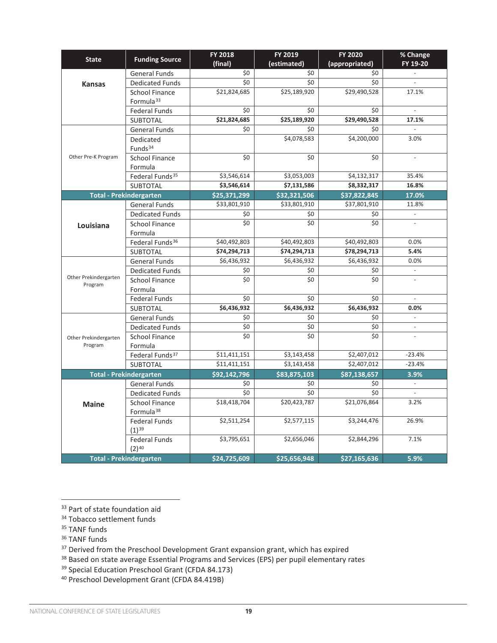| <b>State</b>                                                                                                                       | <b>Funding Source</b>            | <b>FY 2018</b><br>(final) | FY 2019<br>(estimated) | <b>FY 2020</b><br>(appropriated) | % Change<br>FY 19-20     |
|------------------------------------------------------------------------------------------------------------------------------------|----------------------------------|---------------------------|------------------------|----------------------------------|--------------------------|
|                                                                                                                                    | <b>General Funds</b>             | \$0                       | \$0                    | \$0                              | $\mathbb{L}$             |
| <b>Kansas</b>                                                                                                                      | <b>Dedicated Funds</b>           | \$0                       | \$0                    | \$0                              | $\overline{\phantom{a}}$ |
|                                                                                                                                    | <b>School Finance</b>            | \$21,824,685              | \$25,189,920           | \$29,490,528                     | 17.1%                    |
|                                                                                                                                    | Formula <sup>33</sup>            |                           |                        |                                  |                          |
|                                                                                                                                    | <b>Federal Funds</b>             | \$0                       | \$0                    | \$0                              | $\overline{\phantom{a}}$ |
|                                                                                                                                    | <b>SUBTOTAL</b>                  | \$21,824,685              | \$25,189,920           | \$29,490,528                     | 17.1%                    |
|                                                                                                                                    | <b>General Funds</b>             | \$0                       | \$0                    | \$0                              | $\overline{a}$           |
|                                                                                                                                    | Dedicated                        |                           | \$4,078,583            | \$4,200,000                      | 3.0%                     |
|                                                                                                                                    | Funds <sup>34</sup>              |                           |                        |                                  |                          |
|                                                                                                                                    | <b>School Finance</b>            | \$0                       | \$0                    | \$0                              | $\overline{a}$           |
|                                                                                                                                    | Formula                          |                           |                        |                                  |                          |
|                                                                                                                                    | Federal Funds <sup>35</sup>      | \$3,546,614               | \$3,053,003            | \$4,132,317                      | 35.4%                    |
|                                                                                                                                    | SUBTOTAL                         | \$3,546,614               | \$7,131,586            | \$8,332,317                      | 16.8%                    |
|                                                                                                                                    |                                  | \$25,371,299              | \$32,321,506           | \$37,822,845                     | 17.0%                    |
|                                                                                                                                    | <b>General Funds</b>             | \$33,801,910              | \$33,801,910           | \$37,801,910                     | 11.8%                    |
|                                                                                                                                    | <b>Dedicated Funds</b>           | \$0                       | \$0                    | \$0                              |                          |
| Louisiana                                                                                                                          | School Finance                   | \$0                       | \$0                    | \$0                              |                          |
|                                                                                                                                    | Formula                          |                           |                        |                                  |                          |
|                                                                                                                                    | Federal Funds <sup>36</sup>      | \$40,492,803              | \$40,492,803           | \$40,492,803                     | 0.0%                     |
|                                                                                                                                    | <b>SUBTOTAL</b>                  | \$74,294,713              | \$74,294,713           | \$78,294,713                     | 5.4%                     |
|                                                                                                                                    | <b>General Funds</b>             | \$6,436,932               | \$6,436,932            | \$6,436,932                      | 0.0%                     |
|                                                                                                                                    | <b>Dedicated Funds</b>           | \$0                       | \$0                    | \$0                              | $\overline{\phantom{a}}$ |
| Program                                                                                                                            | <b>School Finance</b>            | \$0                       | \$0                    | \$0                              |                          |
|                                                                                                                                    | Formula                          |                           |                        |                                  |                          |
| Other Pre-K Program<br><b>Total - Prekindergarten</b><br>Other Prekindergarten<br>Other Prekindergarten<br>Program<br><b>Maine</b> | Federal Funds                    | \$0                       | \$0                    | \$0                              |                          |
|                                                                                                                                    | <b>SUBTOTAL</b>                  | \$6,436,932               | \$6,436,932            | \$6,436,932                      | 0.0%                     |
|                                                                                                                                    | <b>General Funds</b>             | \$0                       | \$0                    | \$0                              | $\overline{\phantom{a}}$ |
|                                                                                                                                    | <b>Dedicated Funds</b>           | \$0<br>\$0                | \$0                    | \$0<br>\$0                       | $\overline{\phantom{a}}$ |
|                                                                                                                                    | <b>School Finance</b><br>Formula |                           | \$0                    |                                  |                          |
|                                                                                                                                    | Federal Funds <sup>37</sup>      | \$11,411,151              | \$3,143,458            | \$2,407,012                      | $-23.4%$                 |
|                                                                                                                                    | <b>SUBTOTAL</b>                  | \$11,411,151              | \$3,143,458            | \$2,407,012                      | $-23.4%$                 |
|                                                                                                                                    | <b>Total - Prekindergarten</b>   | \$92,142,796              | \$83,875,103           | \$87,138,657                     | 3.9%                     |
|                                                                                                                                    | <b>General Funds</b>             | \$0                       | \$0                    | \$0                              | $\overline{\phantom{a}}$ |
|                                                                                                                                    | <b>Dedicated Funds</b>           | \$0                       | \$0                    | \$0                              |                          |
|                                                                                                                                    | <b>School Finance</b>            | \$18,418,704              | \$20,423,787           | \$21,076,864                     | 3.2%                     |
|                                                                                                                                    | Formula <sup>38</sup>            |                           |                        |                                  |                          |
|                                                                                                                                    | <b>Federal Funds</b>             | \$2,511,254               | \$2,577,115            | \$3,244,476                      | 26.9%                    |
|                                                                                                                                    | $(1)^{39}$                       |                           |                        |                                  |                          |
|                                                                                                                                    | <b>Federal Funds</b>             | \$3,795,651               | \$2,656,046            | \$2,844,296                      | 7.1%                     |
|                                                                                                                                    | $(2)^{40}$                       |                           |                        |                                  |                          |
|                                                                                                                                    | <b>Total - Prekindergarten</b>   | \$24,725,609              | \$25,656,948           | \$27,165,636                     | 5.9%                     |

<sup>33</sup> Part of state foundation aid

<sup>36</sup> TANF funds

<sup>37</sup> Derived from the Preschool Development Grant expansion grant, which has expired

<sup>38</sup> Based on state average Essential Programs and Services (EPS) per pupil elementary rates

<sup>39</sup> Special Education Preschool Grant (CFDA 84.173)

<sup>40</sup> Preschool Development Grant (CFDA 84.419B)

<sup>34</sup> Tobacco settlement funds

<sup>&</sup>lt;sup>35</sup> TANF funds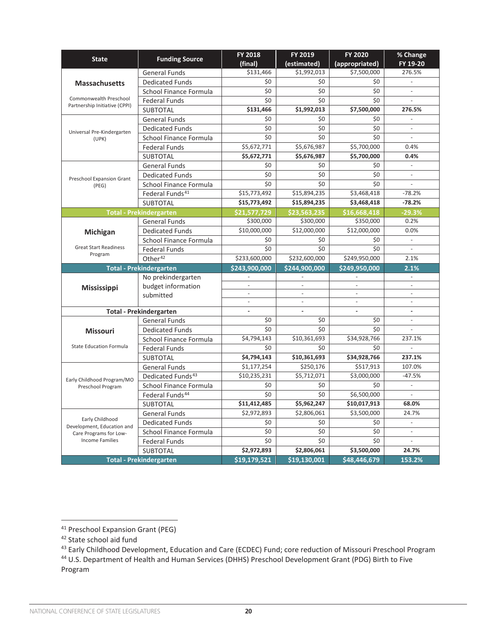| <b>State</b>                                            | <b>Funding Source</b>          | FY 2018                  | FY 2019                  | <b>FY 2020</b>           | % Change                 |
|---------------------------------------------------------|--------------------------------|--------------------------|--------------------------|--------------------------|--------------------------|
|                                                         |                                | (final)                  | (estimated)              | (appropriated)           | FY 19-20                 |
|                                                         | <b>General Funds</b>           | \$131,466                | \$1,992,013              | \$7,500,000              | 276.5%                   |
| <b>Massachusetts</b>                                    | <b>Dedicated Funds</b>         | \$0                      | \$0                      | \$0                      |                          |
|                                                         | School Finance Formula         | \$0                      | \$0                      | \$0                      | ÷,                       |
| Commonwealth Preschool<br>Partnership Initiative (CPPI) | <b>Federal Funds</b>           | \$0                      | \$0                      | \$0                      |                          |
|                                                         | <b>SUBTOTAL</b>                | \$131,466                | \$1,992,013              | \$7,500,000              | 276.5%                   |
| Universal Pre-Kindergarten                              | <b>General Funds</b>           | \$0                      | \$0                      | \$0                      |                          |
|                                                         | <b>Dedicated Funds</b>         | \$0                      | \$0                      | \$0                      | $\overline{\phantom{m}}$ |
| (UPK)                                                   | School Finance Formula         | \$0                      | \$0                      | \$0                      |                          |
|                                                         | <b>Federal Funds</b>           | \$5,672,771              | \$5,676,987              | \$5,700,000              | 0.4%                     |
|                                                         | <b>SUBTOTAL</b>                | \$5,672,771              | \$5,676,987              | \$5,700,000              | 0.4%                     |
|                                                         | <b>General Funds</b>           | \$0                      | \$0                      | \$0                      |                          |
| Preschool Expansion Grant                               | <b>Dedicated Funds</b>         | \$0                      | \$0                      | \$0                      | $\blacksquare$           |
| (PEG)                                                   | School Finance Formula         | \$0                      | \$0                      | \$0                      | ÷,                       |
|                                                         | Federal Funds <sup>41</sup>    | \$15,773,492             | \$15,894,235             | \$3,468,418              | $-78.2%$                 |
|                                                         | SUBTOTAL                       | \$15,773,492             | \$15,894,235             | \$3,468,418              | $-78.2%$                 |
|                                                         | <b>Total - Prekindergarten</b> | \$21,577,729             | \$23,563,235             | \$16,668,418             | $-29.3%$                 |
|                                                         | <b>General Funds</b>           | \$300,000                | \$300,000                | \$350,000                | 0.2%                     |
| Michigan                                                | <b>Dedicated Funds</b>         | \$10,000,000             | \$12,000,000             | \$12,000,000             | 0.0%                     |
|                                                         | School Finance Formula         | \$0                      | \$0                      | \$0                      | $\overline{a}$           |
| <b>Great Start Readiness</b>                            | <b>Federal Funds</b>           | \$0                      | \$0                      | \$0                      |                          |
| Program                                                 | Other <sup>42</sup>            | \$233,600,000            | \$232,600,000            | \$249,950,000            | 2.1%                     |
|                                                         | <b>Total - Prekindergarten</b> | \$243,900,000            | \$244,900,000            | \$249,950,000            | 2.1%                     |
|                                                         | No prekindergarten             |                          |                          |                          |                          |
| <b>Mississippi</b>                                      | budget information             | ä,                       |                          | $\overline{\phantom{a}}$ | $\overline{\phantom{a}}$ |
|                                                         | submitted                      | $\overline{\phantom{a}}$ |                          | $\overline{\phantom{a}}$ | $\overline{\phantom{a}}$ |
|                                                         |                                | $\Box$                   | $\overline{\phantom{a}}$ | $\overline{\phantom{a}}$ | $\overline{\phantom{a}}$ |
|                                                         | <b>Total - Prekindergarten</b> | ÷.                       |                          | $\overline{\phantom{a}}$ | $\overline{a}$           |
|                                                         | <b>General Funds</b>           | \$0                      | \$0                      | \$0                      | $\frac{1}{2}$            |
| <b>Missouri</b>                                         | <b>Dedicated Funds</b>         | \$0                      | \$0                      | \$0                      |                          |
|                                                         | School Finance Formula         | \$4,794,143              | \$10,361,693             | \$34,928,766             | 237.1%                   |
| <b>State Education Formula</b>                          | <b>Federal Funds</b>           | \$0                      | \$0                      | \$0                      |                          |
|                                                         | <b>SUBTOTAL</b>                | \$4,794,143              | \$10,361,693             | \$34,928,766             | 237.1%                   |
|                                                         | <b>General Funds</b>           | \$1,177,254              | \$250,176                | \$517,913                | 107.0%                   |
| Early Childhood Program/MO                              | Dedicated Funds <sup>43</sup>  | \$10,235,231             | \$5,712,071              | \$3,000,000              | $-47.5%$                 |
| Preschool Program                                       | School Finance Formula         | \$0                      | \$0                      | \$0                      | $\blacksquare$           |
|                                                         | Federal Funds <sup>44</sup>    | \$0                      | \$0                      | \$6,500,000              |                          |
|                                                         | <b>SUBTOTAL</b>                | \$11,412,485             | \$5,962,247              | \$10,017,913             | 68.0%                    |
|                                                         | <b>General Funds</b>           | \$2,972,893              | \$2,806,061              | \$3,500,000              | 24.7%                    |
| Early Childhood<br>Development, Education and           | <b>Dedicated Funds</b>         | \$0                      | \$0                      | \$0                      | $\overline{a}$           |
| Care Programs for Low-                                  | School Finance Formula         | \$0                      | \$0                      | \$0                      | $\overline{\phantom{a}}$ |
| <b>Income Families</b>                                  | <b>Federal Funds</b>           | \$0                      | \$0                      | \$0                      | ÷,                       |
|                                                         | <b>SUBTOTAL</b>                | \$2,972,893              | \$2,806,061              | \$3,500,000              | 24.7%                    |
|                                                         | <b>Total - Prekindergarten</b> | \$19,179,521             | \$19,130,001             | \$48,446,679             | 153.2%                   |

<sup>41</sup> Preschool Expansion Grant (PEG)

<sup>&</sup>lt;sup>42</sup> State school aid fund

<sup>&</sup>lt;sup>43</sup> Early Childhood Development, Education and Care (ECDEC) Fund; core reduction of Missouri Preschool Program

<sup>44</sup> U.S. Department of Health and Human Services (DHHS) Preschool Development Grant (PDG) Birth to Five Program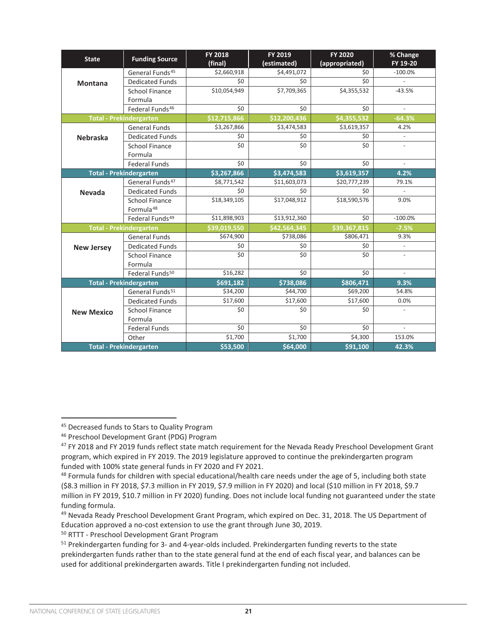| <b>State</b>                   | <b>Funding Source</b>                          | <b>FY 2018</b><br>(final) | FY 2019<br>(estimated) | <b>FY 2020</b><br>(appropriated) | % Change<br>FY 19-20     |
|--------------------------------|------------------------------------------------|---------------------------|------------------------|----------------------------------|--------------------------|
|                                | General Funds <sup>45</sup>                    | \$2,660,918               | \$4,491,072            | \$0                              | $-100.0%$                |
| <b>Montana</b>                 | <b>Dedicated Funds</b>                         | \$0                       | \$0                    | \$0                              | $\omega$                 |
|                                | School Finance                                 | \$10,054,949              | \$7,709,365            | \$4,355,532                      | $-43.5%$                 |
|                                | Formula                                        |                           |                        |                                  |                          |
|                                | Federal Funds <sup>46</sup>                    | \$0                       | \$0                    | \$0                              |                          |
| <b>Total - Prekindergarten</b> |                                                | \$12.715.866              | \$12.200.436           | \$4.355.532                      | $-64.3%$                 |
|                                | <b>General Funds</b>                           | \$3,267,866               | \$3,474,583            | \$3,619,357                      | 4.2%                     |
| <b>Nebraska</b>                | <b>Dedicated Funds</b>                         | \$0                       | \$0                    | \$0                              | $\omega$                 |
|                                | <b>School Finance</b>                          | \$0                       | \$0                    | \$0                              | $\overline{\phantom{a}}$ |
|                                | Formula                                        |                           |                        |                                  |                          |
|                                | <b>Federal Funds</b>                           | \$0                       | \$0                    | \$0                              | $\overline{\phantom{a}}$ |
| <b>Total - Prekindergarten</b> |                                                | \$3,267,866               | \$3,474,583            | \$3,619,357                      | 4.2%                     |
|                                | General Funds <sup>47</sup>                    | $\overline{$8,771,542}$   | \$11,603,073           | \$20,777,239                     | 79.1%                    |
| <b>Nevada</b>                  | <b>Dedicated Funds</b>                         | \$0                       | \$0                    | \$0                              | $\omega$                 |
|                                | <b>School Finance</b><br>Formula <sup>48</sup> | \$18,349,105              | \$17,048,912           | \$18,590,576                     | 9.0%                     |
|                                | Federal Funds <sup>49</sup>                    | \$11,898,903              | \$13,912,360           | \$0                              | $-100.0%$                |
|                                | <b>Total - Prekindergarten</b>                 | \$39,019,550              | \$42.564.345           | \$39,367,815                     | $-7.5%$                  |
|                                | <b>General Funds</b>                           | \$674,900                 | \$738,086              | \$806,471                        | 9.3%                     |
| <b>New Jersey</b>              | <b>Dedicated Funds</b>                         | \$0                       | \$0                    | \$0                              | $\overline{\phantom{a}}$ |
|                                | <b>School Finance</b>                          | \$0                       | \$0                    | \$0                              |                          |
|                                | Formula                                        |                           |                        |                                  |                          |
|                                | Federal Funds <sup>50</sup>                    | \$16,282                  | \$0                    | \$0                              | $\sim$                   |
|                                | <b>Total - Prekindergarten</b>                 | \$691,182                 | \$738,086              | \$806,471                        | 9.3%                     |
|                                | General Funds <sup>51</sup>                    | \$34,200                  | \$44,700               | \$69,200                         | 54.8%                    |
|                                | <b>Dedicated Funds</b>                         | \$17,600                  | \$17,600               | \$17,600                         | 0.0%                     |
| <b>New Mexico</b>              | <b>School Finance</b>                          | \$0                       | \$0                    | \$0                              | $\bar{a}$                |
|                                | Formula                                        |                           |                        |                                  |                          |
|                                | <b>Federal Funds</b>                           | \$0                       | \$0                    | \$0                              | $\sim$                   |
|                                | Other                                          | \$1,700                   | \$1,700                | \$4,300                          | 153.0%                   |
|                                | <b>Total - Prekindergarten</b>                 | \$53,500                  | \$64,000               | \$91,100                         | 42.3%                    |

<sup>&</sup>lt;sup>45</sup> Decreased funds to Stars to Quality Program

<sup>46</sup> Preschool Development Grant (PDG) Program

<sup>47</sup> FY 2018 and FY 2019 funds reflect state match requirement for the Nevada Ready Preschool Development Grant program, which expired in FY 2019. The 2019 legislature approved to continue the prekindergarten program funded with 100% state general funds in FY 2020 and FY 2021.

 $48$  Formula funds for children with special educational/health care needs under the age of 5, including both state (\$8.3 million in FY 2018, \$7.3 million in FY 2019, \$7.9 million in FY 2020) and local (\$10 million in FY 2018, \$9.7 million in FY 2019, \$10.7 million in FY 2020) funding. Does not include local funding not guaranteed under the state funding formula.

<sup>49</sup> Nevada Ready Preschool Development Grant Program, which expired on Dec. 31, 2018. The US Department of Education approved a no-cost extension to use the grant through June 30, 2019.

<sup>50</sup> RTTT - Preschool Development Grant Program

<sup>&</sup>lt;sup>51</sup> Prekindergarten funding for 3- and 4-year-olds included. Prekindergarten funding reverts to the state prekindergarten funds rather than to the state general fund at the end of each fiscal year, and balances can be used for additional prekindergarten awards. Title I prekindergarten funding not included.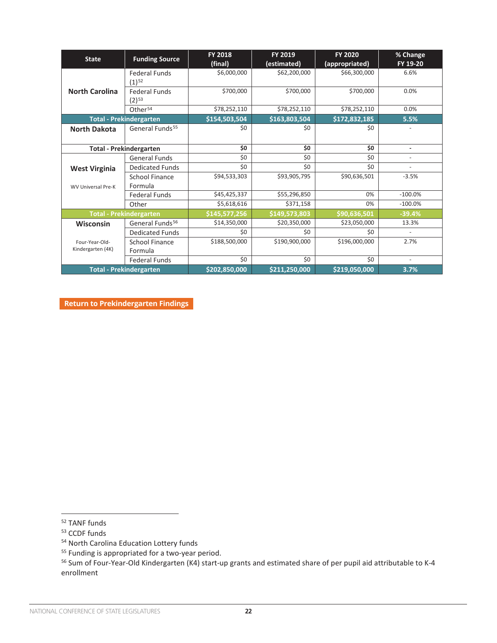| <b>State</b>                        | <b>Funding Source</b>              | <b>FY 2018</b><br>(final) | FY 2019<br>(estimated) | <b>FY 2020</b><br>(appropriated) | % Change<br>FY 19-20     |
|-------------------------------------|------------------------------------|---------------------------|------------------------|----------------------------------|--------------------------|
|                                     | <b>Federal Funds</b><br>$(1)^{52}$ | \$6,000,000               | \$62,200,000           | \$66,300,000                     | 6.6%                     |
| <b>North Carolina</b>               | <b>Federal Funds</b><br>$(2)^{53}$ | \$700,000                 | \$700,000              | \$700,000                        | 0.0%                     |
|                                     | Other <sup>54</sup>                | \$78,252,110              | \$78,252,110           | \$78,252,110                     | 0.0%                     |
|                                     | <b>Total - Prekindergarten</b>     | \$154,503,504             | \$163,803,504          | \$172,832,185                    | 5.5%                     |
| <b>North Dakota</b>                 | General Funds <sup>55</sup>        | \$0                       | \$0                    | \$0                              | $\overline{\phantom{a}}$ |
|                                     | <b>Total - Prekindergarten</b>     | \$0                       | \$0                    | \$0                              | ä,                       |
|                                     | General Funds                      | \$0                       | \$0                    | \$0                              | $\overline{\phantom{a}}$ |
| <b>West Virginia</b>                | <b>Dedicated Funds</b>             | \$0                       | \$0                    | \$0                              | ÷                        |
|                                     | <b>School Finance</b>              | \$94,533,303              | \$93,905,795           | \$90,636,501                     | $-3.5%$                  |
| <b>WV Universal Pre-K</b>           | Formula                            |                           |                        |                                  |                          |
|                                     | <b>Federal Funds</b>               | \$45,425,337              | \$55,296,850           | 0%                               | $-100.0%$                |
|                                     | Other                              | \$5,618,616               | \$371,158              | 0%                               | $-100.0%$                |
|                                     | <b>Total - Prekindergarten</b>     | \$145,577,256             | \$149,573,803          | \$90,636,501                     | $-39.4%$                 |
| <b>Wisconsin</b>                    | General Funds <sup>56</sup>        | \$14,350,000              | \$20,350,000           | \$23,050,000                     | 13.3%                    |
|                                     | <b>Dedicated Funds</b>             | \$0                       | \$0                    | \$0                              |                          |
| Four-Year-Old-<br>Kindergarten (4K) | School Finance<br>Formula          | \$188,500,000             | \$190,900,000          | \$196,000,000                    | 2.7%                     |
|                                     | <b>Federal Funds</b>               | \$0                       | \$0                    | \$0                              | $\overline{\phantom{a}}$ |
|                                     | <b>Total - Prekindergarten</b>     | \$202,850,000             | \$211,250,000          | \$219,050,000                    | 3.7%                     |

**[Return to Prekindergarten Findings](#page-4-0)** 

<sup>52</sup> TANF funds

<sup>53</sup> CCDF funds

<sup>54</sup> North Carolina Education Lottery funds

<sup>&</sup>lt;sup>55</sup> Funding is appropriated for a two-year period.

<sup>56</sup> Sum of Four-Year-Old Kindergarten (K4) start-up grants and estimated share of per pupil aid attributable to K-4 enrollment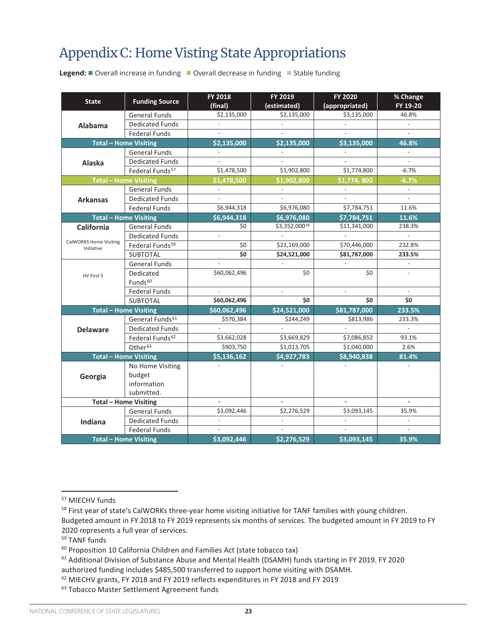# <span id="page-22-0"></span>Appendix C: Home Visting State Appropriations

**Legend:** ■ Overall increase in funding ■ Overall decrease in funding ■ Stable funding

| <b>State</b>                                | <b>Funding Source</b>                                | FY 2018<br>(final)       | FY 2019<br>(estimated)   | FY 2020<br>(appropriated) | % Change<br>FY 19-20     |
|---------------------------------------------|------------------------------------------------------|--------------------------|--------------------------|---------------------------|--------------------------|
|                                             | <b>General Funds</b>                                 | \$2,135,000              | \$2,135,000              | \$3,135,000               | 46.8%                    |
| Alabama                                     | <b>Dedicated Funds</b>                               |                          |                          |                           | $\Box$                   |
|                                             | <b>Federal Funds</b>                                 | $\overline{\phantom{a}}$ | $\overline{a}$           | $\overline{a}$            | $\overline{a}$           |
|                                             | <b>Total - Home Visiting</b>                         | \$2,135,000              | \$2,135,000              | \$3,135,000               | 46.8%                    |
|                                             | <b>General Funds</b>                                 |                          |                          |                           |                          |
| Alaska                                      | <b>Dedicated Funds</b>                               |                          |                          |                           |                          |
|                                             | Federal Funds <sup>57</sup>                          | \$1,478,500              | \$1,902,800              | \$1,774,800               | $-6.7%$                  |
|                                             | <b>Total - Home Visiting</b>                         | \$1,478,500              | \$1,902,800              | \$1,774,800               | $-6.7%$                  |
|                                             | <b>General Funds</b>                                 |                          |                          |                           |                          |
| <b>Arkansas</b>                             | <b>Dedicated Funds</b>                               | $\overline{a}$           |                          |                           | $\overline{a}$           |
|                                             | <b>Federal Funds</b>                                 | \$6,944,318              | \$6,976,080              | \$7,784,751               | 11.6%                    |
|                                             | <b>Total - Home Visiting</b>                         | \$6,944,318              | \$6,976,080              | \$7,784,751               | 11.6%                    |
| <b>California</b>                           | <b>General Funds</b>                                 | \$0                      | \$3,352,00058            | \$11,341,000              | 238.3%                   |
|                                             | <b>Dedicated Funds</b>                               | $\overline{a}$           |                          |                           | $\overline{\phantom{a}}$ |
| <b>CalWORKS Home Visiting</b><br>Initiative | Federal Funds <sup>59</sup>                          | \$0                      | \$21,169,000             | \$70,446,000              | 232.8%                   |
|                                             | <b>SUBTOTAL</b>                                      | \$0                      | \$24,521,000             | \$81,787,000              | 233.5%                   |
|                                             | <b>General Funds</b>                                 | $\overline{a}$           | $\overline{\phantom{a}}$ | $\overline{a}$            | $\overline{\phantom{a}}$ |
| HV First 5                                  | Dedicated                                            | \$60,062,496             | \$0                      | \$0                       | $\overline{\phantom{a}}$ |
|                                             | Funds <sup>60</sup>                                  |                          |                          |                           |                          |
|                                             | <b>Federal Funds</b>                                 | $\overline{a}$           | $\overline{a}$           | $\overline{a}$            | $\bar{a}$                |
|                                             | <b>SUBTOTAL</b>                                      | \$60,062,496             | \$0                      | \$0                       | \$0                      |
|                                             | <b>Total - Home Visiting</b>                         | \$60.062.496             | \$24,521,000             | \$81,787,000              | 233.5%                   |
|                                             | General Funds <sup>61</sup>                          | \$570,384                | \$244,249                | \$813,986                 | 233.3%                   |
| <b>Delaware</b>                             | <b>Dedicated Funds</b>                               |                          |                          |                           | $\overline{\phantom{a}}$ |
|                                             | Federal Funds <sup>62</sup>                          | \$3,662,028              | \$3,669,829              | \$7,086,852               | 93.1%                    |
|                                             | Other <sup>63</sup>                                  | \$903,750                | \$1,013,705              | \$1,040,000               | 2.6%                     |
|                                             | <b>Total - Home Visiting</b>                         | \$5,136,162              | \$4,927,783              | \$8,940,838               | 81.4%                    |
|                                             | No Home Visiting                                     | ÷.                       |                          |                           | $\overline{\phantom{a}}$ |
| Georgia                                     | budget                                               |                          |                          |                           |                          |
|                                             | information                                          |                          |                          |                           |                          |
|                                             | submitted.                                           |                          |                          |                           |                          |
|                                             | <b>Total - Home Visiting</b><br><b>General Funds</b> | \$3,092,446              | \$2,276,529              | \$3,093,145               | 35.9%                    |
|                                             | <b>Dedicated Funds</b>                               | $\bar{\phantom{a}}$      | ÷,                       |                           |                          |
| Indiana                                     | <b>Federal Funds</b>                                 |                          |                          |                           | $\overline{a}$           |
|                                             | <b>Total - Home Visiting</b>                         | \$3,092,446              | \$2,276,529              | \$3,093,145               | 35.9%                    |
|                                             |                                                      |                          |                          |                           |                          |

<sup>59</sup> TANF funds

<sup>57</sup> MIECHV funds

<sup>&</sup>lt;sup>58</sup> First year of state's CalWORKs three-year home visiting initiative for TANF families with young children. Budgeted amount in FY 2018 to FY 2019 represents six months of services. The budgeted amount in FY 2019 to FY 2020 represents a full year of services.

 $60$  Proposition 10 California Children and Families Act (state tobacco tax)

<sup>&</sup>lt;sup>61</sup> Additional Division of Substance Abuse and Mental Health (DSAMH) funds starting in FY 2019. FY 2020 authorized funding includes \$485,500 transferred to support home visiting with DSAMH.

<sup>62</sup> MIECHV grants, FY 2018 and FY 2019 reflects expenditures in FY 2018 and FY 2019

<sup>63</sup> Tobacco Master Settlement Agreement funds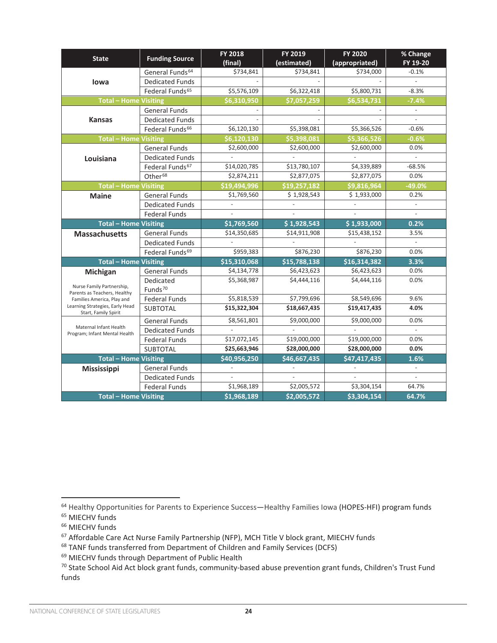| <b>State</b>                                              | <b>Funding Source</b>       | <b>FY 2018</b><br>(final) | FY 2019<br>(estimated) | <b>FY 2020</b><br>(appropriated) | % Change<br>FY 19-20     |
|-----------------------------------------------------------|-----------------------------|---------------------------|------------------------|----------------------------------|--------------------------|
|                                                           | General Funds <sup>64</sup> | \$734,841                 | \$734,841              | \$734,000                        | $-0.1%$                  |
| lowa                                                      | <b>Dedicated Funds</b>      |                           |                        |                                  |                          |
|                                                           | Federal Funds <sup>65</sup> | \$5,576,109               | \$6,322,418            | \$5,800,731                      | $-8.3%$                  |
| <b>Total - Home Visiting</b>                              |                             | \$6,310,950               | \$7,057,259            | \$6,534,731                      | $-7.4%$                  |
|                                                           | <b>General Funds</b>        |                           |                        |                                  | $\overline{\phantom{a}}$ |
| <b>Kansas</b>                                             | <b>Dedicated Funds</b>      |                           |                        |                                  | $\overline{\phantom{a}}$ |
|                                                           | Federal Funds <sup>66</sup> | \$6,120,130               | \$5,398,081            | \$5,366,526                      | $-0.6%$                  |
| <b>Total - Home Visiting</b>                              |                             | \$6,120,130               | \$5,398,081            | \$5,366,526                      | $-0.6%$                  |
|                                                           | <b>General Funds</b>        | \$2,600,000               | \$2,600,000            | \$2,600,000                      | 0.0%                     |
| Louisiana                                                 | <b>Dedicated Funds</b>      |                           |                        |                                  |                          |
|                                                           | Federal Funds <sup>67</sup> | \$14,020,785              | \$13,780,107           | \$4,339,889                      | $-68.5%$                 |
|                                                           | Other <sup>68</sup>         | \$2,874,211               | \$2,877,075            | \$2,877,075                      | 0.0%                     |
| <b>Total - Home Visiting</b>                              |                             | \$19.494.996              | \$19.257.182           | \$9,816,964                      | $-49.0%$                 |
| <b>Maine</b>                                              | <b>General Funds</b>        | \$1,769,560               | \$1,928,543            | \$1,933,000                      | 0.2%                     |
|                                                           | <b>Dedicated Funds</b>      |                           |                        |                                  | $\overline{\phantom{a}}$ |
|                                                           | <b>Federal Funds</b>        |                           |                        |                                  |                          |
| <b>Total - Home Visiting</b>                              |                             | \$1,769,560               | \$1,928,543            | \$1,933,000                      | 0.2%                     |
| <b>Massachusetts</b>                                      | <b>General Funds</b>        | \$14,350,685              | \$14,911,908           | \$15,438,152                     | 3.5%                     |
|                                                           | <b>Dedicated Funds</b>      |                           |                        |                                  |                          |
|                                                           | Federal Funds <sup>69</sup> | \$959,383                 | \$876,230              | \$876,230                        | 0.0%                     |
| <b>Total - Home Visiting</b>                              |                             | \$15,310,068              | \$15,788,138           | \$16,314,382                     | 3.3%                     |
| Michigan                                                  | <b>General Funds</b>        | \$4,134,778               | \$6,423,623            | \$6,423,623                      | 0.0%                     |
|                                                           | Dedicated                   | \$5,368,987               | \$4,444,116            | \$4,444,116                      | 0.0%                     |
| Nurse Family Partnership,<br>Parents as Teachers, Healthy | Funds <sup>70</sup>         |                           |                        |                                  |                          |
| Families America, Play and                                | <b>Federal Funds</b>        | \$5,818,539               | \$7,799,696            | \$8,549,696                      | 9.6%                     |
| Learning Strategies, Early Head<br>Start, Family Spirit   | SUBTOTAL                    | \$15,322,304              | \$18,667,435           | \$19,417,435                     | 4.0%                     |
|                                                           | <b>General Funds</b>        | \$8,561,801               | 59,000,000             | \$9,000,000                      | 0.0%                     |
| Maternal Infant Health                                    | <b>Dedicated Funds</b>      |                           |                        |                                  |                          |
| Program; Infant Mental Health                             | <b>Federal Funds</b>        | \$17,072,145              | \$19,000,000           | \$19,000,000                     | 0.0%                     |
|                                                           | <b>SUBTOTAL</b>             | \$25,663,946              | \$28,000,000           | \$28,000,000                     | 0.0%                     |
| <b>Total - Home Visiting</b>                              |                             | \$40.956.250              | \$46,667,435           | \$47,417,435                     | 1.6%                     |
| <b>Mississippi</b>                                        | <b>General Funds</b>        |                           |                        |                                  |                          |
|                                                           | <b>Dedicated Funds</b>      | $\overline{\phantom{a}}$  |                        |                                  | $\overline{\phantom{a}}$ |
|                                                           | <b>Federal Funds</b>        | \$1,968,189               | \$2,005,572            | \$3,304,154                      | 64.7%                    |
| <b>Total - Home Visiting</b>                              |                             | \$1,968,189               | \$2,005,572            | \$3,304,154                      | 64.7%                    |

<sup>64</sup> Healthy Opportunities for Parents to Experience Success—Healthy Families Iowa (HOPES-HFI) program funds

<sup>65</sup> MIECHV funds

<sup>66</sup> MIECHV funds

<sup>&</sup>lt;sup>67</sup> Affordable Care Act Nurse Family Partnership (NFP), MCH Title V block grant, MIECHV funds

<sup>68</sup> TANF funds transferred from Department of Children and Family Services (DCFS)

<sup>69</sup> MIECHV funds through Department of Public Health

<sup>70</sup> State School Aid Act block grant funds, community-based abuse prevention grant funds, Children's Trust Fund funds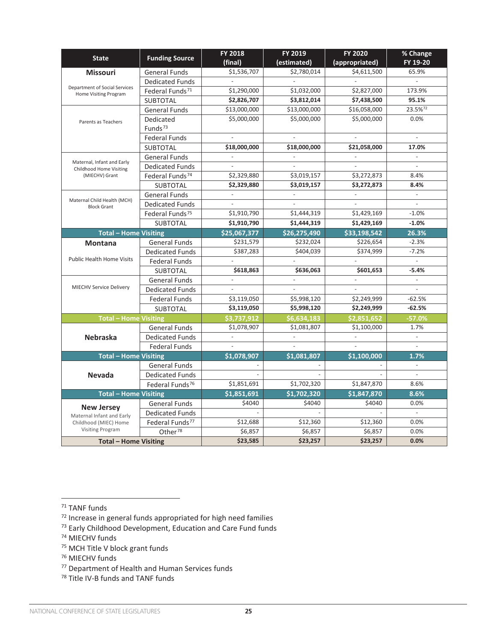|                                                                                                                                                                                                                                                                                                                                                                                                                                      |                             | <b>FY 2018</b>           | FY 2019                  | <b>FY 2020</b>           | % Change                 |
|--------------------------------------------------------------------------------------------------------------------------------------------------------------------------------------------------------------------------------------------------------------------------------------------------------------------------------------------------------------------------------------------------------------------------------------|-----------------------------|--------------------------|--------------------------|--------------------------|--------------------------|
|                                                                                                                                                                                                                                                                                                                                                                                                                                      | <b>Funding Source</b>       | (final)                  | (estimated)              | (appropriated)           | FY 19-20                 |
| <b>Missouri</b>                                                                                                                                                                                                                                                                                                                                                                                                                      | <b>General Funds</b>        | \$1,536,707              | \$2,780,014              | \$4,611,500              | 65.9%                    |
|                                                                                                                                                                                                                                                                                                                                                                                                                                      | <b>Dedicated Funds</b>      | $\overline{\phantom{a}}$ | $\bar{\phantom{a}}$      | $\mathcal{L}$            | $\bar{\phantom{a}}$      |
|                                                                                                                                                                                                                                                                                                                                                                                                                                      | Federal Funds <sup>71</sup> | \$1,290,000              | \$1,032,000              | \$2,827,000              | 173.9%                   |
| <b>State</b><br>Department of Social Services<br>Home Visiting Program<br>Parents as Teachers<br>Maternal, Infant and Early<br>Childhood Home Visiting<br>(MIECHV) Grant<br>Maternal Child Health (MCH)<br><b>Block Grant</b><br><b>Montana</b><br><b>Public Health Home Visits</b><br><b>MIECHV Service Delivery</b><br><b>Nebraska</b><br><b>Nevada</b><br><b>New Jersey</b><br>Maternal Infant and Early<br>Childhood (MIEC) Home | <b>SUBTOTAL</b>             | \$2,826,707              | \$3,812,014              | \$7,438,500              | 95.1%                    |
|                                                                                                                                                                                                                                                                                                                                                                                                                                      | <b>General Funds</b>        | \$13,000,000             | \$13,000,000             | \$16,058,000             | 23.5%72                  |
|                                                                                                                                                                                                                                                                                                                                                                                                                                      | Dedicated                   | \$5,000,000              | \$5,000,000              | \$5,000,000              | 0.0%                     |
|                                                                                                                                                                                                                                                                                                                                                                                                                                      | Funds <sup>73</sup>         |                          |                          |                          |                          |
|                                                                                                                                                                                                                                                                                                                                                                                                                                      | <b>Federal Funds</b>        | $\overline{\phantom{a}}$ | $\overline{\phantom{a}}$ |                          | $\overline{a}$           |
|                                                                                                                                                                                                                                                                                                                                                                                                                                      | <b>SUBTOTAL</b>             | \$18,000,000             | \$18,000,000             | \$21,058,000             | 17.0%                    |
|                                                                                                                                                                                                                                                                                                                                                                                                                                      | <b>General Funds</b>        | $\overline{\phantom{a}}$ | $\frac{1}{2}$            | $\overline{\phantom{a}}$ | $\overline{\phantom{a}}$ |
|                                                                                                                                                                                                                                                                                                                                                                                                                                      | <b>Dedicated Funds</b>      |                          |                          |                          |                          |
|                                                                                                                                                                                                                                                                                                                                                                                                                                      | Federal Funds <sup>74</sup> | \$2,329,880              | \$3,019,157              | \$3,272,873              | 8.4%                     |
|                                                                                                                                                                                                                                                                                                                                                                                                                                      | <b>SUBTOTAL</b>             | \$2,329,880              | \$3,019,157              | \$3,272,873              | 8.4%                     |
|                                                                                                                                                                                                                                                                                                                                                                                                                                      | <b>General Funds</b>        | $\overline{\phantom{a}}$ | $\overline{\phantom{a}}$ | $\overline{\phantom{a}}$ | $\mathcal{L}$            |
|                                                                                                                                                                                                                                                                                                                                                                                                                                      | <b>Dedicated Funds</b>      | $\overline{\phantom{a}}$ | $\overline{\phantom{a}}$ | $\sim$                   | $\mathcal{L}$            |
|                                                                                                                                                                                                                                                                                                                                                                                                                                      | Federal Funds <sup>75</sup> | \$1,910,790              | \$1,444,319              | \$1,429,169              | $-1.0%$                  |
|                                                                                                                                                                                                                                                                                                                                                                                                                                      | <b>SUBTOTAL</b>             | \$1,910,790              | \$1,444,319              | \$1,429,169              | $-1.0%$                  |
| <b>Total - Home Visiting</b>                                                                                                                                                                                                                                                                                                                                                                                                         |                             | \$25,067,377             | \$26,275,490             | \$33,198,542             | 26.3%                    |
|                                                                                                                                                                                                                                                                                                                                                                                                                                      | <b>General Funds</b>        | \$231,579                | \$232,024                | \$226,654                | $-2.3%$                  |
|                                                                                                                                                                                                                                                                                                                                                                                                                                      | <b>Dedicated Funds</b>      | \$387,283                | \$404,039                | \$374,999                | $-7.2%$                  |
|                                                                                                                                                                                                                                                                                                                                                                                                                                      | <b>Federal Funds</b>        |                          |                          |                          | $\sim$                   |
|                                                                                                                                                                                                                                                                                                                                                                                                                                      | <b>SUBTOTAL</b>             | \$618,863                | \$636,063                | \$601,653                | $-5.4%$                  |
|                                                                                                                                                                                                                                                                                                                                                                                                                                      | <b>General Funds</b>        | $\overline{\phantom{a}}$ | $\overline{\phantom{a}}$ | $\Box$                   | $\mathbb{Z}^2$           |
|                                                                                                                                                                                                                                                                                                                                                                                                                                      | <b>Dedicated Funds</b>      | $\overline{\phantom{a}}$ | $\centerdot$             | $\overline{\phantom{a}}$ |                          |
|                                                                                                                                                                                                                                                                                                                                                                                                                                      | <b>Federal Funds</b>        | \$3,119,050              | \$5,998,120              | \$2,249,999              | $-62.5%$                 |
|                                                                                                                                                                                                                                                                                                                                                                                                                                      | <b>SUBTOTAL</b>             | \$3,119,050              | \$5,998,120              | \$2,249,999              | $-62.5%$                 |
| <b>Total - Home Visiting</b>                                                                                                                                                                                                                                                                                                                                                                                                         |                             | \$3,737,912              | \$6,634,183              | \$2,851,652              | $-57.0%$                 |
|                                                                                                                                                                                                                                                                                                                                                                                                                                      | <b>General Funds</b>        | \$1,078,907              | \$1,081,807              | \$1,100,000              | 1.7%                     |
|                                                                                                                                                                                                                                                                                                                                                                                                                                      | <b>Dedicated Funds</b>      | $\overline{\phantom{a}}$ | $\mathcal{L}$            | $\overline{\phantom{a}}$ | $\overline{\phantom{a}}$ |
|                                                                                                                                                                                                                                                                                                                                                                                                                                      | <b>Federal Funds</b>        |                          |                          |                          |                          |
| <b>Total - Home Visiting</b>                                                                                                                                                                                                                                                                                                                                                                                                         |                             | \$1,078,907              | \$1,081,807              | \$1,100,000              | 1.7%                     |
|                                                                                                                                                                                                                                                                                                                                                                                                                                      | <b>General Funds</b>        |                          |                          |                          | $\blacksquare$           |
|                                                                                                                                                                                                                                                                                                                                                                                                                                      | <b>Dedicated Funds</b>      |                          |                          |                          |                          |
|                                                                                                                                                                                                                                                                                                                                                                                                                                      | Federal Funds <sup>76</sup> | \$1,851,691              | \$1,702,320              | \$1,847,870              | 8.6%                     |
| <b>Total - Home Visiting</b>                                                                                                                                                                                                                                                                                                                                                                                                         |                             | \$1,851,691              | \$1,702,320              | \$1,847,870              | 8.6%                     |
|                                                                                                                                                                                                                                                                                                                                                                                                                                      | <b>General Funds</b>        | \$4040                   | \$4040                   | \$4040                   | 0.0%                     |
|                                                                                                                                                                                                                                                                                                                                                                                                                                      | <b>Dedicated Funds</b>      |                          |                          |                          | $\mathbb{L}$             |
|                                                                                                                                                                                                                                                                                                                                                                                                                                      | Federal Funds <sup>77</sup> | \$12,688                 | \$12,360                 | \$12,360                 | 0.0%                     |
| <b>Visiting Program</b>                                                                                                                                                                                                                                                                                                                                                                                                              | Other $\overline{^{78}}$    | \$6,857                  | \$6,857                  | \$6,857                  | 0.0%                     |
| <b>Total - Home Visiting</b>                                                                                                                                                                                                                                                                                                                                                                                                         |                             | \$23,585                 | \$23,257                 | \$23,257                 | 0.0%                     |

- <sup>75</sup> MCH Title V block grant funds
- <sup>76</sup> MIECHV funds
- <sup>77</sup> Department of Health and Human Services funds
- <sup>78</sup> Title IV-B funds and TANF funds

<sup>71</sup> TANF funds

 $72$  Increase in general funds appropriated for high need families

<sup>73</sup> Early Childhood Development, Education and Care Fund funds

<sup>74</sup> MIECHV funds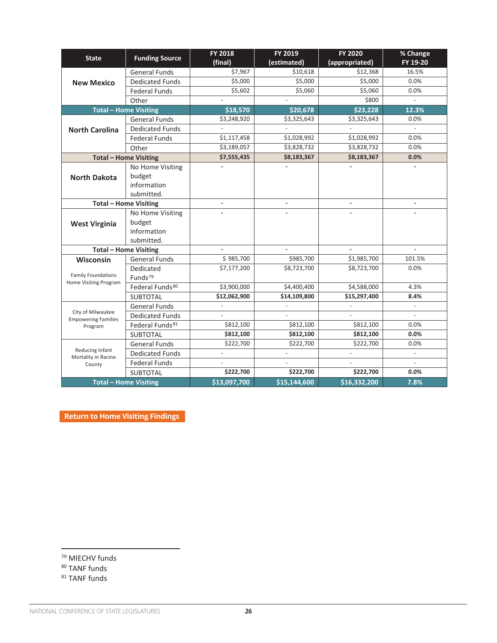| <b>State</b>                                                                                                                                                         | <b>Funding Source</b>        | <b>FY 2018</b><br>(final) | FY 2019<br>(estimated)   | FY 2020<br>(appropriated) | % Change<br>FY 19-20     |
|----------------------------------------------------------------------------------------------------------------------------------------------------------------------|------------------------------|---------------------------|--------------------------|---------------------------|--------------------------|
|                                                                                                                                                                      | <b>General Funds</b>         | \$7,967                   | \$10,618                 | \$12,368                  | 16.5%                    |
| <b>New Mexico</b>                                                                                                                                                    | <b>Dedicated Funds</b>       | \$5,000                   | \$5,000                  | \$5,000                   | 0.0%                     |
|                                                                                                                                                                      | <b>Federal Funds</b>         | \$5,602                   | \$5,060                  | \$5,060                   | 0.0%                     |
|                                                                                                                                                                      | Other                        |                           |                          | \$800                     |                          |
|                                                                                                                                                                      | <b>Total - Home Visiting</b> | \$18,570                  | \$20,678                 | \$23,228                  | 12.3%                    |
|                                                                                                                                                                      | <b>General Funds</b>         | \$3,248,920               | \$3,325,643              | \$3,325,643               | 0.0%                     |
| <b>North Carolina</b>                                                                                                                                                | <b>Dedicated Funds</b>       |                           |                          |                           |                          |
|                                                                                                                                                                      | <b>Federal Funds</b>         | \$1,117,458               | \$1,028,992              | \$1,028,992               | 0.0%                     |
|                                                                                                                                                                      | Other                        | \$3,189,057               | \$3,828,732              | \$3,828,732               | 0.0%                     |
|                                                                                                                                                                      | <b>Total - Home Visiting</b> | \$7,555,435               | \$8,183,367              | \$8,183,367               | 0.0%                     |
|                                                                                                                                                                      | No Home Visiting             |                           |                          |                           |                          |
| <b>North Dakota</b>                                                                                                                                                  | budget                       |                           |                          |                           |                          |
|                                                                                                                                                                      | information                  |                           |                          |                           |                          |
|                                                                                                                                                                      | submitted.                   |                           |                          |                           |                          |
| <b>Total - Home Visiting</b>                                                                                                                                         |                              | $\overline{\phantom{a}}$  | $\overline{\phantom{a}}$ | $\blacksquare$            | $\overline{\phantom{a}}$ |
|                                                                                                                                                                      | No Home Visiting             |                           |                          |                           |                          |
| <b>West Virginia</b>                                                                                                                                                 | budget                       |                           |                          |                           |                          |
|                                                                                                                                                                      | information                  |                           |                          |                           |                          |
|                                                                                                                                                                      | submitted.                   |                           |                          |                           |                          |
|                                                                                                                                                                      | <b>Total - Home Visiting</b> | $\overline{\phantom{a}}$  | ÷.                       | $\overline{\phantom{a}}$  |                          |
| Wisconsin                                                                                                                                                            | <b>General Funds</b>         | \$985,700                 | \$985,700                | \$1,985,700               | 101.5%                   |
|                                                                                                                                                                      | Dedicated                    | \$7,177,200               | \$8,723,700              | \$8,723,700               | 0.0%                     |
|                                                                                                                                                                      | Funds <sup>79</sup>          |                           |                          |                           |                          |
| <b>Family Foundations</b><br>Home Visiting Program<br>City of Milwaukee<br><b>Empowering Families</b><br>Program<br>Reducing Infant<br>Mortality in Racine<br>County | Federal Funds <sup>80</sup>  | \$3,900,000               | \$4,400,400              | \$4,588,000               | 4.3%                     |
|                                                                                                                                                                      | <b>SUBTOTAL</b>              | \$12,062,900              | \$14,109,800             | \$15,297,400              | 8.4%                     |
|                                                                                                                                                                      | <b>General Funds</b>         |                           |                          |                           |                          |
|                                                                                                                                                                      | <b>Dedicated Funds</b>       |                           |                          |                           |                          |
|                                                                                                                                                                      | Federal Funds <sup>81</sup>  | \$812,100                 | \$812,100                | \$812,100                 | 0.0%                     |
|                                                                                                                                                                      | <b>SUBTOTAL</b>              | \$812,100                 | \$812,100                | \$812,100                 | 0.0%                     |
|                                                                                                                                                                      | <b>General Funds</b>         | \$222,700                 | \$222,700                | \$222,700                 | 0.0%                     |
|                                                                                                                                                                      | <b>Dedicated Funds</b>       | $\overline{\phantom{a}}$  | $\overline{a}$           |                           | $\overline{\phantom{a}}$ |
|                                                                                                                                                                      | <b>Federal Funds</b>         | $\overline{\phantom{a}}$  | $\overline{a}$           |                           | $\overline{\phantom{a}}$ |
|                                                                                                                                                                      | <b>SUBTOTAL</b>              | \$222,700                 | \$222,700                | \$222,700                 | 0.0%                     |
|                                                                                                                                                                      | <b>Total - Home Visiting</b> | \$13,097,700              | \$15,144,600             | \$16,332,200              | 7.8%                     |

**[Return to Home Visiting Findings](#page-6-0)** 

<sup>80</sup> TANF funds

<sup>79</sup> MIECHV funds

<sup>81</sup> TANF funds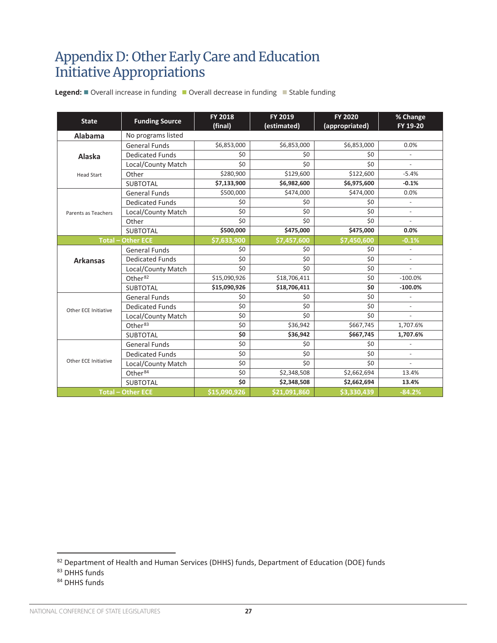### <span id="page-26-0"></span>Appendix D: Other Early Care and Education **Appendix D: Other Early Care and Education Initiative Appropriations** Initiative Appropriations **State Funding Source FY 2018**

| <b>State</b>             | <b>Funding Source</b>    | <b>FY 2018</b><br>(final) | FY 2019<br>(estimated) | <b>FY 2020</b><br>(appropriated) | % Change<br>FY 19-20     |
|--------------------------|--------------------------|---------------------------|------------------------|----------------------------------|--------------------------|
| Alabama                  | No programs listed       |                           |                        |                                  |                          |
|                          | <b>General Funds</b>     | \$6,853,000               | \$6,853,000            | \$6,853,000                      | 0.0%                     |
| Alaska                   | <b>Dedicated Funds</b>   | \$0                       | \$0                    | \$0                              | $\overline{\phantom{a}}$ |
|                          | Local/County Match       | \$0                       | \$0                    | \$0                              |                          |
| <b>Head Start</b>        | Other                    | \$280,900                 | \$129,600              | \$122,600                        | $-5.4%$                  |
|                          | <b>SUBTOTAL</b>          | \$7,133,900               | \$6,982,600            | \$6,975,600                      | $-0.1%$                  |
|                          | <b>General Funds</b>     | \$500,000                 | \$474,000              | \$474,000                        | 0.0%                     |
|                          | <b>Dedicated Funds</b>   | \$0                       | \$0                    | \$0                              | $\overline{\phantom{a}}$ |
| Parents as Teachers      | Local/County Match       | \$0                       | \$0                    | \$0                              | $\overline{\phantom{a}}$ |
|                          | Other                    | \$0                       | \$0                    | \$0                              | $\overline{a}$           |
|                          | <b>SUBTOTAL</b>          | \$500,000                 | \$475,000              | \$475,000                        | 0.0%                     |
| <b>Total - Other ECE</b> |                          | \$7,633,900               | \$7,457,600            | \$7,450,600                      | $-0.1%$                  |
|                          | <b>General Funds</b>     | \$0                       | \$0                    | \$0                              | $\overline{\phantom{a}}$ |
| <b>Arkansas</b>          | <b>Dedicated Funds</b>   | \$0                       | \$0                    | \$0                              | $\overline{\phantom{a}}$ |
|                          | Local/County Match       | \$0                       | \$0                    | \$0                              | $\overline{a}$           |
|                          | Other <sup>82</sup>      | \$15,090,926              | \$18,706,411           | \$0                              | $-100.0%$                |
|                          | <b>SUBTOTAL</b>          | \$15,090,926              | \$18,706,411           | Ś0                               | $-100.0%$                |
|                          | <b>General Funds</b>     | \$0                       | \$0                    | \$0                              |                          |
| Other ECE Initiative     | <b>Dedicated Funds</b>   | \$0                       | \$0                    | \$0                              | $\overline{\phantom{a}}$ |
|                          | Local/County Match       | \$0                       | \$0                    | \$0                              | $\overline{a}$           |
|                          | Other <sup>83</sup>      | \$0                       | \$36,942               | \$667,745                        | 1,707.6%                 |
|                          | <b>SUBTOTAL</b>          | \$0                       | \$36,942               | \$667,745                        | 1,707.6%                 |
|                          | <b>General Funds</b>     | \$0                       | \$0                    | \$0                              |                          |
|                          | <b>Dedicated Funds</b>   | \$0                       | \$0                    | \$0                              | $\overline{\phantom{a}}$ |
| Other ECE Initiative     | Local/County Match       | \$0                       | \$0                    | \$0                              | $\overline{a}$           |
|                          | Other <sup>84</sup>      | \$0                       | \$2,348,508            | \$2,662,694                      | 13.4%                    |
|                          | <b>SUBTOTAL</b>          | \$0                       | \$2,348,508            | \$2,662,694                      | 13.4%                    |
|                          | <b>Total - Other ECE</b> | \$15,090,926              | \$21,091,860           | \$3,330,439                      | $-84.2%$                 |

Legend: ■ Overall increase in funding ■ Overall decrease in funding ■ Stable funding **Alabama** No programs listed

 $82$  Department of Health and Human Services (DHHS) funds, Department of Education (DOE) funds  $83$  DHHS funds

<sup>84</sup> DHHS funds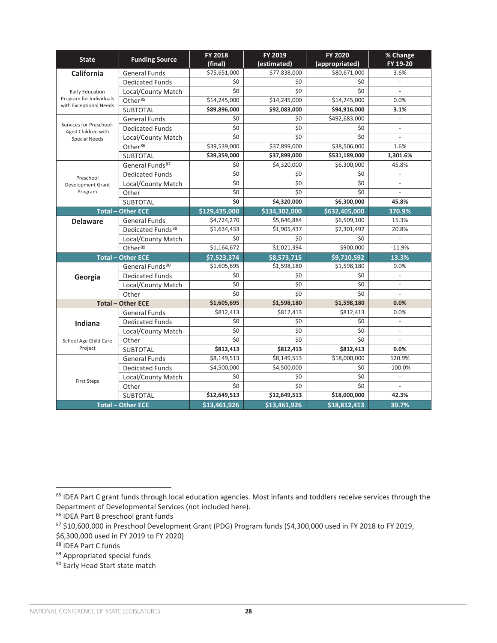| <b>State</b>                                      | <b>Funding Source</b>         | <b>FY 2018</b> | FY 2019       | FY 2020        | % Change                 |
|---------------------------------------------------|-------------------------------|----------------|---------------|----------------|--------------------------|
|                                                   |                               | (final)        | (estimated)   | (appropriated) | FY 19-20                 |
| <b>California</b>                                 | <b>General Funds</b>          | \$75,651,000   | \$77,838,000  | \$80,671,000   | 3.6%                     |
|                                                   | <b>Dedicated Funds</b>        | \$0            | \$0           | \$0            |                          |
| Early Education                                   | Local/County Match            | \$0            | \$0           | \$0            |                          |
| Program for Individuals<br>with Exceptional Needs | Other <sup>85</sup>           | \$14,245,000   | \$14,245,000  | \$14,245,000   | 0.0%                     |
|                                                   | <b>SUBTOTAL</b>               | \$89,896,000   | \$92,083,000  | \$94,916,000   | 3.1%                     |
|                                                   | <b>General Funds</b>          | \$0            | \$0           | \$492,683,000  | $\mathbb{Z}^2$           |
| Services for Preschool-<br>Aged Children with     | <b>Dedicated Funds</b>        | \$0            | \$0           | \$0            | $\mathcal{L}$            |
| <b>Special Needs</b>                              | Local/County Match            | \$0            | \$0           | \$0            | $\sim$                   |
|                                                   | Other <sup>86</sup>           | \$39,539,000   | \$37,899,000  | \$38,506,000   | 1.6%                     |
|                                                   | SUBTOTAL                      | \$39,359,000   | \$37,899,000  | \$531,189,000  | 1,301.6%                 |
|                                                   | General Funds <sup>87</sup>   | \$0            | \$4,320,000   | \$6,300,000    | 45.8%                    |
| Preschool                                         | <b>Dedicated Funds</b>        | \$0            | \$0           | \$0            | $\mathbf{r}$             |
| Development Grant                                 | Local/County Match            | \$0            | \$0           | \$0            | $\sim$                   |
| Program                                           | Other                         | \$0            | \$0           | \$0            |                          |
|                                                   | <b>SUBTOTAL</b>               | \$0            | \$4,320,000   | \$6,300,000    | 45.8%                    |
|                                                   | <b>Total - Other ECE</b>      | \$129,435,000  | \$134,302,000 | \$632,405,000  | 370.9%                   |
| <b>Delaware</b>                                   | <b>General Funds</b>          | \$4,724,270    | \$5,646,884   | \$6,509,100    | 15.3%                    |
|                                                   | Dedicated Funds <sup>88</sup> | \$1,634,433    | \$1,905,437   | \$2,301,492    | 20.8%                    |
|                                                   | Local/County Match            | \$0            | \$0           | \$0            |                          |
|                                                   | Other <sup>89</sup>           | \$1,164,672    | \$1,021,394   | \$900,000      | $-11.9%$                 |
|                                                   | <b>Total - Other ECE</b>      | \$7,523,374    | \$8,573,715   | \$9,710,592    | 13.3%                    |
|                                                   | General Funds <sup>90</sup>   | \$1,605,695    | \$1,598,180   | \$1,598,180    | 0.0%                     |
| Georgia                                           | <b>Dedicated Funds</b>        | \$0            | \$0           | \$0            | $\omega$                 |
|                                                   | Local/County Match            | \$0            | \$0           | \$0            | $\overline{\phantom{a}}$ |
|                                                   | Other                         | \$0            | \$0           | \$0            |                          |
|                                                   | <b>Total - Other ECE</b>      | \$1,605,695    | \$1,598,180   | \$1,598,180    | 0.0%                     |
|                                                   | <b>General Funds</b>          | \$812,413      | \$812,413     | \$812,413      | 0.0%                     |
| Indiana                                           | <b>Dedicated Funds</b>        | \$0            | \$0           | \$0            | $\overline{\phantom{a}}$ |
|                                                   | Local/County Match            | \$0            | \$0           | \$0            | $\omega$                 |
| School Age Child Care                             | Other                         | \$0            | \$0           | \$0            | $\mathcal{L}$            |
| Project                                           | <b>SUBTOTAL</b>               | \$812,413      | \$812,413     | \$812,413      | 0.0%                     |
|                                                   | <b>General Funds</b>          | \$8,149,513    | \$8,149,513   | \$18,000,000   | 120.9%                   |
|                                                   | <b>Dedicated Funds</b>        | \$4,500,000    | \$4,500,000   | \$0            | $-100.0%$                |
|                                                   | Local/County Match            | \$0            | \$0           | \$0            | $\overline{\phantom{a}}$ |
| <b>First Steps</b>                                | Other                         | \$0            | \$0           | \$0            | $\sim$                   |
|                                                   | <b>SUBTOTAL</b>               | \$12,649,513   | \$12,649,513  | \$18,000,000   | 42.3%                    |
|                                                   | <b>Total - Other ECE</b>      | \$13,461,926   | \$13,461,926  | \$18,812,413   | 39.7%                    |

<sup>85</sup> IDEA Part C grant funds through local education agencies. Most infants and toddlers receive services through the Department of Developmental Services (not included here).

<sup>86</sup> IDEA Part B preschool grant funds

<sup>87</sup> \$10,600,000 in Preschool Development Grant (PDG) Program funds (\$4,300,000 used in FY 2018 to FY 2019, \$6,300,000 used in FY 2019 to FY 2020)<br><sup>88</sup> IDEA Part C funds

<sup>89</sup> Appropriated special funds

<sup>90</sup> Early Head Start state match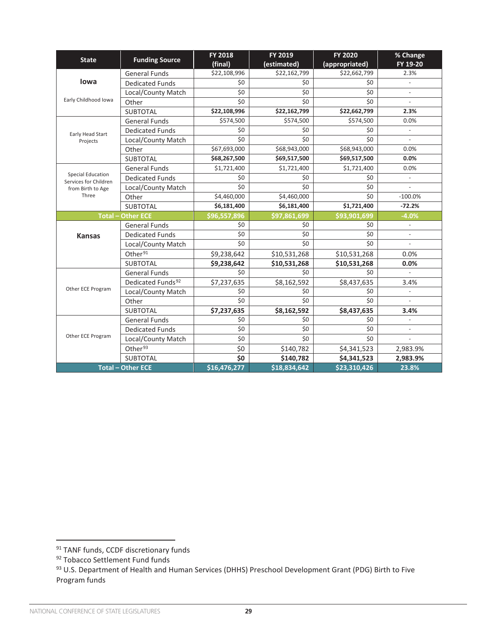| <b>State</b>                                      | <b>Funding Source</b>         | <b>FY 2018</b><br>(final) | FY 2019<br>(estimated)  | <b>FY 2020</b><br>(appropriated) | % Change<br>FY 19-20     |
|---------------------------------------------------|-------------------------------|---------------------------|-------------------------|----------------------------------|--------------------------|
|                                                   | <b>General Funds</b>          | \$22,108,996              | \$22,162,799            | \$22,662,799                     | 2.3%                     |
| lowa                                              | <b>Dedicated Funds</b>        | \$0                       | \$0                     | \$0                              |                          |
|                                                   | Local/County Match            | \$0                       | \$0                     | \$0                              | $\overline{\phantom{a}}$ |
| Early Childhood Iowa                              | Other                         | \$0                       | \$0                     | \$0                              | $\overline{\phantom{a}}$ |
|                                                   | <b>SUBTOTAL</b>               | \$22,108,996              | \$22,162,799            | \$22,662,799                     | 2.3%                     |
|                                                   | <b>General Funds</b>          | \$574,500                 | \$574,500               | \$574,500                        | 0.0%                     |
| Early Head Start                                  | <b>Dedicated Funds</b>        | \$0                       | \$0                     | \$0                              |                          |
| Projects                                          | Local/County Match            | \$0                       | \$0                     | \$0                              |                          |
|                                                   | Other                         | \$67,693,000              | \$68,943,000            | \$68,943,000                     | 0.0%                     |
|                                                   | <b>SUBTOTAL</b>               | \$68,267,500              | \$69,517,500            | \$69,517,500                     | 0.0%                     |
|                                                   | <b>General Funds</b>          | $\overline{$}1,721,400$   | $\overline{51,}721,400$ | $\overline{$}1,721,400$          | 0.0%                     |
| <b>Special Education</b><br>Services for Children | <b>Dedicated Funds</b>        | \$0                       | \$0                     | \$0                              |                          |
| from Birth to Age                                 | Local/County Match            | \$0                       | \$0                     | \$0                              |                          |
| Three                                             | Other                         | \$4,460,000               | \$4,460,000             | \$0                              | $-100.0%$                |
|                                                   | <b>SUBTOTAL</b>               | \$6,181,400               | \$6,181,400             | \$1,721,400                      | $-72.2%$                 |
|                                                   | <b>Total - Other ECE</b>      | \$96,557,896              | \$97,861,699            | \$93,901,699                     | $-4.0%$                  |
|                                                   | <b>General Funds</b>          | \$0                       | \$0                     | \$0                              | $\overline{\phantom{a}}$ |
| <b>Kansas</b>                                     | <b>Dedicated Funds</b>        | \$0                       | \$0                     | \$0                              |                          |
|                                                   | Local/County Match            | \$0                       | \$0                     | \$0                              | $\overline{a}$           |
|                                                   | Other <sup>91</sup>           | \$9,238,642               | \$10,531,268            | \$10,531,268                     | 0.0%                     |
|                                                   | <b>SUBTOTAL</b>               | \$9,238,642               | \$10,531,268            | \$10,531,268                     | 0.0%                     |
|                                                   | <b>General Funds</b>          | \$0                       | \$0                     | \$0                              | $\overline{a}$           |
|                                                   | Dedicated Funds <sup>92</sup> | \$7,237,635               | \$8,162,592             | \$8,437,635                      | 3.4%                     |
| Other ECE Program                                 | Local/County Match            | \$0                       | \$0                     | \$0                              | $\overline{\phantom{a}}$ |
|                                                   | Other                         | \$0                       | \$0                     | \$0                              |                          |
|                                                   | <b>SUBTOTAL</b>               | \$7,237,635               | \$8,162,592             | \$8,437,635                      | 3.4%                     |
|                                                   | <b>General Funds</b>          | \$0                       | \$0                     | \$0                              | $\overline{a}$           |
|                                                   | <b>Dedicated Funds</b>        | \$0                       | \$0                     | \$0                              | $\blacksquare$           |
| Other ECE Program                                 | Local/County Match            | \$0                       | \$0                     | \$0                              |                          |
|                                                   | Other <sup>93</sup>           | \$0                       | \$140,782               | \$4,341,523                      | 2,983.9%                 |
|                                                   | <b>SUBTOTAL</b>               | \$0                       | \$140,782               | \$4,341,523                      | 2,983.9%                 |
|                                                   | <b>Total - Other ECE</b>      | \$16,476,277              | \$18,834,642            | \$23,310,426                     | 23.8%                    |

<sup>91</sup> TANF funds, CCDF discretionary funds

<sup>92</sup> Tobacco Settlement Fund funds

<sup>93</sup> U.S. Department of Health and Human Services (DHHS) Preschool Development Grant (PDG) Birth to Five Program funds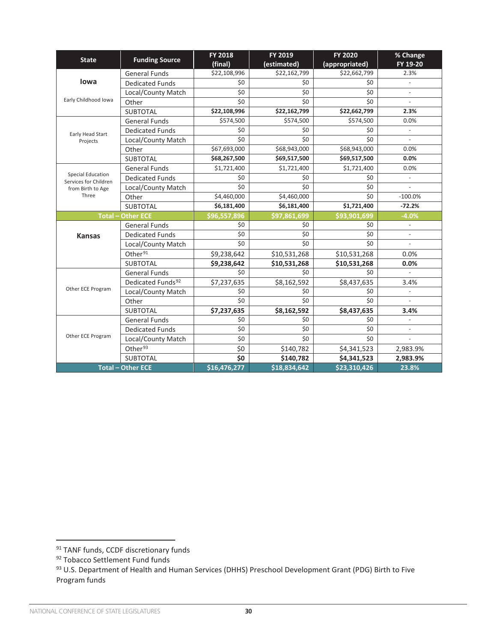| <b>State</b>                                      | <b>Funding Source</b>         | <b>FY 2018</b><br>(final) | FY 2019<br>(estimated)  | <b>FY 2020</b><br>(appropriated) | % Change<br>FY 19-20     |
|---------------------------------------------------|-------------------------------|---------------------------|-------------------------|----------------------------------|--------------------------|
|                                                   | <b>General Funds</b>          | \$22,108,996              | \$22,162,799            | \$22,662,799                     | 2.3%                     |
| lowa                                              | <b>Dedicated Funds</b>        | \$0                       | \$0                     | \$0                              |                          |
|                                                   | Local/County Match            | \$0                       | \$0                     | \$0                              | $\overline{\phantom{a}}$ |
| Early Childhood Iowa                              | Other                         | \$0                       | \$0                     | \$0                              | $\overline{\phantom{a}}$ |
|                                                   | <b>SUBTOTAL</b>               | \$22,108,996              | \$22,162,799            | \$22,662,799                     | 2.3%                     |
|                                                   | <b>General Funds</b>          | \$574,500                 | \$574,500               | \$574,500                        | 0.0%                     |
| Early Head Start                                  | <b>Dedicated Funds</b>        | \$0                       | \$0                     | \$0                              |                          |
| Projects                                          | Local/County Match            | \$0                       | \$0                     | \$0                              |                          |
|                                                   | Other                         | \$67,693,000              | \$68,943,000            | \$68,943,000                     | 0.0%                     |
|                                                   | <b>SUBTOTAL</b>               | \$68,267,500              | \$69,517,500            | \$69,517,500                     | 0.0%                     |
|                                                   | <b>General Funds</b>          | $\overline{$}1,721,400$   | $\overline{51,}721,400$ | $\overline{$}1,721,400$          | 0.0%                     |
| <b>Special Education</b><br>Services for Children | <b>Dedicated Funds</b>        | \$0                       | \$0                     | \$0                              |                          |
| from Birth to Age                                 | Local/County Match            | \$0                       | \$0                     | \$0                              |                          |
| Three                                             | Other                         | \$4,460,000               | \$4,460,000             | \$0                              | $-100.0%$                |
|                                                   | <b>SUBTOTAL</b>               | \$6,181,400               | \$6,181,400             | \$1,721,400                      | $-72.2%$                 |
|                                                   | <b>Total - Other ECE</b>      | \$96,557,896              | \$97,861,699            | \$93,901,699                     | $-4.0%$                  |
|                                                   | <b>General Funds</b>          | \$0                       | \$0                     | \$0                              | $\overline{\phantom{a}}$ |
| <b>Kansas</b>                                     | <b>Dedicated Funds</b>        | \$0                       | \$0                     | \$0                              |                          |
|                                                   | Local/County Match            | \$0                       | \$0                     | \$0                              | $\overline{a}$           |
|                                                   | Other <sup>91</sup>           | \$9,238,642               | \$10,531,268            | \$10,531,268                     | 0.0%                     |
|                                                   | <b>SUBTOTAL</b>               | \$9,238,642               | \$10,531,268            | \$10,531,268                     | 0.0%                     |
|                                                   | <b>General Funds</b>          | \$0                       | \$0                     | \$0                              | $\overline{a}$           |
|                                                   | Dedicated Funds <sup>92</sup> | \$7,237,635               | \$8,162,592             | \$8,437,635                      | 3.4%                     |
| Other ECE Program                                 | Local/County Match            | \$0                       | \$0                     | \$0                              | $\overline{\phantom{a}}$ |
|                                                   | Other                         | \$0                       | \$0                     | \$0                              |                          |
|                                                   | <b>SUBTOTAL</b>               | \$7,237,635               | \$8,162,592             | \$8,437,635                      | 3.4%                     |
|                                                   | <b>General Funds</b>          | \$0                       | \$0                     | \$0                              | $\overline{a}$           |
|                                                   | <b>Dedicated Funds</b>        | \$0                       | \$0                     | \$0                              | $\blacksquare$           |
| Other ECE Program                                 | Local/County Match            | \$0                       | \$0                     | \$0                              |                          |
|                                                   | Other <sup>93</sup>           | \$0                       | \$140,782               | \$4,341,523                      | 2,983.9%                 |
|                                                   | <b>SUBTOTAL</b>               | \$0                       | \$140,782               | \$4,341,523                      | 2,983.9%                 |
|                                                   | <b>Total - Other ECE</b>      | \$16,476,277              | \$18,834,642            | \$23,310,426                     | 23.8%                    |

<sup>91</sup> TANF funds, CCDF discretionary funds

<sup>92</sup> Tobacco Settlement Fund funds

<sup>93</sup> U.S. Department of Health and Human Services (DHHS) Preschool Development Grant (PDG) Birth to Five Program funds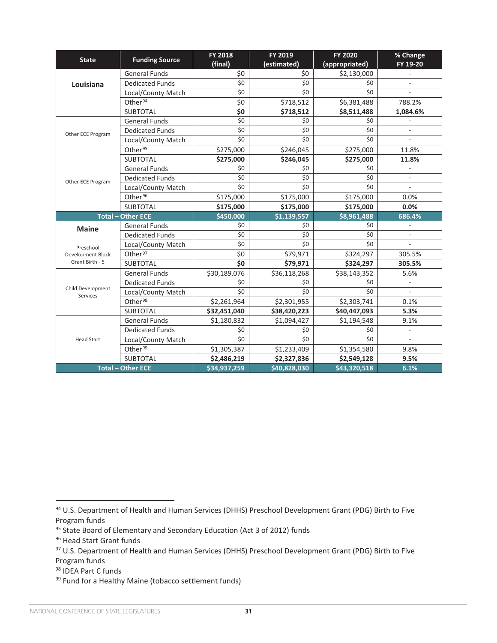| <b>State</b>                  | <b>Funding Source</b>    | <b>FY 2018</b><br>(final) | FY 2019<br>(estimated) | <b>FY 2020</b><br>(appropriated) | % Change<br>FY 19-20     |
|-------------------------------|--------------------------|---------------------------|------------------------|----------------------------------|--------------------------|
|                               | <b>General Funds</b>     | \$0                       | \$0                    | \$2,130,000                      | ÷,                       |
| Louisiana                     | <b>Dedicated Funds</b>   | \$0                       | \$0                    | \$0                              |                          |
|                               | Local/County Match       | \$0                       | \$0                    | \$0                              |                          |
|                               | Other <sup>94</sup>      | \$0                       | \$718,512              | \$6,381,488                      | 788.2%                   |
|                               | <b>SUBTOTAL</b>          | \$0                       | \$718,512              | \$8,511,488                      | 1,084.6%                 |
|                               | <b>General Funds</b>     | \$0                       | \$0                    | \$0                              |                          |
| Other ECE Program             | <b>Dedicated Funds</b>   | \$0                       | \$0                    | \$0                              |                          |
|                               | Local/County Match       | \$0                       | \$0                    | \$0                              |                          |
|                               | Other <sup>95</sup>      | \$275,000                 | \$246,045              | \$275,000                        | 11.8%                    |
|                               | <b>SUBTOTAL</b>          | \$275,000                 | \$246,045              | \$275,000                        | 11.8%                    |
|                               | <b>General Funds</b>     | \$0                       | \$0                    | \$0                              | $\overline{a}$           |
| Other ECE Program             | <b>Dedicated Funds</b>   | \$0                       | \$0                    | \$0                              |                          |
|                               | Local/County Match       | \$0                       | \$0                    | \$0                              |                          |
|                               | Other <sup>96</sup>      | \$175,000                 | \$175,000              | \$175,000                        | 0.0%                     |
|                               | <b>SUBTOTAL</b>          | \$175,000                 | \$175,000              | \$175,000                        | 0.0%                     |
|                               | <b>Total - Other ECE</b> | \$450,000                 | \$1,139,557            | \$8,961,488                      | 686.4%                   |
| <b>Maine</b>                  | <b>General Funds</b>     | \$0                       | \$0                    | \$0                              |                          |
|                               | <b>Dedicated Funds</b>   | \$0                       | \$0                    | \$0                              |                          |
| Preschool                     | Local/County Match       | \$0                       | \$0                    | \$0                              | $\overline{\phantom{a}}$ |
| <b>Development Block</b>      | Other <sup>97</sup>      | \$0                       | \$79,971               | \$324,297                        | 305.5%                   |
| Grant Birth - 5               | <b>SUBTOTAL</b>          | \$0                       | \$79,971               | \$324,297                        | 305.5%                   |
|                               | <b>General Funds</b>     | \$30,189,076              | \$36,118,268           | \$38,143,352                     | 5.6%                     |
|                               | <b>Dedicated Funds</b>   | \$0                       | \$0                    | \$0                              |                          |
| Child Development<br>Services | Local/County Match       | \$0                       | \$0                    | \$0                              | $\overline{a}$           |
|                               | Other <sup>98</sup>      | \$2,261,964               | \$2,301,955            | \$2,303,741                      | 0.1%                     |
|                               | <b>SUBTOTAL</b>          | \$32,451,040              | \$38,420,223           | \$40,447,093                     | 5.3%                     |
|                               | <b>General Funds</b>     | \$1,180,832               | \$1,094,427            | \$1,194,548                      | 9.1%                     |
|                               | <b>Dedicated Funds</b>   | \$0                       | \$0                    | \$0                              |                          |
| <b>Head Start</b>             | Local/County Match       | \$0                       | \$0                    | \$0                              |                          |
|                               | Other <sup>99</sup>      | \$1,305,387               | \$1,233,409            | \$1,354,580                      | 9.8%                     |
|                               | SUBTOTAL                 | \$2,486,219               | \$2,327,836            | \$2,549,128                      | 9.5%                     |
|                               | <b>Total - Other ECE</b> | \$34,937,259              | \$40,828,030           | \$43,320,518                     | 6.1%                     |

95 State Board of Elementary and Secondary Education (Act 3 of 2012) funds

<sup>98</sup> IDEA Part C funds

<sup>94</sup> U.S. Department of Health and Human Services (DHHS) Preschool Development Grant (PDG) Birth to Five Program funds

<sup>96</sup> Head Start Grant funds

<sup>97</sup> U.S. Department of Health and Human Services (DHHS) Preschool Development Grant (PDG) Birth to Five Program funds

<sup>99</sup> Fund for a Healthy Maine (tobacco settlement funds)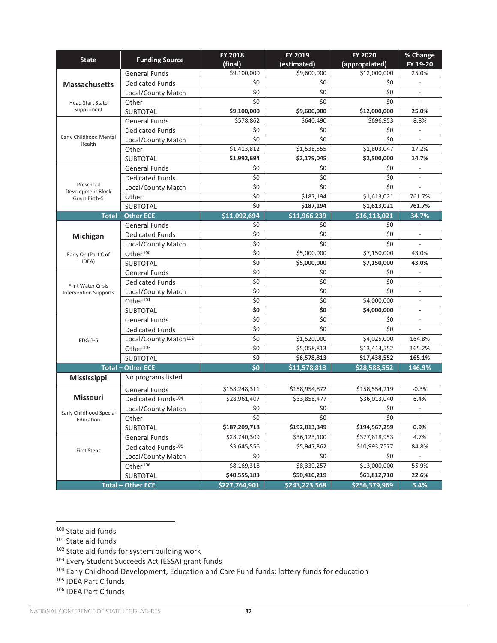| <b>State</b>                         | <b>Funding Source</b>             | FY 2018<br>(final) | FY 2019<br>(estimated)                                                                                                                                                                                                                                                                                                                                                                                                                                                                                                                                                                                                                                                                                                                                                                                                                                                                                                                                                                                                       | <b>FY 2020</b> | % Change<br>FY 19-20     |
|--------------------------------------|-----------------------------------|--------------------|------------------------------------------------------------------------------------------------------------------------------------------------------------------------------------------------------------------------------------------------------------------------------------------------------------------------------------------------------------------------------------------------------------------------------------------------------------------------------------------------------------------------------------------------------------------------------------------------------------------------------------------------------------------------------------------------------------------------------------------------------------------------------------------------------------------------------------------------------------------------------------------------------------------------------------------------------------------------------------------------------------------------------|----------------|--------------------------|
|                                      | <b>General Funds</b>              | \$9,100,000        | \$9,600,000                                                                                                                                                                                                                                                                                                                                                                                                                                                                                                                                                                                                                                                                                                                                                                                                                                                                                                                                                                                                                  | \$12,000,000   | 25.0%                    |
| <b>Massachusetts</b>                 | <b>Dedicated Funds</b>            | \$0                | (appropriated)<br>\$0<br>\$0<br>\$0<br>\$0<br>\$0<br>\$0<br>\$12,000,000<br>\$9,600,000<br>\$640,490<br>\$696,953<br>\$0<br>\$0<br>\$0<br>\$0<br>\$1,538,555<br>\$1,803,047<br>\$2,179,045<br>\$2,500,000<br>\$0<br>\$0<br>\$0<br>\$0<br>\$0<br>\$0<br>\$187,194<br>\$1,613,021<br>\$1,613,021<br>\$187,194<br>\$11,966,239<br>\$16,113,021<br>\$0<br>\$0<br>\$0<br>\$0<br>\$0<br>\$0<br>\$5,000,000<br>\$7,150,000<br>\$5,000,000<br>\$7,150,000<br>\$0<br>\$0<br>\$0<br>\$0<br>\$0<br>\$0<br>\$0<br>\$4,000,000<br>\$0<br>\$4,000,000<br>$\overline{\xi}$<br>\$0<br>\$0<br>\$0<br>\$1,520,000<br>\$4,025,000<br>\$5,058,813<br>\$13,413,552<br>\$6,578,813<br>\$17,438,552<br>\$11,578,813<br>\$28,588,552<br>\$158,954,872<br>\$158,554,219<br>\$33,858,477<br>\$36,013,040<br>\$0<br>\$0<br>\$0<br>\$0<br>\$192,813,349<br>\$194,567,259<br>\$36,123,100<br>\$377,818,953<br>\$5,947,862<br>\$10,993,7577<br>\$0<br>\$0<br>\$8,339,257<br>\$13,000,000<br>\$61,812,710<br>\$50,410,219<br>\$243,223,568<br>\$256,379,969 |                |                          |
|                                      | Local/County Match                | \$0                |                                                                                                                                                                                                                                                                                                                                                                                                                                                                                                                                                                                                                                                                                                                                                                                                                                                                                                                                                                                                                              |                |                          |
| <b>Head Start State</b>              | Other                             | \$0                |                                                                                                                                                                                                                                                                                                                                                                                                                                                                                                                                                                                                                                                                                                                                                                                                                                                                                                                                                                                                                              |                | $\overline{a}$           |
| Supplement                           | <b>SUBTOTAL</b>                   | \$9,100,000        |                                                                                                                                                                                                                                                                                                                                                                                                                                                                                                                                                                                                                                                                                                                                                                                                                                                                                                                                                                                                                              |                | 25.0%                    |
|                                      | <b>General Funds</b>              | \$578,862          |                                                                                                                                                                                                                                                                                                                                                                                                                                                                                                                                                                                                                                                                                                                                                                                                                                                                                                                                                                                                                              |                | 8.8%                     |
|                                      | <b>Dedicated Funds</b>            | \$0                |                                                                                                                                                                                                                                                                                                                                                                                                                                                                                                                                                                                                                                                                                                                                                                                                                                                                                                                                                                                                                              |                |                          |
| Early Childhood Mental<br>Health     | Local/County Match                | \$0                |                                                                                                                                                                                                                                                                                                                                                                                                                                                                                                                                                                                                                                                                                                                                                                                                                                                                                                                                                                                                                              |                |                          |
|                                      | Other                             | \$1,413,812        |                                                                                                                                                                                                                                                                                                                                                                                                                                                                                                                                                                                                                                                                                                                                                                                                                                                                                                                                                                                                                              |                | 17.2%                    |
|                                      | SUBTOTAL                          | \$1,992,694        |                                                                                                                                                                                                                                                                                                                                                                                                                                                                                                                                                                                                                                                                                                                                                                                                                                                                                                                                                                                                                              |                | 14.7%                    |
|                                      | <b>General Funds</b>              | \$0                |                                                                                                                                                                                                                                                                                                                                                                                                                                                                                                                                                                                                                                                                                                                                                                                                                                                                                                                                                                                                                              |                | $\overline{\phantom{m}}$ |
|                                      | <b>Dedicated Funds</b>            | \$0                |                                                                                                                                                                                                                                                                                                                                                                                                                                                                                                                                                                                                                                                                                                                                                                                                                                                                                                                                                                                                                              |                | $\overline{\phantom{a}}$ |
| Preschool<br>Development Block       | Local/County Match                | \$0                |                                                                                                                                                                                                                                                                                                                                                                                                                                                                                                                                                                                                                                                                                                                                                                                                                                                                                                                                                                                                                              |                | $\overline{\phantom{a}}$ |
| Grant Birth-5                        | Other                             | \$0                |                                                                                                                                                                                                                                                                                                                                                                                                                                                                                                                                                                                                                                                                                                                                                                                                                                                                                                                                                                                                                              |                | 761.7%                   |
|                                      | <b>SUBTOTAL</b>                   | \$0                |                                                                                                                                                                                                                                                                                                                                                                                                                                                                                                                                                                                                                                                                                                                                                                                                                                                                                                                                                                                                                              |                | 761.7%                   |
|                                      | <b>Total - Other ECE</b>          | \$11,092,694       |                                                                                                                                                                                                                                                                                                                                                                                                                                                                                                                                                                                                                                                                                                                                                                                                                                                                                                                                                                                                                              |                | 34.7%                    |
|                                      | <b>General Funds</b>              | \$0                |                                                                                                                                                                                                                                                                                                                                                                                                                                                                                                                                                                                                                                                                                                                                                                                                                                                                                                                                                                                                                              |                | $\blacksquare$           |
| Michigan                             | <b>Dedicated Funds</b>            | \$0                |                                                                                                                                                                                                                                                                                                                                                                                                                                                                                                                                                                                                                                                                                                                                                                                                                                                                                                                                                                                                                              |                |                          |
|                                      | Local/County Match                | \$0                |                                                                                                                                                                                                                                                                                                                                                                                                                                                                                                                                                                                                                                                                                                                                                                                                                                                                                                                                                                                                                              |                | $\overline{\phantom{a}}$ |
| Early On (Part C of                  | Other <sup>100</sup>              | \$0                |                                                                                                                                                                                                                                                                                                                                                                                                                                                                                                                                                                                                                                                                                                                                                                                                                                                                                                                                                                                                                              |                | 43.0%                    |
| IDEA)                                | <b>SUBTOTAL</b>                   | \$0                |                                                                                                                                                                                                                                                                                                                                                                                                                                                                                                                                                                                                                                                                                                                                                                                                                                                                                                                                                                                                                              |                | 43.0%                    |
|                                      | <b>General Funds</b>              | \$0                |                                                                                                                                                                                                                                                                                                                                                                                                                                                                                                                                                                                                                                                                                                                                                                                                                                                                                                                                                                                                                              |                | $\overline{\phantom{a}}$ |
| <b>Flint Water Crisis</b>            | <b>Dedicated Funds</b>            | \$0                |                                                                                                                                                                                                                                                                                                                                                                                                                                                                                                                                                                                                                                                                                                                                                                                                                                                                                                                                                                                                                              |                | $\overline{a}$           |
| <b>Intervention Supports</b>         | Local/County Match                | $\overline{\xi}$   |                                                                                                                                                                                                                                                                                                                                                                                                                                                                                                                                                                                                                                                                                                                                                                                                                                                                                                                                                                                                                              |                | $\overline{\phantom{a}}$ |
|                                      | Other <sup>101</sup>              | $\overline{\xi}$   |                                                                                                                                                                                                                                                                                                                                                                                                                                                                                                                                                                                                                                                                                                                                                                                                                                                                                                                                                                                                                              |                | $\overline{a}$           |
|                                      | <b>SUBTOTAL</b>                   | \$0                |                                                                                                                                                                                                                                                                                                                                                                                                                                                                                                                                                                                                                                                                                                                                                                                                                                                                                                                                                                                                                              |                |                          |
|                                      | <b>General Funds</b>              | $\overline{\xi}$   |                                                                                                                                                                                                                                                                                                                                                                                                                                                                                                                                                                                                                                                                                                                                                                                                                                                                                                                                                                                                                              |                | $\overline{\phantom{a}}$ |
|                                      | <b>Dedicated Funds</b>            | \$0                |                                                                                                                                                                                                                                                                                                                                                                                                                                                                                                                                                                                                                                                                                                                                                                                                                                                                                                                                                                                                                              |                |                          |
| PDG B-5                              | Local/County Match <sup>102</sup> | \$0                |                                                                                                                                                                                                                                                                                                                                                                                                                                                                                                                                                                                                                                                                                                                                                                                                                                                                                                                                                                                                                              |                | 164.8%                   |
|                                      | Other <sup>103</sup>              | \$0                |                                                                                                                                                                                                                                                                                                                                                                                                                                                                                                                                                                                                                                                                                                                                                                                                                                                                                                                                                                                                                              |                | 165.2%                   |
|                                      | <b>SUBTOTAL</b>                   | \$0                |                                                                                                                                                                                                                                                                                                                                                                                                                                                                                                                                                                                                                                                                                                                                                                                                                                                                                                                                                                                                                              |                | 165.1%                   |
|                                      | <b>Total - Other ECE</b>          | \$0                |                                                                                                                                                                                                                                                                                                                                                                                                                                                                                                                                                                                                                                                                                                                                                                                                                                                                                                                                                                                                                              |                | 146.9%                   |
| <b>Mississippi</b>                   | No programs listed                |                    |                                                                                                                                                                                                                                                                                                                                                                                                                                                                                                                                                                                                                                                                                                                                                                                                                                                                                                                                                                                                                              |                |                          |
|                                      | <b>General Funds</b>              | \$158,248,311      |                                                                                                                                                                                                                                                                                                                                                                                                                                                                                                                                                                                                                                                                                                                                                                                                                                                                                                                                                                                                                              |                | $-0.3%$                  |
| <b>Missouri</b>                      | Dedicated Funds <sup>104</sup>    | \$28,961,407       |                                                                                                                                                                                                                                                                                                                                                                                                                                                                                                                                                                                                                                                                                                                                                                                                                                                                                                                                                                                                                              |                | 6.4%                     |
|                                      | Local/County Match                | \$0                |                                                                                                                                                                                                                                                                                                                                                                                                                                                                                                                                                                                                                                                                                                                                                                                                                                                                                                                                                                                                                              |                | $\overline{\phantom{a}}$ |
| Early Childhood Special<br>Education | Other                             | \$0                |                                                                                                                                                                                                                                                                                                                                                                                                                                                                                                                                                                                                                                                                                                                                                                                                                                                                                                                                                                                                                              |                |                          |
|                                      | SUBTOTAL                          | \$187,209,718      |                                                                                                                                                                                                                                                                                                                                                                                                                                                                                                                                                                                                                                                                                                                                                                                                                                                                                                                                                                                                                              |                | 0.9%                     |
|                                      | <b>General Funds</b>              | \$28,740,309       |                                                                                                                                                                                                                                                                                                                                                                                                                                                                                                                                                                                                                                                                                                                                                                                                                                                                                                                                                                                                                              |                | 4.7%                     |
|                                      | Dedicated Funds <sup>105</sup>    | \$3,645,556        |                                                                                                                                                                                                                                                                                                                                                                                                                                                                                                                                                                                                                                                                                                                                                                                                                                                                                                                                                                                                                              |                | 84.8%                    |
| <b>First Steps</b>                   | Local/County Match                | \$0                |                                                                                                                                                                                                                                                                                                                                                                                                                                                                                                                                                                                                                                                                                                                                                                                                                                                                                                                                                                                                                              |                |                          |
|                                      | Other <sup>106</sup>              | \$8,169,318        |                                                                                                                                                                                                                                                                                                                                                                                                                                                                                                                                                                                                                                                                                                                                                                                                                                                                                                                                                                                                                              |                | 55.9%                    |
|                                      | SUBTOTAL                          | \$40,555,183       |                                                                                                                                                                                                                                                                                                                                                                                                                                                                                                                                                                                                                                                                                                                                                                                                                                                                                                                                                                                                                              |                | 22.6%                    |
|                                      | <b>Total - Other ECE</b>          | \$227,764,901      |                                                                                                                                                                                                                                                                                                                                                                                                                                                                                                                                                                                                                                                                                                                                                                                                                                                                                                                                                                                                                              |                | 5.4%                     |

 $100$  State aid funds<br> $101$  State aid funds

 $102$  State aid funds for system building work

<sup>103</sup> Every Student Succeeds Act (ESSA) grant funds

<sup>104</sup> Early Childhood Development, Education and Care Fund funds; lottery funds for education

<sup>105</sup> IDEA Part C funds

<sup>106</sup> IDEA Part C funds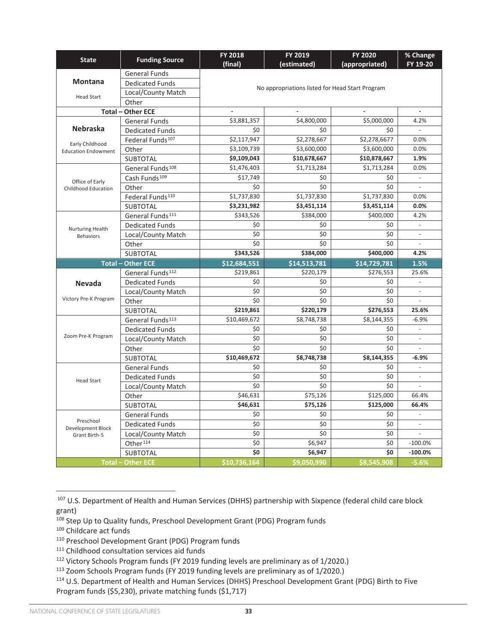| <b>State</b>                       | <b>Funding Source</b>        | <b>FY 2018</b><br>(final) | FY 2019<br>(estimated) | <b>FY 2020</b><br>(appropriated)                                                                                                                                                                                                                                                                                                                                                                                                                                                                                                                                                                                                                                                                                       | % Change<br>FY 19-20         |
|------------------------------------|------------------------------|---------------------------|------------------------|------------------------------------------------------------------------------------------------------------------------------------------------------------------------------------------------------------------------------------------------------------------------------------------------------------------------------------------------------------------------------------------------------------------------------------------------------------------------------------------------------------------------------------------------------------------------------------------------------------------------------------------------------------------------------------------------------------------------|------------------------------|
|                                    | <b>General Funds</b>         |                           |                        |                                                                                                                                                                                                                                                                                                                                                                                                                                                                                                                                                                                                                                                                                                                        |                              |
| <b>Montana</b>                     | <b>Dedicated Funds</b>       |                           |                        |                                                                                                                                                                                                                                                                                                                                                                                                                                                                                                                                                                                                                                                                                                                        |                              |
| <b>Head Start</b>                  | Local/County Match           |                           |                        |                                                                                                                                                                                                                                                                                                                                                                                                                                                                                                                                                                                                                                                                                                                        |                              |
|                                    | Other                        |                           |                        |                                                                                                                                                                                                                                                                                                                                                                                                                                                                                                                                                                                                                                                                                                                        |                              |
|                                    | <b>Total - Other ECE</b>     |                           |                        |                                                                                                                                                                                                                                                                                                                                                                                                                                                                                                                                                                                                                                                                                                                        | $\qquad \qquad \blacksquare$ |
|                                    | <b>General Funds</b>         | \$3,881,357               | \$4,800,000            | \$5,000,000                                                                                                                                                                                                                                                                                                                                                                                                                                                                                                                                                                                                                                                                                                            | 4.2%                         |
| <b>Nebraska</b>                    | <b>Dedicated Funds</b>       | \$0                       | \$0                    | \$0                                                                                                                                                                                                                                                                                                                                                                                                                                                                                                                                                                                                                                                                                                                    | $\overline{\phantom{a}}$     |
| Early Childhood                    | Federal Funds <sup>107</sup> | \$2,117,947               | \$2,278,667            | \$2,278,6677                                                                                                                                                                                                                                                                                                                                                                                                                                                                                                                                                                                                                                                                                                           | 0.0%                         |
| <b>Education Endowment</b>         | Other                        | \$3,109,739               | \$3,600,000            | \$3,600,000                                                                                                                                                                                                                                                                                                                                                                                                                                                                                                                                                                                                                                                                                                            | 0.0%                         |
|                                    | SUBTOTAL                     | \$9,109,043               | \$10,678,667           | \$10,878,667                                                                                                                                                                                                                                                                                                                                                                                                                                                                                                                                                                                                                                                                                                           | 1.9%                         |
|                                    | General Funds <sup>108</sup> | \$1,476,403               | \$1,713,284            | \$1,713,284                                                                                                                                                                                                                                                                                                                                                                                                                                                                                                                                                                                                                                                                                                            | 0.0%                         |
| Office of Early                    | Cash Funds <sup>109</sup>    | \$17,749                  | \$0                    | \$0                                                                                                                                                                                                                                                                                                                                                                                                                                                                                                                                                                                                                                                                                                                    | $\overline{\phantom{a}}$     |
| Childhood Education                | Other                        | \$0                       | \$0                    | \$0                                                                                                                                                                                                                                                                                                                                                                                                                                                                                                                                                                                                                                                                                                                    |                              |
|                                    | Federal Funds <sup>110</sup> | \$1,737,830               | \$1,737,830            | \$1,737,830                                                                                                                                                                                                                                                                                                                                                                                                                                                                                                                                                                                                                                                                                                            | 0.0%                         |
|                                    | <b>SUBTOTAL</b>              | \$3,231,982               | \$3,451,114            | No appropriations listed for Head Start Program<br>\$3,451,114<br>0.0%<br>\$400,000<br>4.2%<br>\$0<br>$\overline{\phantom{a}}$<br>\$0<br>$\overline{\phantom{m}}$<br>\$0<br>$\overline{\phantom{a}}$<br>\$400,000<br>4.2%<br>\$14,729,781<br>1.5%<br>\$276,553<br>25.6%<br>\$0<br>\$0<br>$\overline{\phantom{a}}$<br>\$0<br>$\overline{\phantom{a}}$<br>\$276,553<br>25.6%<br>\$8,144,355<br>$-6.9%$<br>\$0<br>$\overline{\phantom{a}}$<br>\$0<br>\$0<br>$\overline{a}$<br>\$8,144,355<br>$-6.9%$<br>\$0<br>$\overline{a}$<br>\$0<br>$\overline{\phantom{a}}$<br>\$0<br>$\overline{\phantom{a}}$<br>\$125,000<br>66.4%<br>\$125,000<br>66.4%<br>\$0<br>$\blacksquare$<br>\$0<br>$\overline{\phantom{a}}$<br>\$0<br>\$0 |                              |
|                                    | General Funds <sup>111</sup> | \$343,526                 | \$384,000              |                                                                                                                                                                                                                                                                                                                                                                                                                                                                                                                                                                                                                                                                                                                        |                              |
| Nurturing Health                   | <b>Dedicated Funds</b>       | \$0                       | \$0                    |                                                                                                                                                                                                                                                                                                                                                                                                                                                                                                                                                                                                                                                                                                                        |                              |
| <b>Behaviors</b>                   | Local/County Match           | \$0                       | \$0                    |                                                                                                                                                                                                                                                                                                                                                                                                                                                                                                                                                                                                                                                                                                                        |                              |
|                                    | Other                        | \$0                       | \$0                    |                                                                                                                                                                                                                                                                                                                                                                                                                                                                                                                                                                                                                                                                                                                        |                              |
|                                    | <b>SUBTOTAL</b>              | \$343,526                 | \$384,000              |                                                                                                                                                                                                                                                                                                                                                                                                                                                                                                                                                                                                                                                                                                                        |                              |
|                                    | <b>Total - Other ECE</b>     | \$12,684,551              | \$14,513,781           |                                                                                                                                                                                                                                                                                                                                                                                                                                                                                                                                                                                                                                                                                                                        |                              |
|                                    | General Funds <sup>112</sup> | \$219,861                 | \$220,179              |                                                                                                                                                                                                                                                                                                                                                                                                                                                                                                                                                                                                                                                                                                                        |                              |
| <b>Nevada</b>                      | <b>Dedicated Funds</b>       | \$0                       | \$0                    |                                                                                                                                                                                                                                                                                                                                                                                                                                                                                                                                                                                                                                                                                                                        |                              |
|                                    | Local/County Match           | \$0                       | \$0                    |                                                                                                                                                                                                                                                                                                                                                                                                                                                                                                                                                                                                                                                                                                                        |                              |
| Victory Pre-K Program              | Other                        | \$0                       | \$0                    |                                                                                                                                                                                                                                                                                                                                                                                                                                                                                                                                                                                                                                                                                                                        |                              |
|                                    | <b>SUBTOTAL</b>              | \$219,861                 | \$220,179              |                                                                                                                                                                                                                                                                                                                                                                                                                                                                                                                                                                                                                                                                                                                        |                              |
|                                    | General Funds <sup>113</sup> | \$10,469,672              | \$8,748,738            |                                                                                                                                                                                                                                                                                                                                                                                                                                                                                                                                                                                                                                                                                                                        |                              |
|                                    | <b>Dedicated Funds</b>       | \$0                       | \$0                    |                                                                                                                                                                                                                                                                                                                                                                                                                                                                                                                                                                                                                                                                                                                        |                              |
| Zoom Pre-K Program                 | Local/County Match           | \$0                       | \$0                    |                                                                                                                                                                                                                                                                                                                                                                                                                                                                                                                                                                                                                                                                                                                        |                              |
|                                    | Other                        | \$0                       | \$0                    |                                                                                                                                                                                                                                                                                                                                                                                                                                                                                                                                                                                                                                                                                                                        |                              |
|                                    | SUBTOTAL                     | \$10,469,672              | \$8,748,738            | \$0<br>\$8,545,908<br>$-5.6%$                                                                                                                                                                                                                                                                                                                                                                                                                                                                                                                                                                                                                                                                                          |                              |
|                                    | <b>General Funds</b>         | \$0                       | \$0                    |                                                                                                                                                                                                                                                                                                                                                                                                                                                                                                                                                                                                                                                                                                                        |                              |
| <b>Head Start</b>                  | <b>Dedicated Funds</b>       | \$0                       | \$0                    |                                                                                                                                                                                                                                                                                                                                                                                                                                                                                                                                                                                                                                                                                                                        |                              |
|                                    |                              |                           |                        |                                                                                                                                                                                                                                                                                                                                                                                                                                                                                                                                                                                                                                                                                                                        |                              |
|                                    | Local/County Match           | \$0                       | \$0                    |                                                                                                                                                                                                                                                                                                                                                                                                                                                                                                                                                                                                                                                                                                                        |                              |
|                                    | Other                        | \$46,631                  | \$75,126               |                                                                                                                                                                                                                                                                                                                                                                                                                                                                                                                                                                                                                                                                                                                        |                              |
|                                    | <b>SUBTOTAL</b>              | \$46,631                  | \$75,126               |                                                                                                                                                                                                                                                                                                                                                                                                                                                                                                                                                                                                                                                                                                                        |                              |
|                                    | <b>General Funds</b>         | \$0                       | \$0                    |                                                                                                                                                                                                                                                                                                                                                                                                                                                                                                                                                                                                                                                                                                                        |                              |
| Preschool                          | <b>Dedicated Funds</b>       | \$0                       | \$0                    |                                                                                                                                                                                                                                                                                                                                                                                                                                                                                                                                                                                                                                                                                                                        |                              |
| Development Block<br>Grant Birth-5 | Local/County Match           | \$0                       | \$0                    |                                                                                                                                                                                                                                                                                                                                                                                                                                                                                                                                                                                                                                                                                                                        |                              |
|                                    | Other <sup>114</sup>         | \$0                       | \$6,947                |                                                                                                                                                                                                                                                                                                                                                                                                                                                                                                                                                                                                                                                                                                                        | $-100.0%$                    |
|                                    | <b>SUBTOTAL</b>              | \$0                       | \$6,947                |                                                                                                                                                                                                                                                                                                                                                                                                                                                                                                                                                                                                                                                                                                                        | $-100.0%$                    |

<sup>107</sup> U.S. Department of Health and Human Services (DHHS) partnership with Sixpence (federal child care block grant)

<sup>108</sup> Step Up to Quality funds, Preschool Development Grant (PDG) Program funds

<sup>109</sup> Childcare act funds

<sup>110</sup> Preschool Development Grant (PDG) Program funds

<sup>&</sup>lt;sup>111</sup> Childhood consultation services aid funds

<sup>112</sup> Victory Schools Program funds (FY 2019 funding levels are preliminary as of 1/2020.)

<sup>113</sup> Zoom Schools Program funds (FY 2019 funding levels are preliminary as of 1/2020.)

<sup>114</sup> U.S. Department of Health and Human Services (DHHS) Preschool Development Grant (PDG) Birth to Five Program funds (\$5,230), private matching funds (\$1,717)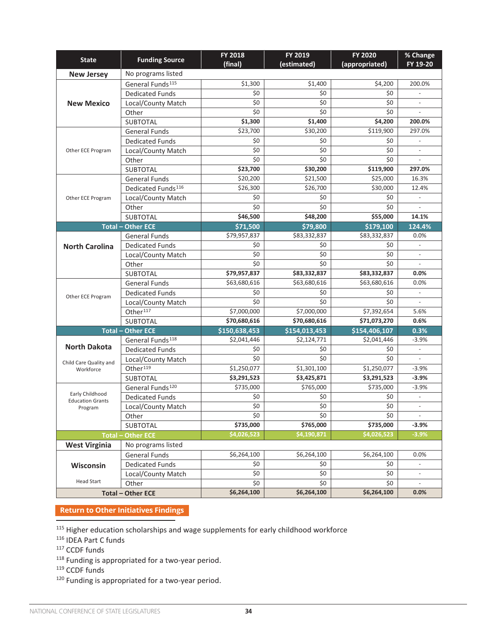| <b>State</b>                               | <b>Funding Source</b>          | FY 2018<br>(final) | FY 2019<br>(estimated)  | <b>FY 2020</b><br>(appropriated)                                                                                                                                                                                                                                                                                                                                                        | % Change<br>FY 19-20     |
|--------------------------------------------|--------------------------------|--------------------|-------------------------|-----------------------------------------------------------------------------------------------------------------------------------------------------------------------------------------------------------------------------------------------------------------------------------------------------------------------------------------------------------------------------------------|--------------------------|
| <b>New Jersey</b>                          | No programs listed             |                    |                         |                                                                                                                                                                                                                                                                                                                                                                                         |                          |
|                                            | General Funds <sup>115</sup>   | \$1,300            | \$1,400                 | \$4,200                                                                                                                                                                                                                                                                                                                                                                                 | 200.0%                   |
|                                            | <b>Dedicated Funds</b>         | \$0                | \$0                     | \$0                                                                                                                                                                                                                                                                                                                                                                                     |                          |
| <b>New Mexico</b>                          | Local/County Match             | \$0                | \$0                     | \$0                                                                                                                                                                                                                                                                                                                                                                                     |                          |
|                                            | Other                          | \$0                | \$0                     | \$0                                                                                                                                                                                                                                                                                                                                                                                     |                          |
|                                            | <b>SUBTOTAL</b>                | \$1,300            | \$1,400                 | \$4,200                                                                                                                                                                                                                                                                                                                                                                                 | 200.0%                   |
|                                            | <b>General Funds</b>           | \$23,700           | \$30,200                | \$119,900                                                                                                                                                                                                                                                                                                                                                                               | 297.0%                   |
|                                            | <b>Dedicated Funds</b>         | \$0                | \$0                     | \$0                                                                                                                                                                                                                                                                                                                                                                                     |                          |
| Other ECE Program                          | Local/County Match             | $\overline{\xi}$   | \$0                     | \$0                                                                                                                                                                                                                                                                                                                                                                                     |                          |
|                                            | Other                          | \$0                | \$0                     | \$0                                                                                                                                                                                                                                                                                                                                                                                     |                          |
|                                            | SUBTOTAL                       | \$23,700           | \$30,200                | \$119,900<br>\$25,000<br>\$30,000<br>\$0<br>\$0<br>\$55,000<br>\$179,100<br>\$83,332,837<br>\$0<br>\$0<br>\$0<br>\$83,332,837<br>\$63,680,616<br>\$0<br>\$0<br>\$7,392,654<br>\$71,073,270<br>\$154,406,107<br>\$2,041,446<br>\$0<br>\$0<br>\$1,250,077<br>\$3,291,523<br>\$735,000<br>\$0<br>\$0<br>\$0<br>\$735,000<br>\$4,026,523<br>\$6,264,100<br>\$0<br>\$0<br>\$0<br>\$6,264,100 | 297.0%                   |
|                                            | <b>General Funds</b>           | \$20,200           | \$21,500                |                                                                                                                                                                                                                                                                                                                                                                                         | 16.3%                    |
|                                            | Dedicated Funds <sup>116</sup> | \$26,300           | \$26,700                |                                                                                                                                                                                                                                                                                                                                                                                         | 12.4%                    |
| Other ECE Program                          | Local/County Match             | \$0                | \$0                     |                                                                                                                                                                                                                                                                                                                                                                                         | $\overline{\phantom{a}}$ |
|                                            | Other                          | \$0                | \$0                     | \$0<br>\$0<br>\$0<br>\$0<br>\$0                                                                                                                                                                                                                                                                                                                                                         | $\overline{\phantom{a}}$ |
|                                            | <b>SUBTOTAL</b>                | \$46,500           | \$48,200                |                                                                                                                                                                                                                                                                                                                                                                                         | 14.1%                    |
|                                            | <b>Total - Other ECE</b>       | \$71,500           | \$79,800                |                                                                                                                                                                                                                                                                                                                                                                                         | 124.4%                   |
| <b>North Carolina</b>                      | <b>General Funds</b>           | \$79,957,837       | \$83,332,837            |                                                                                                                                                                                                                                                                                                                                                                                         | 0.0%                     |
|                                            | <b>Dedicated Funds</b>         | \$0                |                         |                                                                                                                                                                                                                                                                                                                                                                                         | $\overline{\phantom{a}}$ |
|                                            | Local/County Match             | \$0                |                         |                                                                                                                                                                                                                                                                                                                                                                                         | $\overline{\phantom{a}}$ |
|                                            | Other                          | \$0                |                         |                                                                                                                                                                                                                                                                                                                                                                                         | $\overline{\phantom{a}}$ |
|                                            | <b>SUBTOTAL</b>                | \$79,957,837       | \$83,332,837            |                                                                                                                                                                                                                                                                                                                                                                                         | $0.0\%$                  |
|                                            | <b>General Funds</b>           | \$63,680,616       | \$63,680,616            |                                                                                                                                                                                                                                                                                                                                                                                         | 0.0%                     |
| Other ECE Program                          | <b>Dedicated Funds</b>         | \$0                |                         |                                                                                                                                                                                                                                                                                                                                                                                         | $\blacksquare$           |
|                                            | Local/County Match             | \$0                |                         |                                                                                                                                                                                                                                                                                                                                                                                         | $\overline{a}$           |
|                                            | Other <sup>117</sup>           | \$7,000,000        | \$7,000,000             |                                                                                                                                                                                                                                                                                                                                                                                         | 5.6%                     |
|                                            | <b>SUBTOTAL</b>                | \$70,680,616       | \$70,680,616            |                                                                                                                                                                                                                                                                                                                                                                                         | 0.6%                     |
|                                            | <b>Total - Other ECE</b>       | \$150,638,453      | \$154,013,453           |                                                                                                                                                                                                                                                                                                                                                                                         | 0.3%                     |
|                                            | General Funds <sup>118</sup>   | \$2,041,446        | $\overline{$}2,124,771$ |                                                                                                                                                                                                                                                                                                                                                                                         | $-3.9%$                  |
| <b>North Dakota</b>                        | <b>Dedicated Funds</b>         | \$0                | \$0                     |                                                                                                                                                                                                                                                                                                                                                                                         |                          |
| Child Care Quality and                     | Local/County Match             | \$0                | \$0                     |                                                                                                                                                                                                                                                                                                                                                                                         |                          |
| Workforce                                  | Other <sup>119</sup>           | \$1,250,077        | \$1,301,100             |                                                                                                                                                                                                                                                                                                                                                                                         | $-3.9%$                  |
|                                            | <b>SUBTOTAL</b>                | \$3,291,523        | \$3,425,871             |                                                                                                                                                                                                                                                                                                                                                                                         | $-3.9%$                  |
|                                            | General Funds <sup>120</sup>   | \$735,000          | \$765,000               |                                                                                                                                                                                                                                                                                                                                                                                         | $-3.9%$                  |
| Early Childhood<br><b>Education Grants</b> | <b>Dedicated Funds</b>         | \$0                | \$0                     |                                                                                                                                                                                                                                                                                                                                                                                         | $\overline{\phantom{a}}$ |
| Program                                    | Local/County Match             | \$0                | \$0                     |                                                                                                                                                                                                                                                                                                                                                                                         | $\overline{\phantom{a}}$ |
|                                            | Other                          | \$0                | \$0                     |                                                                                                                                                                                                                                                                                                                                                                                         | $\overline{\phantom{a}}$ |
|                                            | SUBTOTAL                       | \$735,000          | \$765,000               |                                                                                                                                                                                                                                                                                                                                                                                         | $-3.9%$                  |
| Total-                                     | <b>Other ECE</b>               | \$4,026,523        | \$4,190,871             |                                                                                                                                                                                                                                                                                                                                                                                         | $-3.9%$                  |
| <b>West Virginia</b>                       | No programs listed             |                    |                         |                                                                                                                                                                                                                                                                                                                                                                                         |                          |
|                                            | <b>General Funds</b>           | \$6,264,100        | \$6,264,100             |                                                                                                                                                                                                                                                                                                                                                                                         | 0.0%                     |
| Wisconsin                                  | <b>Dedicated Funds</b>         | \$0                | \$0                     |                                                                                                                                                                                                                                                                                                                                                                                         | $\overline{\phantom{a}}$ |
|                                            | Local/County Match             | \$0                | \$0                     |                                                                                                                                                                                                                                                                                                                                                                                         | $\overline{\phantom{a}}$ |
| <b>Head Start</b>                          | Other                          | \$0                | \$0                     |                                                                                                                                                                                                                                                                                                                                                                                         | $\overline{\phantom{a}}$ |
|                                            | <b>Total - Other ECE</b>       | \$6,264,100        | \$6,264,100             |                                                                                                                                                                                                                                                                                                                                                                                         | $0.0\%$                  |

### **[Return to Other Initiatives Findings](#page-8-0)**

<sup>115</sup> Higher education scholarships and wage supplements for early childhood workforce

- <sup>116</sup> IDEA Part C funds
- <sup>117</sup> CCDF funds
- <sup>118</sup> Funding is appropriated for a two-year period.
- <sup>119</sup> CCDF funds
- 120 Funding is appropriated for a two-year period.